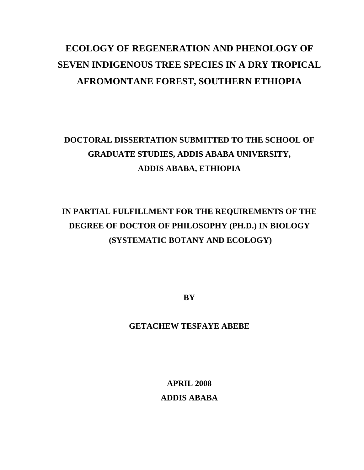# **ECOLOGY OF REGENERATION AND PHENOLOGY OF SEVEN INDIGENOUS TREE SPECIES IN A DRY TROPICAL AFROMONTANE FOREST, SOUTHERN ETHIOPIA**

# **DOCTORAL DISSERTATION SUBMITTED TO THE SCHOOL OF GRADUATE STUDIES, ADDIS ABABA UNIVERSITY, ADDIS ABABA, ETHIOPIA**

# **IN PARTIAL FULFILLMENT FOR THE REQUIREMENTS OF THE DEGREE OF DOCTOR OF PHILOSOPHY (PH.D.) IN BIOLOGY (SYSTEMATIC BOTANY AND ECOLOGY)**

**BY** 

**GETACHEW TESFAYE ABEBE** 

**APRIL 2008 ADDIS ABABA**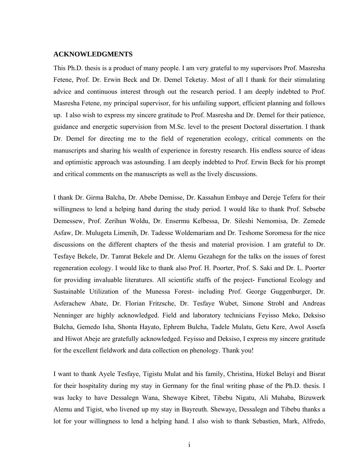#### <span id="page-1-0"></span>**ACKNOWLEDGMENTS**

This Ph.D. thesis is a product of many people. I am very grateful to my supervisors Prof. Masresha Fetene, Prof. Dr. Erwin Beck and Dr. Demel Teketay. Most of all I thank for their stimulating advice and continuous interest through out the research period. I am deeply indebted to Prof. Masresha Fetene, my principal supervisor, for his unfailing support, efficient planning and follows up. I also wish to express my sincere gratitude to Prof. Masresha and Dr. Demel for their patience, guidance and energetic supervision from M.Sc. level to the present Doctoral dissertation. I thank Dr. Demel for directing me to the field of regeneration ecology, critical comments on the manuscripts and sharing his wealth of experience in forestry research. His endless source of ideas and optimistic approach was astounding. I am deeply indebted to Prof. Erwin Beck for his prompt and critical comments on the manuscripts as well as the lively discussions.

I thank Dr. Girma Balcha, Dr. Abebe Demisse, Dr. Kassahun Embaye and Dereje Tefera for their willingness to lend a helping hand during the study period. I would like to thank Prof. Sebsebe Demessew, Prof. Zerihun Woldu, Dr. Ensermu Kelbessa, Dr. Sileshi Nemomisa, Dr. Zemede Asfaw, Dr. Mulugeta Limenih, Dr. Tadesse Woldemariam and Dr. Teshome Soromesa for the nice discussions on the different chapters of the thesis and material provision. I am grateful to Dr. Tesfaye Bekele, Dr. Tamrat Bekele and Dr. Alemu Gezahegn for the talks on the issues of forest regeneration ecology. I would like to thank also Prof. H. Poorter, Prof. S. Saki and Dr. L. Poorter for providing invaluable literatures. All scientific staffs of the project- Functional Ecology and Sustainable Utilization of the Munessa Forest- including Prof. George Guggenburger, Dr. Asferachew Abate, Dr. Florian Fritzsche, Dr. Tesfaye Wubet, Simone Strobl and Andreas Nenninger are highly acknowledged. Field and laboratory technicians Feyisso Meko, Deksiso Bulcha, Gemedo Isha, Shonta Hayato, Ephrem Bulcha, Tadele Mulatu, Getu Kere, Awol Assefa and Hiwot Abeje are gratefully acknowledged. Feyisso and Deksiso, I express my sincere gratitude for the excellent fieldwork and data collection on phenology. Thank you!

I want to thank Ayele Tesfaye, Tigistu Mulat and his family, Christina, Hizkel Belayi and Bisrat for their hospitality during my stay in Germany for the final writing phase of the Ph.D. thesis. I was lucky to have Dessalegn Wana, Shewaye Kibret, Tibebu Nigatu, Ali Muhaba, Bizuwerk Alemu and Tigist, who livened up my stay in Bayreuth. Shewaye, Dessalegn and Tibebu thanks a lot for your willingness to lend a helping hand. I also wish to thank Sebastien, Mark, Alfredo,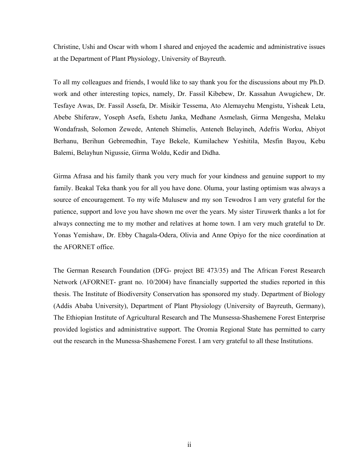Christine, Ushi and Oscar with whom I shared and enjoyed the academic and administrative issues at the Department of Plant Physiology, University of Bayreuth.

To all my colleagues and friends, I would like to say thank you for the discussions about my Ph.D. work and other interesting topics, namely, Dr. Fassil Kibebew, Dr. Kassahun Awugichew, Dr. Tesfaye Awas, Dr. Fassil Assefa, Dr. Misikir Tessema, Ato Alemayehu Mengistu, Yisheak Leta, Abebe Shiferaw, Yoseph Asefa, Eshetu Janka, Medhane Asmelash, Girma Mengesha, Melaku Wondafrash, Solomon Zewede, Anteneh Shimelis, Anteneh Belayineh, Adefris Worku, Abiyot Berhanu, Berihun Gebremedhin, Taye Bekele, Kumilachew Yeshitila, Mesfin Bayou, Kebu Balemi, Belayhun Nigussie, Girma Woldu, Kedir and Didha.

Girma Afrasa and his family thank you very much for your kindness and genuine support to my family. Beakal Teka thank you for all you have done. Oluma, your lasting optimism was always a source of encouragement. To my wife Mulusew and my son Tewodros I am very grateful for the patience, support and love you have shown me over the years. My sister Tiruwerk thanks a lot for always connecting me to my mother and relatives at home town. I am very much grateful to Dr. Yonas Yemishaw, Dr. Ebby Chagala-Odera, Olivia and Anne Opiyo for the nice coordination at the AFORNET office.

The German Research Foundation (DFG- project BE 473/35) and The African Forest Research Network (AFORNET- grant no. 10/2004) have financially supported the studies reported in this thesis. The Institute of Biodiversity Conservation has sponsored my study. Department of Biology (Addis Ababa University), Department of Plant Physiology (University of Bayreuth, Germany), The Ethiopian Institute of Agricultural Research and The Munsessa-Shashemene Forest Enterprise provided logistics and administrative support. The Oromia Regional State has permitted to carry out the research in the Munessa-Shashemene Forest. I am very grateful to all these Institutions.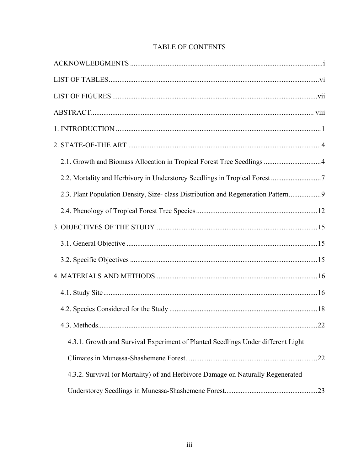| 2.3. Plant Population Density, Size- class Distribution and Regeneration Pattern 9 |  |
|------------------------------------------------------------------------------------|--|
|                                                                                    |  |
|                                                                                    |  |
|                                                                                    |  |
|                                                                                    |  |
|                                                                                    |  |
|                                                                                    |  |
|                                                                                    |  |
|                                                                                    |  |
| 4.3.1. Growth and Survival Experiment of Planted Seedlings Under different Light   |  |
|                                                                                    |  |
| 4.3.2. Survival (or Mortality) of and Herbivore Damage on Naturally Regenerated    |  |
|                                                                                    |  |

## TABLE OF CONTENTS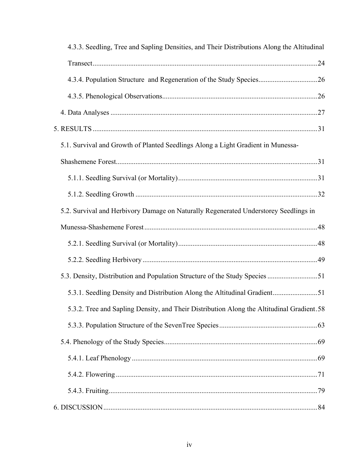| 4.3.3. Seedling, Tree and Sapling Densities, and Their Distributions Along the Altitudinal |  |
|--------------------------------------------------------------------------------------------|--|
|                                                                                            |  |
|                                                                                            |  |
|                                                                                            |  |
|                                                                                            |  |
|                                                                                            |  |
| 5.1. Survival and Growth of Planted Seedlings Along a Light Gradient in Munessa-           |  |
|                                                                                            |  |
|                                                                                            |  |
|                                                                                            |  |
| 5.2. Survival and Herbivory Damage on Naturally Regenerated Understorey Seedlings in       |  |
|                                                                                            |  |
|                                                                                            |  |
|                                                                                            |  |
|                                                                                            |  |
| 5.3.1. Seedling Density and Distribution Along the Altitudinal Gradient51                  |  |
| 5.3.2. Tree and Sapling Density, and Their Distribution Along the Altitudinal Gradient.58  |  |
|                                                                                            |  |
|                                                                                            |  |
|                                                                                            |  |
|                                                                                            |  |
|                                                                                            |  |
|                                                                                            |  |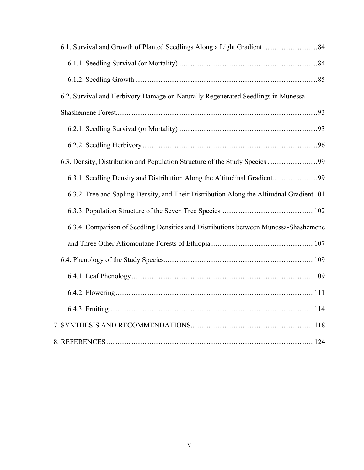| 6.2. Survival and Herbivory Damage on Naturally Regenerated Seedlings in Munessa-         |  |
|-------------------------------------------------------------------------------------------|--|
|                                                                                           |  |
|                                                                                           |  |
|                                                                                           |  |
|                                                                                           |  |
| 6.3.1. Seedling Density and Distribution Along the Altitudinal Gradient99                 |  |
| 6.3.2. Tree and Sapling Density, and Their Distribution Along the Altitudnal Gradient 101 |  |
|                                                                                           |  |
| 6.3.4. Comparison of Seedling Densities and Distributions between Munessa-Shashemene      |  |
|                                                                                           |  |
|                                                                                           |  |
|                                                                                           |  |
|                                                                                           |  |
|                                                                                           |  |
|                                                                                           |  |
|                                                                                           |  |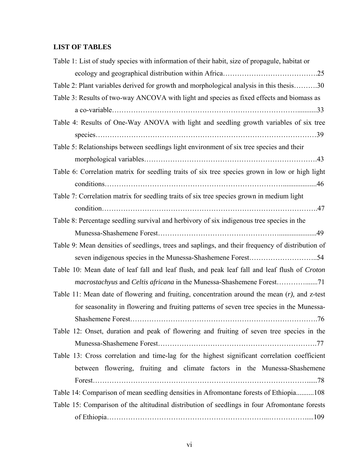## <span id="page-6-0"></span>**LIST OF TABLES**

| Table 1: List of study species with information of their habit, size of propagule, habitat or    |
|--------------------------------------------------------------------------------------------------|
|                                                                                                  |
| Table 2: Plant variables derived for growth and morphological analysis in this thesis30          |
| Table 3: Results of two-way ANCOVA with light and species as fixed effects and biomass as        |
|                                                                                                  |
| Table 4: Results of One-Way ANOVA with light and seedling growth variables of six tree           |
|                                                                                                  |
| Table 5: Relationships between seedlings light environment of six tree species and their         |
|                                                                                                  |
| Table 6: Correlation matrix for seedling traits of six tree species grown in low or high light   |
|                                                                                                  |
| Table 7: Correlation matrix for seedling traits of six tree species grown in medium light        |
|                                                                                                  |
| Table 8: Percentage seedling survival and herbivory of six indigenous tree species in the        |
|                                                                                                  |
| Table 9: Mean densities of seedlings, trees and saplings, and their frequency of distribution of |
|                                                                                                  |
| Table 10: Mean date of leaf fall and leaf flush, and peak leaf fall and leaf flush of Croton     |
|                                                                                                  |
| Table 11: Mean date of flowering and fruiting, concentration around the mean $(r)$ , and z-test  |
| for seasonality in flowering and fruiting patterns of seven tree species in the Munessa-         |
|                                                                                                  |
| Table 12: Onset, duration and peak of flowering and fruiting of seven tree species in the        |
|                                                                                                  |
| Table 13: Cross correlation and time-lag for the highest significant correlation coefficient     |
| between flowering, fruiting and climate factors in the Munessa-Shashemene                        |
|                                                                                                  |
| Table 14: Comparison of mean seedling densities in Afromontane forests of Ethiopia108            |
| Table 15: Comparison of the altitudinal distribution of seedlings in four Afromontane forests    |
|                                                                                                  |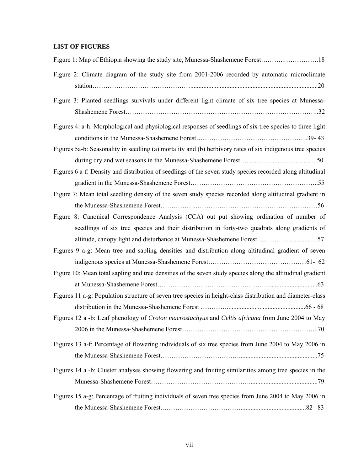### <span id="page-7-0"></span>**LIST OF FIGURES**

| Figure 1: Map of Ethiopia showing the study site, Munessa-Shashemene Forest18                                                                                                                                                                                       |
|---------------------------------------------------------------------------------------------------------------------------------------------------------------------------------------------------------------------------------------------------------------------|
| Figure 2: Climate diagram of the study site from 2001-2006 recorded by automatic microclimate                                                                                                                                                                       |
| Figure 3: Planted seedlings survivals under different light climate of six tree species at Munessa-                                                                                                                                                                 |
| Figures 4: a-h: Morphological and physiological responses of seedlings of six tree species to three light                                                                                                                                                           |
| Figures 5a-b: Seasonality in seedling (a) mortality and (b) herbivory rates of six indigenous tree species                                                                                                                                                          |
| Figures 6 a-f: Density and distribution of seedlings of the seven study species recorded along altitudinal                                                                                                                                                          |
| Figure 7: Mean total seedling density of the seven study species recorded along altitudinal gradient in                                                                                                                                                             |
| Figure 8: Canonical Correspondence Analysis (CCA) out put showing ordination of number of<br>seedlings of six tree species and their distribution in forty-two quadrats along gradients of<br>altitude, canopy light and disturbance at Munessa-Shashemene Forest57 |
| Figures 9 a-g: Mean tree and sapling densities and distribution along altitudinal gradient of seven                                                                                                                                                                 |
| Figure 10: Mean total sapling and tree densities of the seven study species along the altitudinal gradient                                                                                                                                                          |
| Figures 11 a-g: Population structure of seven tree species in height-class distribution and diameter-class                                                                                                                                                          |
| Figures 12 a -b: Leaf phenology of Croton macrostachyus and Celtis africana from June 2004 to May                                                                                                                                                                   |
| Figures 13 a-f: Percentage of flowering individuals of six tree species from June 2004 to May 2006 in                                                                                                                                                               |
| Figures 14 a -b: Cluster analyses showing flowering and fruiting similarities among tree species in the                                                                                                                                                             |
| Figures 15 a-g: Percentage of fruiting individuals of seven tree species from June 2004 to May 2006 in                                                                                                                                                              |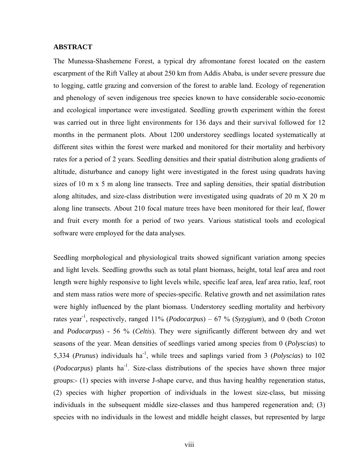#### <span id="page-8-0"></span>**ABSTRACT**

The Munessa-Shashemene Forest, a typical dry afromontane forest located on the eastern escarpment of the Rift Valley at about 250 km from Addis Ababa, is under severe pressure due to logging, cattle grazing and conversion of the forest to arable land. Ecology of regeneration and phenology of seven indigenous tree species known to have considerable socio-economic and ecological importance were investigated. Seedling growth experiment within the forest was carried out in three light environments for 136 days and their survival followed for 12 months in the permanent plots. About 1200 understorey seedlings located systematically at different sites within the forest were marked and monitored for their mortality and herbivory rates for a period of 2 years. Seedling densities and their spatial distribution along gradients of altitude, disturbance and canopy light were investigated in the forest using quadrats having sizes of 10 m x 5 m along line transects. Tree and sapling densities, their spatial distribution along altitudes, and size-class distribution were investigated using quadrats of 20 m X 20 m along line transects. About 210 focal mature trees have been monitored for their leaf, flower and fruit every month for a period of two years. Various statistical tools and ecological software were employed for the data analyses.

Seedling morphological and physiological traits showed significant variation among species and light levels. Seedling growths such as total plant biomass, height, total leaf area and root length were highly responsive to light levels while, specific leaf area, leaf area ratio, leaf, root and stem mass ratios were more of species-specific. Relative growth and net assimilation rates were highly influenced by the plant biomass. Understorey seedling mortality and herbivory rates year-1, respectively, ranged 11% (*Podocarpus*) – 67 % (*Syzygium*), and 0 (both *Croton* and *Podocarpus*) - 56 % (*Celtis*). They were significantly different between dry and wet seasons of the year. Mean densities of seedlings varied among species from 0 (*Polyscias*) to 5,334 (*Prunus*) individuals ha-1, while trees and saplings varied from 3 (*Polyscias*) to 102 (*Podocarpus*) plants ha-1. Size-class distributions of the species have shown three major groups:- (1) species with inverse J-shape curve, and thus having healthy regeneration status, (2) species with higher proportion of individuals in the lowest size-class, but missing individuals in the subsequent middle size-classes and thus hampered regeneration and; (3) species with no individuals in the lowest and middle height classes, but represented by large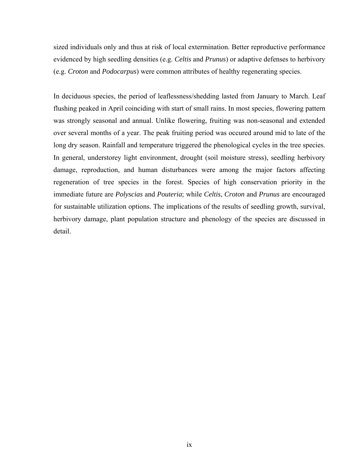sized individuals only and thus at risk of local extermination. Better reproductive performance evidenced by high seedling densities (e.g. *Celtis* and *Prunus*) or adaptive defenses to herbivory (e.g. *Croton* and *Podocarpus*) were common attributes of healthy regenerating species.

In deciduous species, the period of leaflessness/shedding lasted from January to March. Leaf flushing peaked in April coinciding with start of small rains. In most species, flowering pattern was strongly seasonal and annual. Unlike flowering, fruiting was non-seasonal and extended over several months of a year. The peak fruiting period was occured around mid to late of the long dry season. Rainfall and temperature triggered the phenological cycles in the tree species. In general, understorey light environment, drought (soil moisture stress), seedling herbivory damage, reproduction, and human disturbances were among the major factors affecting regeneration of tree species in the forest. Species of high conservation priority in the immediate future are *Polyscias* and *Pouteria*; while *Celtis*, *Croton* and *Prunus* are encouraged for sustainable utilization options. The implications of the results of seedling growth, survival, herbivory damage, plant population structure and phenology of the species are discussed in detail.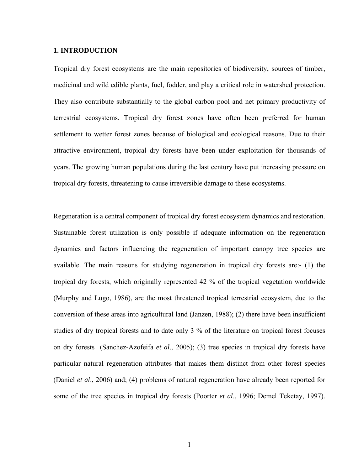#### <span id="page-10-0"></span>**1. INTRODUCTION**

Tropical dry forest ecosystems are the main repositories of biodiversity, sources of timber, medicinal and wild edible plants, fuel, fodder, and play a critical role in watershed protection. They also contribute substantially to the global carbon pool and net primary productivity of terrestrial ecosystems. Tropical dry forest zones have often been preferred for human settlement to wetter forest zones because of biological and ecological reasons. Due to their attractive environment, tropical dry forests have been under exploitation for thousands of years. The growing human populations during the last century have put increasing pressure on tropical dry forests, threatening to cause irreversible damage to these ecosystems.

Regeneration is a central component of tropical dry forest ecosystem dynamics and restoration. Sustainable forest utilization is only possible if adequate information on the regeneration dynamics and factors influencing the regeneration of important canopy tree species are available. The main reasons for studying regeneration in tropical dry forests are:- (1) the tropical dry forests, which originally represented 42 % of the tropical vegetation worldwide (Murphy and Lugo, 1986), are the most threatened tropical terrestrial ecosystem, due to the conversion of these areas into agricultural land (Janzen, 1988); (2) there have been insufficient studies of dry tropical forests and to date only 3 % of the literature on tropical forest focuses on dry forests (Sanchez-Azofeifa *et al*., 2005); (3) tree species in tropical dry forests have particular natural regeneration attributes that makes them distinct from other forest species (Daniel *et al*., 2006) and; (4) problems of natural regeneration have already been reported for some of the tree species in tropical dry forests (Poorter *et al*., 1996; Demel Teketay, 1997).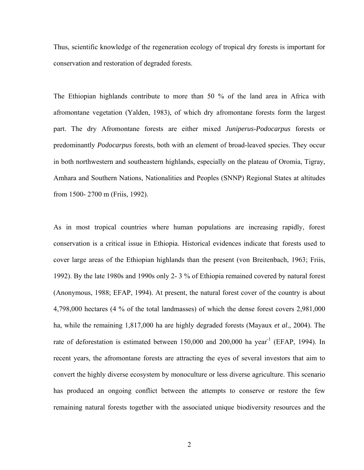Thus, scientific knowledge of the regeneration ecology of tropical dry forests is important for conservation and restoration of degraded forests.

The Ethiopian highlands contribute to more than 50 % of the land area in Africa with afromontane vegetation (Yalden, 1983), of which dry afromontane forests form the largest part. The dry Afromontane forests are either mixed *Juniperus-Podocarpus* forests or predominantly *Podocarpus* forests, both with an element of broad-leaved species. They occur in both northwestern and southeastern highlands, especially on the plateau of Oromia, Tigray, Amhara and Southern Nations, Nationalities and Peoples (SNNP) Regional States at altitudes from 1500- 2700 m (Friis, 1992).

As in most tropical countries where human populations are increasing rapidly, forest conservation is a critical issue in Ethiopia. Historical evidences indicate that forests used to cover large areas of the Ethiopian highlands than the present (von Breitenbach, 1963; Friis, 1992). By the late 1980s and 1990s only 2- 3 % of Ethiopia remained covered by natural forest (Anonymous, 1988; EFAP, 1994). At present, the natural forest cover of the country is about 4,798,000 hectares (4 % of the total landmasses) of which the dense forest covers 2,981,000 ha, while the remaining 1,817,000 ha are highly degraded forests (Mayaux *et al*., 2004). The rate of deforestation is estimated between 150,000 and 200,000 ha year<sup>-1</sup> (EFAP, 1994). In recent years, the afromontane forests are attracting the eyes of several investors that aim to convert the highly diverse ecosystem by monoculture or less diverse agriculture. This scenario has produced an ongoing conflict between the attempts to conserve or restore the few remaining natural forests together with the associated unique biodiversity resources and the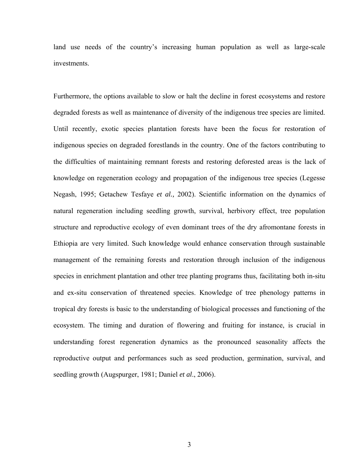land use needs of the country's increasing human population as well as large-scale investments.

Furthermore, the options available to slow or halt the decline in forest ecosystems and restore degraded forests as well as maintenance of diversity of the indigenous tree species are limited. Until recently, exotic species plantation forests have been the focus for restoration of indigenous species on degraded forestlands in the country. One of the factors contributing to the difficulties of maintaining remnant forests and restoring deforested areas is the lack of knowledge on regeneration ecology and propagation of the indigenous tree species (Legesse Negash, 1995; Getachew Tesfaye *et al.,* 2002). Scientific information on the dynamics of natural regeneration including seedling growth, survival, herbivory effect, tree population structure and reproductive ecology of even dominant trees of the dry afromontane forests in Ethiopia are very limited. Such knowledge would enhance conservation through sustainable management of the remaining forests and restoration through inclusion of the indigenous species in enrichment plantation and other tree planting programs thus, facilitating both in-situ and ex-situ conservation of threatened species. Knowledge of tree phenology patterns in tropical dry forests is basic to the understanding of biological processes and functioning of the ecosystem. The timing and duration of flowering and fruiting for instance, is crucial in understanding forest regeneration dynamics as the pronounced seasonality affects the reproductive output and performances such as seed production, germination, survival, and seedling growth (Augspurger, 1981; Daniel *et al*., 2006).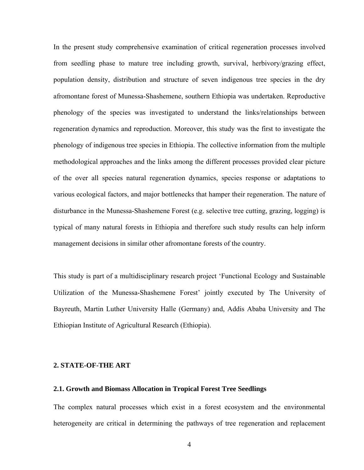<span id="page-13-0"></span>In the present study comprehensive examination of critical regeneration processes involved from seedling phase to mature tree including growth, survival, herbivory/grazing effect, population density, distribution and structure of seven indigenous tree species in the dry afromontane forest of Munessa-Shashemene, southern Ethiopia was undertaken. Reproductive phenology of the species was investigated to understand the links/relationships between regeneration dynamics and reproduction. Moreover, this study was the first to investigate the phenology of indigenous tree species in Ethiopia. The collective information from the multiple methodological approaches and the links among the different processes provided clear picture of the over all species natural regeneration dynamics, species response or adaptations to various ecological factors, and major bottlenecks that hamper their regeneration. The nature of disturbance in the Munessa-Shashemene Forest (e.g. selective tree cutting, grazing, logging) is typical of many natural forests in Ethiopia and therefore such study results can help inform management decisions in similar other afromontane forests of the country.

This study is part of a multidisciplinary research project 'Functional Ecology and Sustainable Utilization of the Munessa-Shashemene Forest' jointly executed by The University of Bayreuth, Martin Luther University Halle (Germany) and, Addis Ababa University and The Ethiopian Institute of Agricultural Research (Ethiopia).

#### **2. STATE-OF-THE ART**

#### **2.1. Growth and Biomass Allocation in Tropical Forest Tree Seedlings**

The complex natural processes which exist in a forest ecosystem and the environmental heterogeneity are critical in determining the pathways of tree regeneration and replacement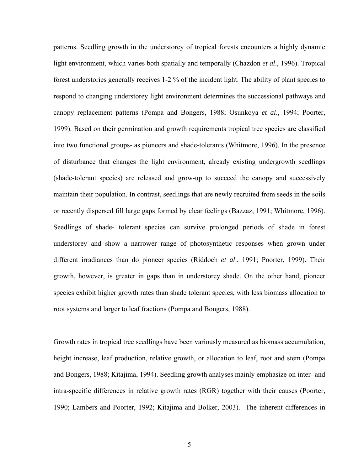patterns. Seedling growth in the understorey of tropical forests encounters a highly dynamic light environment, which varies both spatially and temporally (Chazdon *et al*., 1996). Tropical forest understories generally receives 1-2 % of the incident light. The ability of plant species to respond to changing understorey light environment determines the successional pathways and canopy replacement patterns (Pompa and Bongers, 1988; Osunkoya *et al*., 1994; Poorter, 1999). Based on their germination and growth requirements tropical tree species are classified into two functional groups- as pioneers and shade-tolerants (Whitmore, 1996). In the presence of disturbance that changes the light environment, already existing undergrowth seedlings (shade-tolerant species) are released and grow-up to succeed the canopy and successively maintain their population. In contrast, seedlings that are newly recruited from seeds in the soils or recently dispersed fill large gaps formed by clear feelings (Bazzaz, 1991; Whitmore, 1996). Seedlings of shade- tolerant species can survive prolonged periods of shade in forest understorey and show a narrower range of photosynthetic responses when grown under different irradiances than do pioneer species (Riddoch *et al*., 1991; Poorter, 1999). Their growth, however, is greater in gaps than in understorey shade. On the other hand, pioneer species exhibit higher growth rates than shade tolerant species, with less biomass allocation to root systems and larger to leaf fractions (Pompa and Bongers, 1988).

Growth rates in tropical tree seedlings have been variously measured as biomass accumulation, height increase, leaf production, relative growth, or allocation to leaf, root and stem (Pompa and Bongers, 1988; Kitajima, 1994). Seedling growth analyses mainly emphasize on inter- and intra-specific differences in relative growth rates (RGR) together with their causes (Poorter, 1990; Lambers and Poorter, 1992; Kitajima and Bolker, 2003). The inherent differences in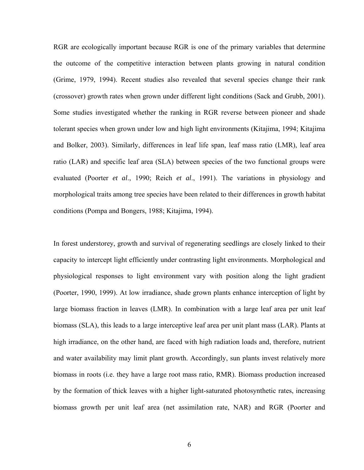RGR are ecologically important because RGR is one of the primary variables that determine the outcome of the competitive interaction between plants growing in natural condition (Grime, 1979, 1994). Recent studies also revealed that several species change their rank (crossover) growth rates when grown under different light conditions (Sack and Grubb, 2001). Some studies investigated whether the ranking in RGR reverse between pioneer and shade tolerant species when grown under low and high light environments (Kitajima, 1994; Kitajima and Bolker, 2003). Similarly, differences in leaf life span, leaf mass ratio (LMR), leaf area ratio (LAR) and specific leaf area (SLA) between species of the two functional groups were evaluated (Poorter *et al*., 1990; Reich *et al*., 1991). The variations in physiology and morphological traits among tree species have been related to their differences in growth habitat conditions (Pompa and Bongers, 1988; Kitajima, 1994).

In forest understorey, growth and survival of regenerating seedlings are closely linked to their capacity to intercept light efficiently under contrasting light environments. Morphological and physiological responses to light environment vary with position along the light gradient (Poorter, 1990, 1999). At low irradiance, shade grown plants enhance interception of light by large biomass fraction in leaves (LMR). In combination with a large leaf area per unit leaf biomass (SLA), this leads to a large interceptive leaf area per unit plant mass (LAR). Plants at high irradiance, on the other hand, are faced with high radiation loads and, therefore, nutrient and water availability may limit plant growth. Accordingly, sun plants invest relatively more biomass in roots (i.e. they have a large root mass ratio, RMR). Biomass production increased by the formation of thick leaves with a higher light-saturated photosynthetic rates, increasing biomass growth per unit leaf area (net assimilation rate, NAR) and RGR (Poorter and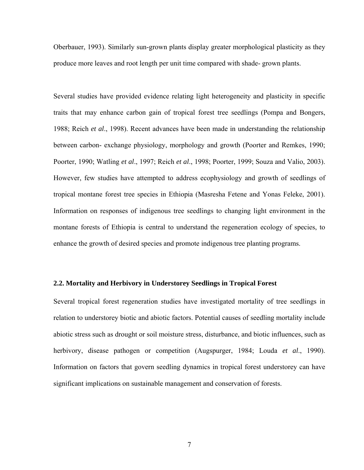<span id="page-16-0"></span>Oberbauer, 1993). Similarly sun-grown plants display greater morphological plasticity as they produce more leaves and root length per unit time compared with shade- grown plants.

Several studies have provided evidence relating light heterogeneity and plasticity in specific traits that may enhance carbon gain of tropical forest tree seedlings (Pompa and Bongers, 1988; Reich *et al*., 1998). Recent advances have been made in understanding the relationship between carbon- exchange physiology, morphology and growth (Poorter and Remkes, 1990; Poorter, 1990; Watling *et al*., 1997; Reich *et al*., 1998; Poorter, 1999; Souza and Valio, 2003). However, few studies have attempted to address ecophysiology and growth of seedlings of tropical montane forest tree species in Ethiopia (Masresha Fetene and Yonas Feleke, 2001). Information on responses of indigenous tree seedlings to changing light environment in the montane forests of Ethiopia is central to understand the regeneration ecology of species, to enhance the growth of desired species and promote indigenous tree planting programs.

#### **2.2. Mortality and Herbivory in Understorey Seedlings in Tropical Forest**

Several tropical forest regeneration studies have investigated mortality of tree seedlings in relation to understorey biotic and abiotic factors. Potential causes of seedling mortality include abiotic stress such as drought or soil moisture stress, disturbance, and biotic influences, such as herbivory, disease pathogen or competition (Augspurger, 1984; Louda *et al*., 1990). Information on factors that govern seedling dynamics in tropical forest understorey can have significant implications on sustainable management and conservation of forests.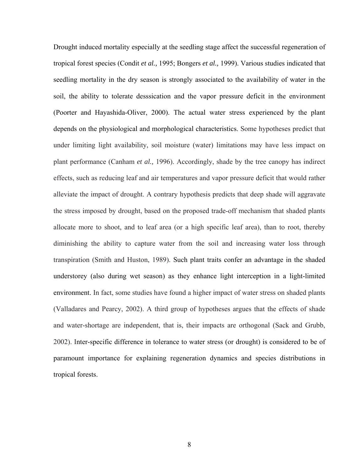Drought induced mortality especially at the seedling stage affect the successful regeneration of tropical forest species (Condit *et al.,* 1995; Bongers *et al.,* 1999). Various studies indicated that seedling mortality in the dry season is strongly associated to the availability of water in the soil, the ability to tolerate desssication and the vapor pressure deficit in the environment (Poorter and Hayashida-Oliver, 2000). The actual water stress experienced by the plant depends on the physiological and morphological characteristics. Some hypotheses predict that under limiting light availability, soil moisture (water) limitations may have less impact on plant performance (Canham *et al.,* 1996). Accordingly, shade by the tree canopy has indirect effects, such as reducing leaf and air temperatures and vapor pressure deficit that would rather alleviate the impact of drought. A contrary hypothesis predicts that deep shade will aggravate the stress imposed by drought, based on the proposed trade-off mechanism that shaded plants allocate more to shoot, and to leaf area (or a high specific leaf area), than to root, thereby diminishing the ability to capture water from the soil and increasing water loss through transpiration (Smith and Huston, 1989). Such plant traits confer an advantage in the shaded understorey (also during wet season) as they enhance light interception in a light-limited environment. In fact, some studies have found a higher impact of water stress on shaded plants (Valladares and Pearcy, 2002). A third group of hypotheses argues that the effects of shade and water-shortage are independent, that is, their impacts are orthogonal (Sack and Grubb, 2002). Inter-specific difference in tolerance to water stress (or drought) is considered to be of paramount importance for explaining regeneration dynamics and species distributions in tropical forests.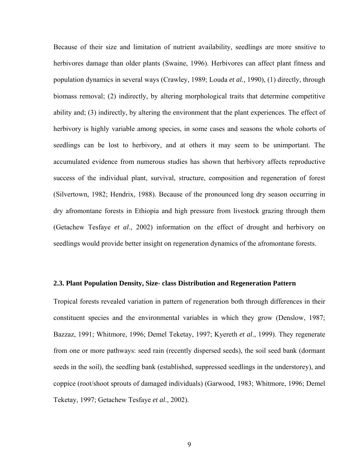<span id="page-18-0"></span>Because of their size and limitation of nutrient availability, seedlings are more snsitive to herbivores damage than older plants (Swaine, 1996). Herbivores can affect plant fitness and population dynamics in several ways (Crawley, 1989; Louda *et al.,* 1990), (1) directly, through biomass removal; (2) indirectly, by altering morphological traits that determine competitive ability and; (3) indirectly, by altering the environment that the plant experiences. The effect of herbivory is highly variable among species, in some cases and seasons the whole cohorts of seedlings can be lost to herbivory, and at others it may seem to be unimportant. The accumulated evidence from numerous studies has shown that herbivory affects reproductive success of the individual plant, survival, structure, composition and regeneration of forest (Silvertown, 1982; Hendrix, 1988). Because of the pronounced long dry season occurring in dry afromontane forests in Ethiopia and high pressure from livestock grazing through them (Getachew Tesfaye *et al*., 2002) information on the effect of drought and herbivory on seedlings would provide better insight on regeneration dynamics of the afromontane forests.

#### **2.3. Plant Population Density, Size- class Distribution and Regeneration Pattern**

Tropical forests revealed variation in pattern of regeneration both through differences in their constituent species and the environmental variables in which they grow (Denslow, 1987; Bazzaz, 1991; Whitmore, 1996; Demel Teketay, 1997; Kyereth *et al*., 1999). They regenerate from one or more pathways: seed rain (recently dispersed seeds), the soil seed bank (dormant seeds in the soil), the seedling bank (established, suppressed seedlings in the understorey), and coppice (root/shoot sprouts of damaged individuals) (Garwood, 1983; Whitmore, 1996; Demel Teketay, 1997; Getachew Tesfaye *et al*., 2002).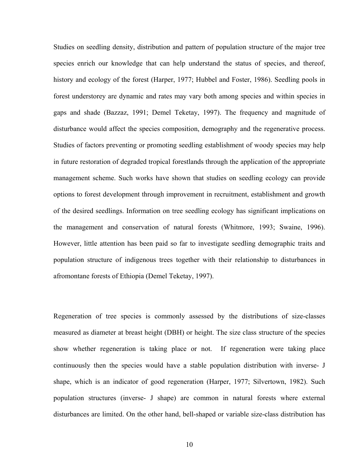Studies on seedling density, distribution and pattern of population structure of the major tree species enrich our knowledge that can help understand the status of species, and thereof, history and ecology of the forest (Harper, 1977; Hubbel and Foster, 1986). Seedling pools in forest understorey are dynamic and rates may vary both among species and within species in gaps and shade (Bazzaz, 1991; Demel Teketay, 1997). The frequency and magnitude of disturbance would affect the species composition, demography and the regenerative process. Studies of factors preventing or promoting seedling establishment of woody species may help in future restoration of degraded tropical forestlands through the application of the appropriate management scheme. Such works have shown that studies on seedling ecology can provide options to forest development through improvement in recruitment, establishment and growth of the desired seedlings. Information on tree seedling ecology has significant implications on the management and conservation of natural forests (Whitmore, 1993; Swaine, 1996). However, little attention has been paid so far to investigate seedling demographic traits and population structure of indigenous trees together with their relationship to disturbances in afromontane forests of Ethiopia (Demel Teketay, 1997).

Regeneration of tree species is commonly assessed by the distributions of size-classes measured as diameter at breast height (DBH) or height. The size class structure of the species show whether regeneration is taking place or not. If regeneration were taking place continuously then the species would have a stable population distribution with inverse- J shape, which is an indicator of good regeneration (Harper, 1977; Silvertown, 1982). Such population structures (inverse- J shape) are common in natural forests where external disturbances are limited. On the other hand, bell-shaped or variable size-class distribution has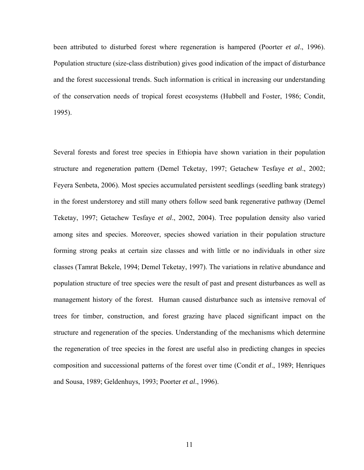been attributed to disturbed forest where regeneration is hampered (Poorter *et al*., 1996). Population structure (size-class distribution) gives good indication of the impact of disturbance and the forest successional trends. Such information is critical in increasing our understanding of the conservation needs of tropical forest ecosystems (Hubbell and Foster, 1986; Condit, 1995).

Several forests and forest tree species in Ethiopia have shown variation in their population structure and regeneration pattern (Demel Teketay, 1997; Getachew Tesfaye *et al*., 2002; Feyera Senbeta, 2006). Most species accumulated persistent seedlings (seedling bank strategy) in the forest understorey and still many others follow seed bank regenerative pathway (Demel Teketay, 1997; Getachew Tesfaye *et al*., 2002, 2004). Tree population density also varied among sites and species. Moreover, species showed variation in their population structure forming strong peaks at certain size classes and with little or no individuals in other size classes (Tamrat Bekele, 1994; Demel Teketay, 1997). The variations in relative abundance and population structure of tree species were the result of past and present disturbances as well as management history of the forest. Human caused disturbance such as intensive removal of trees for timber, construction, and forest grazing have placed significant impact on the structure and regeneration of the species. Understanding of the mechanisms which determine the regeneration of tree species in the forest are useful also in predicting changes in species composition and successional patterns of the forest over time (Condit *et al*., 1989; Henriques and Sousa, 1989; Geldenhuys, 1993; Poorter *et al*., 1996).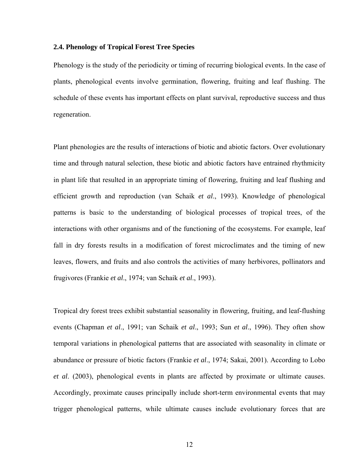#### <span id="page-21-0"></span>**2.4. Phenology of Tropical Forest Tree Species**

Phenology is the study of the periodicity or timing of recurring biological events. In the case of plants, phenological events involve germination, flowering, fruiting and leaf flushing. The schedule of these events has important effects on plant survival, reproductive success and thus regeneration.

Plant phenologies are the results of interactions of biotic and abiotic factors. Over evolutionary time and through natural selection, these biotic and abiotic factors have entrained rhythmicity in plant life that resulted in an appropriate timing of flowering, fruiting and leaf flushing and efficient growth and reproduction (van Schaik *et al*., 1993). Knowledge of phenological patterns is basic to the understanding of biological processes of tropical trees, of the interactions with other organisms and of the functioning of the ecosystems. For example, leaf fall in dry forests results in a modification of forest microclimates and the timing of new leaves, flowers, and fruits and also controls the activities of many herbivores, pollinators and frugivores (Frankie *et al*., 1974; van Schaik *et al*., 1993).

Tropical dry forest trees exhibit substantial seasonality in flowering, fruiting, and leaf-flushing events (Chapman *et al*., 1991; van Schaik *et al*., 1993; Sun *et al*., 1996). They often show temporal variations in phenological patterns that are associated with seasonality in climate or abundance or pressure of biotic factors (Frankie *et al*., 1974; Sakai, 2001). According to Lobo *et al*. (2003), phenological events in plants are affected by proximate or ultimate causes. Accordingly, proximate causes principally include short-term environmental events that may trigger phenological patterns, while ultimate causes include evolutionary forces that are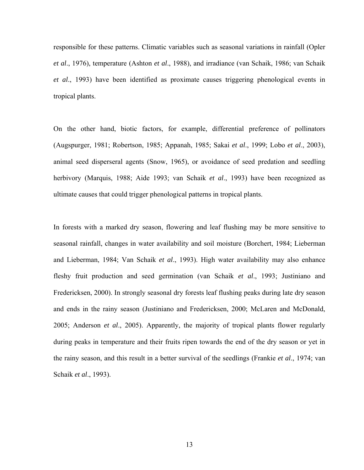responsible for these patterns. Climatic variables such as seasonal variations in rainfall (Opler *et al*., 1976), temperature (Ashton *et al*., 1988), and irradiance (van Schaik, 1986; van Schaik *et al*., 1993) have been identified as proximate causes triggering phenological events in tropical plants.

On the other hand, biotic factors, for example, differential preference of pollinators (Augspurger, 1981; Robertson, 1985; Appanah, 1985; Sakai *et al*., 1999; Lobo *et al*., 2003), animal seed disperseral agents (Snow, 1965), or avoidance of seed predation and seedling herbivory (Marquis, 1988; Aide 1993; van Schaik *et al*., 1993) have been recognized as ultimate causes that could trigger phenological patterns in tropical plants.

In forests with a marked dry season, flowering and leaf flushing may be more sensitive to seasonal rainfall, changes in water availability and soil moisture (Borchert, 1984; Lieberman and Lieberman, 1984; Van Schaik *et al*., 1993). High water availability may also enhance fleshy fruit production and seed germination (van Schaik *et al*., 1993; Justiniano and Fredericksen, 2000). In strongly seasonal dry forests leaf flushing peaks during late dry season and ends in the rainy season (Justiniano and Fredericksen, 2000; McLaren and McDonald, 2005; Anderson *et al*., 2005). Apparently, the majority of tropical plants flower regularly during peaks in temperature and their fruits ripen towards the end of the dry season or yet in the rainy season, and this result in a better survival of the seedlings (Frankie *et al*., 1974; van Schaik *et al*., 1993).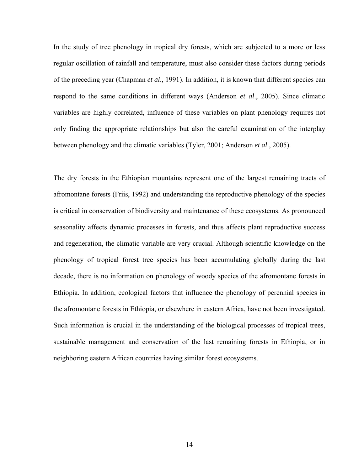In the study of tree phenology in tropical dry forests, which are subjected to a more or less regular oscillation of rainfall and temperature, must also consider these factors during periods of the preceding year (Chapman *et al*., 1991). In addition, it is known that different species can respond to the same conditions in different ways (Anderson *et al*., 2005). Since climatic variables are highly correlated, influence of these variables on plant phenology requires not only finding the appropriate relationships but also the careful examination of the interplay between phenology and the climatic variables (Tyler, 2001; Anderson *et al*., 2005).

The dry forests in the Ethiopian mountains represent one of the largest remaining tracts of afromontane forests (Friis, 1992) and understanding the reproductive phenology of the species is critical in conservation of biodiversity and maintenance of these ecosystems. As pronounced seasonality affects dynamic processes in forests, and thus affects plant reproductive success and regeneration, the climatic variable are very crucial. Although scientific knowledge on the phenology of tropical forest tree species has been accumulating globally during the last decade, there is no information on phenology of woody species of the afromontane forests in Ethiopia. In addition, ecological factors that influence the phenology of perennial species in the afromontane forests in Ethiopia, or elsewhere in eastern Africa, have not been investigated. Such information is crucial in the understanding of the biological processes of tropical trees, sustainable management and conservation of the last remaining forests in Ethiopia, or in neighboring eastern African countries having similar forest ecosystems.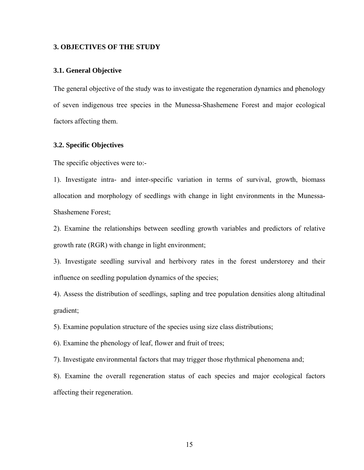#### <span id="page-24-0"></span>**3. OBJECTIVES OF THE STUDY**

#### **3.1. General Objective**

The general objective of the study was to investigate the regeneration dynamics and phenology of seven indigenous tree species in the Munessa-Shashemene Forest and major ecological factors affecting them.

### **3.2. Specific Objectives**

The specific objectives were to:-

1). Investigate intra- and inter-specific variation in terms of survival, growth, biomass allocation and morphology of seedlings with change in light environments in the Munessa-Shashemene Forest;

2). Examine the relationships between seedling growth variables and predictors of relative growth rate (RGR) with change in light environment;

3). Investigate seedling survival and herbivory rates in the forest understorey and their influence on seedling population dynamics of the species;

4). Assess the distribution of seedlings, sapling and tree population densities along altitudinal gradient;

5). Examine population structure of the species using size class distributions;

6). Examine the phenology of leaf, flower and fruit of trees;

7). Investigate environmental factors that may trigger those rhythmical phenomena and;

8). Examine the overall regeneration status of each species and major ecological factors affecting their regeneration.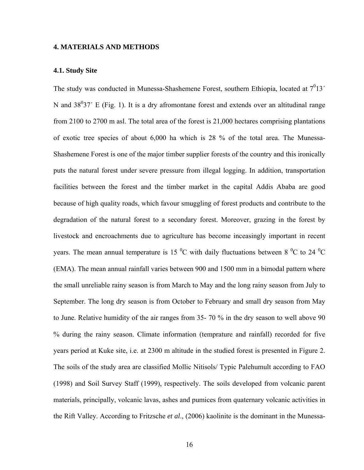#### <span id="page-25-0"></span>**4. MATERIALS AND METHODS**

#### **4.1. Study Site**

The study was conducted in Munessa-Shashemene Forest, southern Ethiopia, located at  $7^013'$ N and  $38^037'$  E (Fig. 1). It is a dry afromontane forest and extends over an altitudinal range from 2100 to 2700 m asl. The total area of the forest is 21,000 hectares comprising plantations of exotic tree species of about 6,000 ha which is 28 % of the total area. The Munessa-Shashemene Forest is one of the major timber supplier forests of the country and this ironically puts the natural forest under severe pressure from illegal logging. In addition, transportation facilities between the forest and the timber market in the capital Addis Ababa are good because of high quality roads, which favour smuggling of forest products and contribute to the degradation of the natural forest to a secondary forest. Moreover, grazing in the forest by livestock and encroachments due to agriculture has become inceasingly important in recent years. The mean annual temperature is 15  $\rm{^0C}$  with daily fluctuations between 8  $\rm{^0C}$  to 24  $\rm{^0C}$ (EMA). The mean annual rainfall varies between 900 and 1500 mm in a bimodal pattern where the small unreliable rainy season is from March to May and the long rainy season from July to September. The long dry season is from October to February and small dry season from May to June. Relative humidity of the air ranges from 35- 70 % in the dry season to well above 90 % during the rainy season. Climate information (temprature and rainfall) recorded for five years period at Kuke site, i.e. at 2300 m altitude in the studied forest is presented in Figure 2. The soils of the study area are classified Mollic Nitisols/ Typic Palehumult according to FAO (1998) and Soil Survey Staff (1999), respectively. The soils developed from volcanic parent materials, principally, volcanic lavas, ashes and pumices from quaternary volcanic activities in the Rift Valley. According to Fritzsche *et al*., (2006) kaolinite is the dominant in the Munessa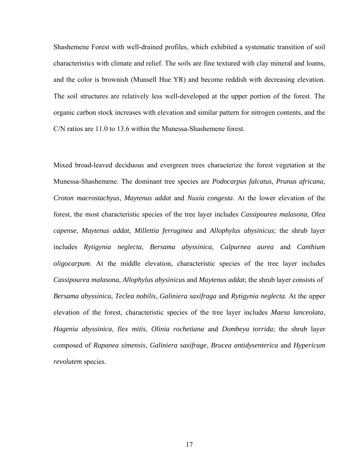Shashemene Forest with well-drained profiles, which exhibited a systematic transition of soil characteristics with climate and relief. The soils are fine textured with clay mineral and loams, and the color is brownish (Munsell Hue YR) and become reddish with decreasing elevation. The soil structures are relatively less well-developed at the upper portion of the forest. The organic carbon stock increases with elevation and similar pattern for nitrogen contents, and the C/N ratios are 11.0 to 13.6 within the Munessa-Shashemene forest.

Mixed broad-leaved deciduous and evergreen trees characterize the forest vegetation at the Munessa-Shashemene. The dominant tree species are *Podocarpus falcatus*, *Prunus africana*, *Croton macrostachyus*, *Maytenus addat* and *Nuxia congesta*. At the lower elevation of the forest, the most characteristic species of the tree layer includes *Cassipourea malasona*, *Olea capense*, *Maytenus addat*, *Millettia ferruginea* and *Allophylus abysinicus*; the shrub layer includes *Rytigynia neglecta*, *Bersama abyssinica*, *Calpurnea aurea* and *Canthium oligocarpum*. At the middle elevation, characteristic species of the tree layer includes *Cassipourea malasona*, *Allophylus abysinicus* and *Maytenus addat*; the shrub layer consists of *Bersama abyssinica*, *Teclea nobilis*, *Galiniera saxifraga* and *Rytigynia neglecta*. At the upper elevation of the forest, characteristic species of the tree layer includes *Maesa lanceolata*, *Hagenia abyssinica*, *Ilex mitis*, *Olinia rochetiana* and *Dombeya torrida*; the shrub layer composed of *Rapanea simensis*, *Galiniera saxifrage*, *Brucea antidysenterica* and *Hypericum revolutem* species.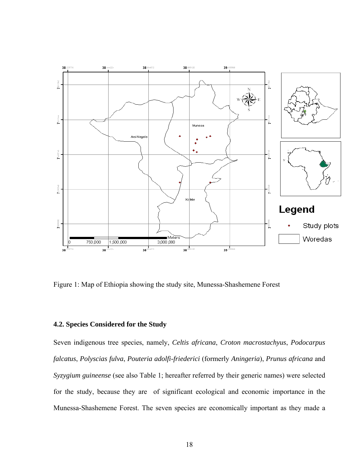<span id="page-27-0"></span>

Figure 1: Map of Ethiopia showing the study site, Munessa-Shashemene Forest

### **4.2. Species Considered for the Study**

Seven indigenous tree species, namely, *Celtis africana*, *Croton macrostachyus*, *Podocarpus falcatus*, *Polyscias fulva*, *Pouteria adolfi-friederici* (formerly *Aningeria*), *Prunus africana* and *Syzygium guineense* (see also Table 1; hereafter referred by their generic names) were selected for the study, because they are of significant ecological and economic importance in the Munessa-Shashemene Forest. The seven species are economically important as they made a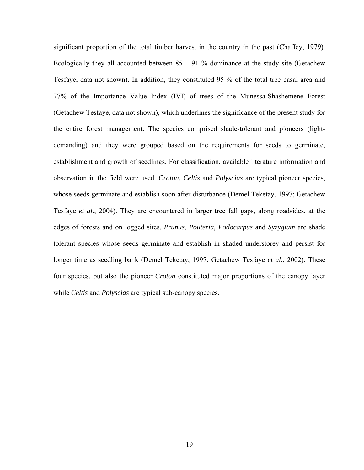significant proportion of the total timber harvest in the country in the past (Chaffey, 1979). Ecologically they all accounted between  $85 - 91$  % dominance at the study site (Getachew Tesfaye, data not shown). In addition, they constituted 95 % of the total tree basal area and 77% of the Importance Value Index (IVI) of trees of the Munessa-Shashemene Forest (Getachew Tesfaye, data not shown), which underlines the significance of the present study for the entire forest management. The species comprised shade-tolerant and pioneers (lightdemanding) and they were grouped based on the requirements for seeds to germinate, establishment and growth of seedlings. For classification, available literature information and observation in the field were used. *Croton*, *Celtis* and *Polyscias* are typical pioneer species, whose seeds germinate and establish soon after disturbance (Demel Teketay, 1997; Getachew Tesfaye *et al*., 2004). They are encountered in larger tree fall gaps, along roadsides, at the edges of forests and on logged sites. *Prunus*, *Pouteria*, *Podocarpus* and *Syzygium* are shade tolerant species whose seeds germinate and establish in shaded understorey and persist for longer time as seedling bank (Demel Teketay, 1997; Getachew Tesfaye *et al*., 2002). These four species, but also the pioneer *Croton* constituted major proportions of the canopy layer while *Celtis* and *Polyscias* are typical sub-canopy species.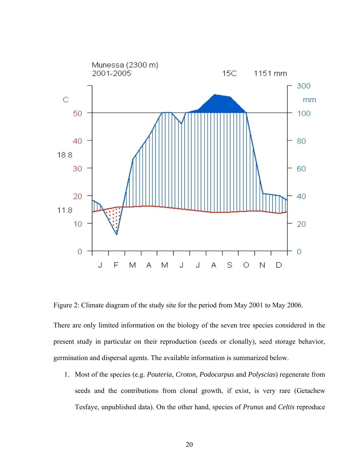

Figure 2: Climate diagram of the study site for the period from May 2001 to May 2006.

There are only limited information on the biology of the seven tree species considered in the present study in particular on their reproduction (seeds or clonally), seed storage behavior, germination and dispersal agents. The available information is summarized below.

1. Most of the species (e.g. *Pouteria*, *Croton*, *Podocarpus* and *Polyscias*) regenerate from seeds and the contributions from clonal growth, if exist, is very rare (Getachew Tesfaye, unpublished data). On the other hand, species of *Prunus* and *Celtis* reproduce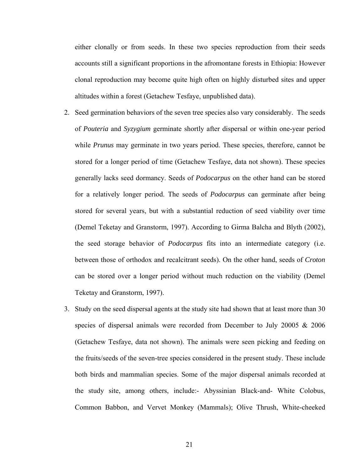either clonally or from seeds. In these two species reproduction from their seeds accounts still a significant proportions in the afromontane forests in Ethiopia: However clonal reproduction may become quite high often on highly disturbed sites and upper altitudes within a forest (Getachew Tesfaye, unpublished data).

- 2. Seed germination behaviors of the seven tree species also vary considerably. The seeds of *Pouteria* and *Syzygium* germinate shortly after dispersal or within one-year period while *Prunus* may germinate in two years period. These species, therefore, cannot be stored for a longer period of time (Getachew Tesfaye, data not shown). These species generally lacks seed dormancy. Seeds of *Podocarpus* on the other hand can be stored for a relatively longer period. The seeds of *Podocarpus* can germinate after being stored for several years, but with a substantial reduction of seed viability over time (Demel Teketay and Granstorm, 1997). According to Girma Balcha and Blyth (2002), the seed storage behavior of *Podocarpus* fits into an intermediate category (i.e. between those of orthodox and recalcitrant seeds). On the other hand, seeds of *Croton* can be stored over a longer period without much reduction on the viability (Demel Teketay and Granstorm, 1997).
- 3. Study on the seed dispersal agents at the study site had shown that at least more than 30 species of dispersal animals were recorded from December to July 20005 & 2006 (Getachew Tesfaye, data not shown). The animals were seen picking and feeding on the fruits/seeds of the seven-tree species considered in the present study. These include both birds and mammalian species. Some of the major dispersal animals recorded at the study site, among others, include:- Abyssinian Black-and- White Colobus, Common Babbon, and Vervet Monkey (Mammals); Olive Thrush, White-cheeked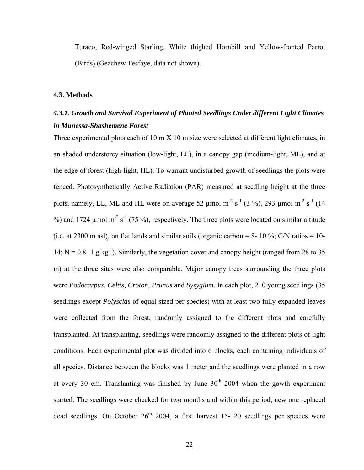<span id="page-31-0"></span>Turaco, Red-winged Starling, White thighed Hornbill and Yellow-fronted Parrot (Birds) (Geachew Tesfaye, data not shown).

#### **4.3. Methods**

## *4.3.1. Growth and Survival Experiment of Planted Seedlings Under different Light Climates in Munessa-Shashemene Forest*

Three experimental plots each of 10 m X 10 m size were selected at different light climates, in an shaded understorey situation (low-light, LL), in a canopy gap (medium-light, ML), and at the edge of forest (high-light, HL). To warrant undisturbed growth of seedlings the plots were fenced. Photosynthetically Active Radiation (PAR) measured at seedling height at the three plots, namely, LL, ML and HL were on average 52  $\mu$ mol m<sup>-2</sup> s<sup>-1</sup> (3 %), 293  $\mu$ mol m<sup>-2</sup> s<sup>-1</sup> (14 %) and 1724  $\mu$ mol m<sup>-2</sup> s<sup>-1</sup> (75 %), respectively. The three plots were located on similar altitude (i.e. at 2300 m asl), on flat lands and similar soils (organic carbon = 8- 10 %; C/N ratios = 10-14;  $N = 0.8 - 1$  g kg<sup>-1</sup>). Similarly, the vegetation cover and canopy height (ranged from 28 to 35 m) at the three sites were also comparable. Major canopy trees surrounding the three plots were *Podocarpus*, *Celtis*, *Croton*, *Prunus* and *Syzygium*. In each plot, 210 young seedlings (35 seedlings except *Polyscias* of equal sized per species) with at least two fully expanded leaves were collected from the forest, randomly assigned to the different plots and carefully transplanted. At transplanting, seedlings were randomly assigned to the different plots of light conditions. Each experimental plot was divided into 6 blocks, each containing individuals of all species. Distance between the blocks was 1 meter and the seedlings were planted in a row at every 30 cm. Translanting was finished by June  $30<sup>th</sup>$  2004 when the gowth experiment started. The seedlings were checked for two months and within this period, new one replaced dead seedlings. On October  $26<sup>th</sup>$  2004, a first harvest 15- 20 seedlings per species were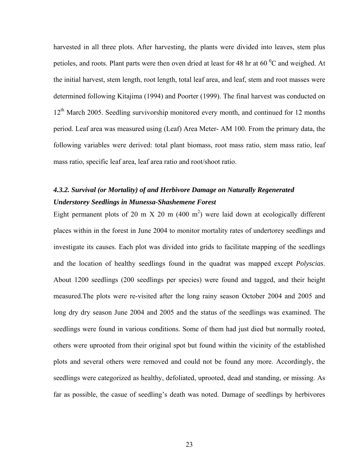<span id="page-32-0"></span>harvested in all three plots. After harvesting, the plants were divided into leaves, stem plus petioles, and roots. Plant parts were then oven dried at least for 48 hr at 60 $\mathrm{^{0}C}$  and weighed. At the initial harvest, stem length, root length, total leaf area, and leaf, stem and root masses were determined following Kitajima (1994) and Poorter (1999). The final harvest was conducted on 12<sup>th</sup> March 2005. Seedling survivorship monitored every month, and continued for 12 months period. Leaf area was measured using (Leaf) Area Meter- AM 100. From the primary data, the following variables were derived: total plant biomass, root mass ratio, stem mass ratio, leaf mass ratio, specific leaf area, leaf area ratio and root/shoot ratio.

## *4.3.2. Survival (or Mortality) of and Herbivore Damage on Naturally Regenerated Understorey Seedlings in Munessa-Shashemene Forest*

Eight permanent plots of 20 m  $\overline{X}$  20 m (400 m<sup>2</sup>) were laid down at ecologically different places within in the forest in June 2004 to monitor mortality rates of undertorey seedlings and investigate its causes. Each plot was divided into grids to facilitate mapping of the seedlings and the location of healthy seedlings found in the quadrat was mapped except *Polyscias*. About 1200 seedlings (200 seedlings per species) were found and tagged, and their height measured.The plots were re-visited after the long rainy season October 2004 and 2005 and long dry dry season June 2004 and 2005 and the status of the seedlings was examined. The seedlings were found in various conditions. Some of them had just died but normally rooted, others were uprooted from their original spot but found within the vicinity of the established plots and several others were removed and could not be found any more. Accordingly, the seedlings were categorized as healthy, defoliated, uprooted, dead and standing, or missing. As far as possible, the casue of seedling's death was noted. Damage of seedlings by herbivores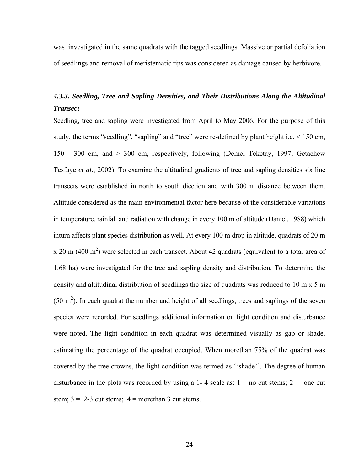<span id="page-33-0"></span>was investigated in the same quadrats with the tagged seedlings. Massive or partial defoliation of seedlings and removal of meristematic tips was considered as damage caused by herbivore.

## *4.3.3. Seedling, Tree and Sapling Densities, and Their Distributions Along the Altitudinal Transect*

Seedling, tree and sapling were investigated from April to May 2006. For the purpose of this study, the terms "seedling", "sapling" and "tree" were re-defined by plant height i.e. < 150 cm, 150 - 300 cm, and > 300 cm, respectively, following (Demel Teketay, 1997; Getachew Tesfaye *et al*., 2002). To examine the altitudinal gradients of tree and sapling densities six line transects were established in north to south diection and with 300 m distance between them. Altitude considered as the main environmental factor here because of the considerable variations in temperature, rainfall and radiation with change in every 100 m of altitude (Daniel, 1988) which inturn affects plant species distribution as well. At every 100 m drop in altitude, quadrats of 20 m  $x 20$  m (400 m<sup>2</sup>) were selected in each transect. About 42 quadrats (equivalent to a total area of 1.68 ha) were investigated for the tree and sapling density and distribution. To determine the density and altitudinal distribution of seedlings the size of quadrats was reduced to 10 m x 5 m  $(50 \text{ m}^2)$ . In each quadrat the number and height of all seedlings, trees and saplings of the seven species were recorded. For seedlings additional information on light condition and disturbance were noted. The light condition in each quadrat was determined visually as gap or shade. estimating the percentage of the quadrat occupied. When morethan 75% of the quadrat was covered by the tree crowns, the light condition was termed as ''shade''. The degree of human disturbance in the plots was recorded by using a 1-4 scale as:  $1 =$  no cut stems;  $2 =$  one cut stem;  $3 = 2-3$  cut stems;  $4 =$ morethan 3 cut stems.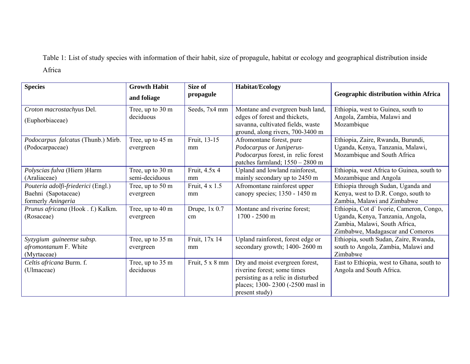Table 1: List of study species with information of their habit, size of propagule, habitat or ecology and geographical distribution inside Africa

| <b>Species</b>                                                                  | <b>Growth Habit</b><br>and foliage | Size of<br>propagule   | <b>Habitat/Ecology</b>                                                                                                                                     | Geographic distribution within Africa                                                                                                            |
|---------------------------------------------------------------------------------|------------------------------------|------------------------|------------------------------------------------------------------------------------------------------------------------------------------------------------|--------------------------------------------------------------------------------------------------------------------------------------------------|
| Croton macrostachyus Del.<br>(Euphorbiaceae)                                    | Tree, up to 30 m<br>deciduous      | Seeds, 7x4 mm          | Montane and evergreen bush land,<br>edges of forest and thickets,<br>savanna, cultivated fields, waste<br>ground, along rivers, 700-3400 m                 | Ethiopia, west to Guinea, south to<br>Angola, Zambia, Malawi and<br>Mozambique                                                                   |
| Podocarpus falcatus (Thunb.) Mirb.<br>(Podocarpaceae)                           | Tree, up to 45 m<br>evergreen      | Fruit, 13-15<br>mm     | Afromontane forest, pure<br>Podocarpus or Juniperus-<br>Podocarpus forest, in relic forest<br>patches farmland; $1550 - 2800$ m                            | Ethiopia, Zaire, Rwanda, Burundi,<br>Uganda, Kenya, Tanzania, Malawi,<br>Mozambique and South Africa                                             |
| Polyscias fulva (Hiern) Harm<br>(Araliaceae)                                    | Tree, up to 30 m<br>semi-deciduous | Fruit, 4.5x 4<br>mm    | Upland and lowland rainforest,<br>mainly secondary up to 2450 m                                                                                            | Ethiopia, west Africa to Guinea, south to<br>Mozambique and Angola                                                                               |
| Pouteria adolfi-friederici (Engl.)<br>Baehni (Sapotaceae)<br>formerly Aningeria | Tree, up to 50 m<br>evergreen      | Fruit, 4 x 1.5<br>mm   | Afromontane rainforest upper<br>canopy species; 1350 - 1450 m                                                                                              | Ethiopia through Sudan, Uganda and<br>Kenya, west to D.R. Congo, south to<br>Zambia, Malawi and Zimbabwe                                         |
| Prunus africana (Hook . f.) Kalkm.<br>(Rosaceae)                                | Tree, up to 40 m<br>evergreen      | Drupe, $1x\,0.7$<br>cm | Montane and riverine forest;<br>$1700 - 2500$ m                                                                                                            | Ethiopia, Cot d'Ivorie, Cameron, Congo,<br>Uganda, Kenya, Tanzania, Angola,<br>Zambia, Malawi, South Africa,<br>Zimbabwe, Madagascar and Comoros |
| Syzygium guineense subsp.<br>afromontanum F. White<br>(Myrtaceae)               | Tree, up to 35 m<br>evergreen      | Fruit, 17x 14<br>mm    | Upland rainforest, forest edge or<br>secondary growth; 1400-2600 m                                                                                         | Ethiopia, south Sudan, Zaire, Rwanda,<br>south to Angola, Zambia, Malawi and<br>Zimbabwe                                                         |
| Celtis africana Burm. f.<br>(Ulmaceae)                                          | Tree, up to 35 m<br>deciduous      | Fruit, 5 x 8 mm        | Dry and moist evergreen forest,<br>riverine forest; some times<br>persisting as a relic in disturbed<br>places; 1300-2300 (-2500 masl in<br>present study) | East to Ethiopia, west to Ghana, south to<br>Angola and South Africa.                                                                            |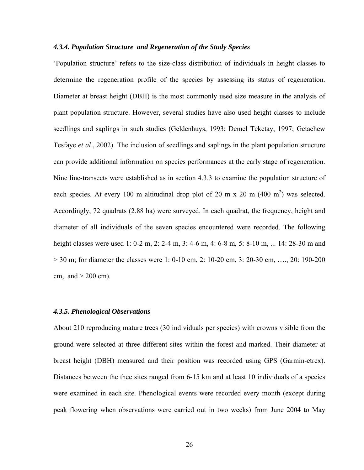#### <span id="page-35-0"></span>*4.3.4. Population Structure and Regeneration of the Study Species*

'Population structure' refers to the size-class distribution of individuals in height classes to determine the regeneration profile of the species by assessing its status of regeneration. Diameter at breast height (DBH) is the most commonly used size measure in the analysis of plant population structure. However, several studies have also used height classes to include seedlings and saplings in such studies (Geldenhuys, 1993; Demel Teketay, 1997; Getachew Tesfaye *et al*., 2002). The inclusion of seedlings and saplings in the plant population structure can provide additional information on species performances at the early stage of regeneration. Nine line-transects were established as in section 4.3.3 to examine the population structure of each species. At every 100 m altitudinal drop plot of 20 m x 20 m  $(400 \text{ m}^2)$  was selected. Accordingly, 72 quadrats (2.88 ha) were surveyed. In each quadrat, the frequency, height and diameter of all individuals of the seven species encountered were recorded. The following height classes were used 1: 0-2 m, 2: 2-4 m, 3: 4-6 m, 4: 6-8 m, 5: 8-10 m, ... 14: 28-30 m and > 30 m; for diameter the classes were 1: 0-10 cm, 2: 10-20 cm, 3: 20-30 cm, …., 20: 190-200 cm, and  $> 200$  cm).

#### *4.3.5. Phenological Observations*

About 210 reproducing mature trees (30 individuals per species) with crowns visible from the ground were selected at three different sites within the forest and marked. Their diameter at breast height (DBH) measured and their position was recorded using GPS (Garmin-etrex). Distances between the thee sites ranged from 6-15 km and at least 10 individuals of a species were examined in each site. Phenological events were recorded every month (except during peak flowering when observations were carried out in two weeks) from June 2004 to May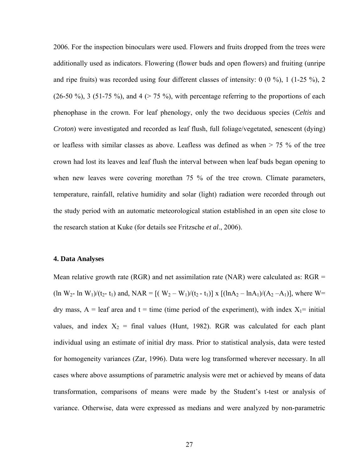2006. For the inspection binoculars were used. Flowers and fruits dropped from the trees were additionally used as indicators. Flowering (flower buds and open flowers) and fruiting (unripe and ripe fruits) was recorded using four different classes of intensity:  $0$  ( $0\%$ ),  $1$  ( $1-25\%$ ),  $2$ (26-50 %), 3 (51-75 %), and 4 ( $> 75$  %), with percentage referring to the proportions of each phenophase in the crown. For leaf phenology, only the two deciduous species (*Celtis* and *Croton*) were investigated and recorded as leaf flush, full foliage/vegetated, senescent (dying) or leafless with similar classes as above. Leafless was defined as when > 75 % of the tree crown had lost its leaves and leaf flush the interval between when leaf buds began opening to when new leaves were covering morethan 75 % of the tree crown. Climate parameters, temperature, rainfall, relative humidity and solar (light) radiation were recorded through out the study period with an automatic meteorological station established in an open site close to the research station at Kuke (for details see Fritzsche *et al*., 2006).

#### **4. Data Analyses**

Mean relative growth rate (RGR) and net assimilation rate (NAR) were calculated as:  $RGR =$  $(\ln W_2 - \ln W_1)/(t_2 - t_1)$  and, NAR =  $[( W_2 - W_1)/(t_2 - t_1) ]$  x  $[(\ln A_2 - \ln A_1)/(A_2 - A_1)]$ , where W= dry mass,  $A =$  leaf area and  $t =$  time (time period of the experiment), with index  $X_1 =$  initial values, and index  $X_2$  = final values (Hunt, 1982). RGR was calculated for each plant individual using an estimate of initial dry mass. Prior to statistical analysis, data were tested for homogeneity variances (Zar, 1996). Data were log transformed wherever necessary. In all cases where above assumptions of parametric analysis were met or achieved by means of data transformation, comparisons of means were made by the Student's t-test or analysis of variance. Otherwise, data were expressed as medians and were analyzed by non-parametric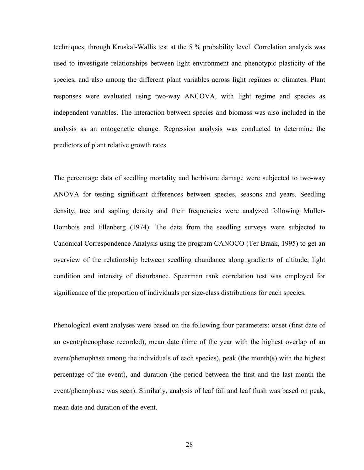techniques, through Kruskal-Wallis test at the 5 % probability level. Correlation analysis was used to investigate relationships between light environment and phenotypic plasticity of the species, and also among the different plant variables across light regimes or climates. Plant responses were evaluated using two-way ANCOVA, with light regime and species as independent variables. The interaction between species and biomass was also included in the analysis as an ontogenetic change. Regression analysis was conducted to determine the predictors of plant relative growth rates.

The percentage data of seedling mortality and herbivore damage were subjected to two-way ANOVA for testing significant differences between species, seasons and years. Seedling density, tree and sapling density and their frequencies were analyzed following Muller-Dombois and Ellenberg (1974). The data from the seedling surveys were subjected to Canonical Correspondence Analysis using the program CANOCO (Ter Braak, 1995) to get an overview of the relationship between seedling abundance along gradients of altitude, light condition and intensity of disturbance. Spearman rank correlation test was employed for significance of the proportion of individuals per size-class distributions for each species.

Phenological event analyses were based on the following four parameters: onset (first date of an event/phenophase recorded), mean date (time of the year with the highest overlap of an event/phenophase among the individuals of each species), peak (the month(s) with the highest percentage of the event), and duration (the period between the first and the last month the event/phenophase was seen). Similarly, analysis of leaf fall and leaf flush was based on peak, mean date and duration of the event.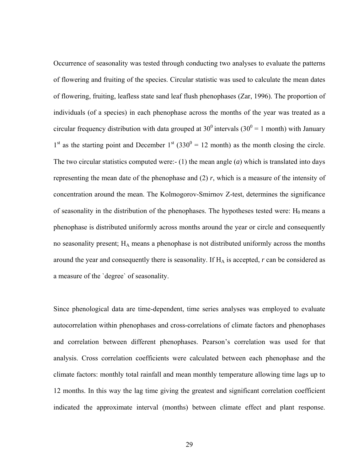Occurrence of seasonality was tested through conducting two analyses to evaluate the patterns of flowering and fruiting of the species. Circular statistic was used to calculate the mean dates of flowering, fruiting, leafless state sand leaf flush phenophases (Zar, 1996). The proportion of individuals (of a species) in each phenophase across the months of the year was treated as a circular frequency distribution with data grouped at  $30^0$  intervals  $(30^0 = 1 \text{ month})$  with January  $1<sup>st</sup>$  as the starting point and December  $1<sup>st</sup>$  (330<sup>0</sup> = 12 month) as the month closing the circle. The two circular statistics computed were:- (1) the mean angle (*a*) which is translated into days representing the mean date of the phenophase and (2) *r*, which is a measure of the intensity of concentration around the mean. The Kolmogorov-Smirnov Z-test, determines the significance of seasonality in the distribution of the phenophases. The hypotheses tested were:  $H_0$  means a phenophase is distributed uniformly across months around the year or circle and consequently no seasonality present;  $H_A$  means a phenophase is not distributed uniformly across the months around the year and consequently there is seasonality. If  $H_A$  is accepted,  $r$  can be considered as a measure of the `degree` of seasonality.

Since phenological data are time-dependent, time series analyses was employed to evaluate autocorrelation within phenophases and cross-correlations of climate factors and phenophases and correlation between different phenophases. Pearson's correlation was used for that analysis. Cross correlation coefficients were calculated between each phenophase and the climate factors: monthly total rainfall and mean monthly temperature allowing time lags up to 12 months. In this way the lag time giving the greatest and significant correlation coefficient indicated the approximate interval (months) between climate effect and plant response.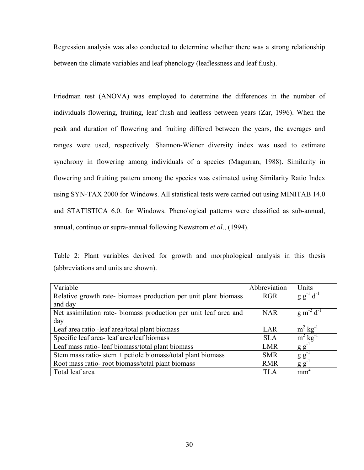Regression analysis was also conducted to determine whether there was a strong relationship between the climate variables and leaf phenology (leaflessness and leaf flush).

Friedman test (ANOVA) was employed to determine the differences in the number of individuals flowering, fruiting, leaf flush and leafless between years (Zar, 1996). When the peak and duration of flowering and fruiting differed between the years, the averages and ranges were used, respectively. Shannon-Wiener diversity index was used to estimate synchrony in flowering among individuals of a species (Magurran, 1988). Similarity in flowering and fruiting pattern among the species was estimated using Similarity Ratio Index using SYN-TAX 2000 for Windows. All statistical tests were carried out using MINITAB 14.0 and STATISTICA 6.0. for Windows. Phenological patterns were classified as sub-annual, annual, continuo or supra-annual following Newstrom *et al*., (1994).

Table 2: Plant variables derived for growth and morphological analysis in this thesis (abbreviations and units are shown).

| Variable                                                         | Abbreviation | Units                                  |
|------------------------------------------------------------------|--------------|----------------------------------------|
| Relative growth rate-biomass production per unit plant biomass   | <b>RGR</b>   | $g g^{-1} d^{-1}$                      |
| and day                                                          |              |                                        |
| Net assimilation rate- biomass production per unit leaf area and | <b>NAR</b>   | $\rm{g} \, \rm{m}^{-2} \, \rm{d}^{-1}$ |
| day                                                              |              |                                        |
| Leaf area ratio - leaf area/total plant biomass                  | LAR          | $m^2$ kg <sup>-1</sup>                 |
| Specific leaf area-leaf area/leaf biomass                        | <b>SLA</b>   | $m^2$ kg <sup>-1</sup>                 |
| Leaf mass ratio- leaf biomass/total plant biomass                | <b>LMR</b>   | $\frac{g g^{\prime}}{g}$               |
| Stem mass ratio-stem + petiole biomass/total plant biomass       | <b>SMR</b>   | $\underline{g} \underline{g}^{-1}$     |
| Root mass ratio- root biomass/total plant biomass                | <b>RMR</b>   | $g g^{-1}$                             |
| Total leaf area                                                  | <b>TLA</b>   | mm                                     |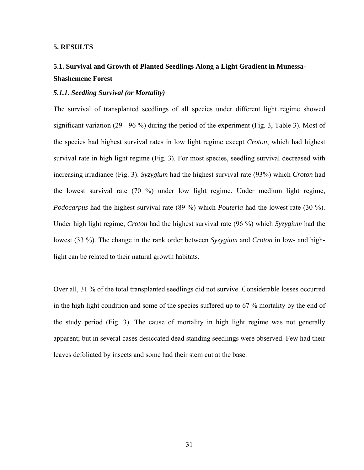#### **5. RESULTS**

# **5.1. Survival and Growth of Planted Seedlings Along a Light Gradient in Munessa-Shashemene Forest**

#### *5.1.1. Seedling Survival (or Mortality)*

The survival of transplanted seedlings of all species under different light regime showed significant variation (29 - 96 %) during the period of the experiment (Fig. 3, Table 3). Most of the species had highest survival rates in low light regime except *Croton*, which had highest survival rate in high light regime (Fig. 3). For most species, seedling survival decreased with increasing irradiance (Fig. 3). *Syzygium* had the highest survival rate (93%) which *Croton* had the lowest survival rate (70 %) under low light regime. Under medium light regime, *Podocarpus* had the highest survival rate (89 %) which *Pouteria* had the lowest rate (30 %). Under high light regime, *Croton* had the highest survival rate (96 %) which *Syzygium* had the lowest (33 %). The change in the rank order between *Syzygium* and *Croton* in low- and highlight can be related to their natural growth habitats.

Over all, 31 % of the total transplanted seedlings did not survive. Considerable losses occurred in the high light condition and some of the species suffered up to 67 % mortality by the end of the study period (Fig. 3). The cause of mortality in high light regime was not generally apparent; but in several cases desiccated dead standing seedlings were observed. Few had their leaves defoliated by insects and some had their stem cut at the base.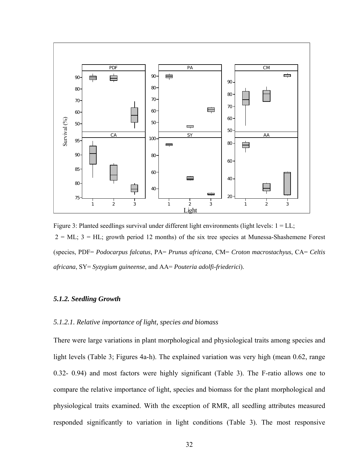

Figure 3: Planted seedlings survival under different light environments (light levels:  $1 = LL$ ;  $2 = ML$ ;  $3 = HL$ ; growth period 12 months) of the six tree species at Munessa-Shashemene Forest (species, PDF= *Podocarpus falcatus*, PA= *Prunus africana*, CM= *Croton macrostachyus*, CA= *Celtis africana*, SY= *Syzygium guineense*, and AA= *Pouteria adolfi-friederici*).

### *5.1.2. Seedling Growth*

#### *5.1.2.1. Relative importance of light, species and biomass*

There were large variations in plant morphological and physiological traits among species and light levels (Table 3; Figures 4a-h). The explained variation was very high (mean 0.62, range 0.32- 0.94) and most factors were highly significant (Table 3). The F-ratio allows one to compare the relative importance of light, species and biomass for the plant morphological and physiological traits examined. With the exception of RMR, all seedling attributes measured responded significantly to variation in light conditions (Table 3). The most responsive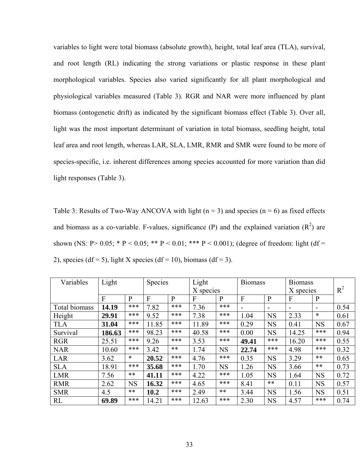variables to light were total biomass (absolute growth), height, total leaf area (TLA), survival, and root length (RL) indicating the strong variations or plastic response in these plant morphological variables. Species also varied significantly for all plant morphological and physiological variables measured (Table 3). RGR and NAR were more influenced by plant biomass (ontogenetic drift) as indicated by the significant biomass effect (Table 3). Over all, light was the most important determinant of variation in total biomass, seedling height, total leaf area and root length, whereas LAR, SLA, LMR, RMR and SMR were found to be more of species-specific, i.e. inherent differences among species accounted for more variation than did light responses (Table 3).

Table 3: Results of Two-Way ANCOVA with light ( $n = 3$ ) and species ( $n = 6$ ) as fixed effects and biomass as a co-variable. F-values, significance (P) and the explained variation  $(R^2)$  are shown (NS: P > 0.05; \* P < 0.05; \*\* P < 0.01; \*\*\* P < 0.001); (degree of freedom: light (df = 2), species (df = 5), light X species (df = 10), biomass (df = 3).

| Variables     | Light        |           | <b>Species</b> |              | Light<br>X species |              | <b>Biomass</b>           |              | <b>Biomass</b><br>X species |              | $R^2$ |
|---------------|--------------|-----------|----------------|--------------|--------------------|--------------|--------------------------|--------------|-----------------------------|--------------|-------|
|               | $\mathbf{F}$ | P         | F              | $\mathbf{P}$ | $\mathbf{F}$       | $\mathbf{P}$ | $\mathbf{F}$             | $\mathbf{P}$ | F                           | $\mathbf{P}$ |       |
| Total biomass | 14.19        | ***       | 7.82           | ***          | 7.36               | ***          | $\overline{\phantom{0}}$ |              |                             |              | 0.54  |
| Height        | 29.91        | ***       | 9.52           | ***          | 7.38               | ***          | 1.04                     | <b>NS</b>    | 2.33                        | $\ast$       | 0.61  |
| <b>TLA</b>    | 31.04        | ***       | 11.85          | ***          | 11.89              | ***          | 0.29                     | <b>NS</b>    | 0.41                        | <b>NS</b>    | 0.67  |
| Survival      | 186.63       | ***       | 98.23          | ***          | 40.58              | ***          | 0.00                     | <b>NS</b>    | 14.25                       | ***          | 0.94  |
| <b>RGR</b>    | 25.51        | ***       | 9.26           | ***          | 3.53               | ***          | 49.41                    | ***          | 16.20                       | ***          | 0.55  |
| <b>NAR</b>    | 10.60        | ***       | 3.42           | **           | 1.74               | <b>NS</b>    | 22.74                    | ***          | 4.98                        | ***          | 0.32  |
| LAR           | 3.62         | $\ast$    | 20.52          | ***          | 4.76               | ***          | 0.35                     | <b>NS</b>    | 3.29                        | $***$        | 0.65  |
| <b>SLA</b>    | 18.91        | ***       | 35.68          | ***          | 1.70               | <b>NS</b>    | 1.26                     | <b>NS</b>    | 3.66                        | $***$        | 0.73  |
| <b>LMR</b>    | 7.56         | $***$     | 41.11          | ***          | 4.22               | ***          | 1.05                     | <b>NS</b>    | 1.64                        | <b>NS</b>    | 0.72  |
| <b>RMR</b>    | 2.62         | <b>NS</b> | 16.32          | ***          | 4.65               | ***          | 8.41                     | $***$        | 0.11                        | <b>NS</b>    | 0.57  |
| <b>SMR</b>    | 4.5          | $***$     | 10.2           | ***          | 2.49               | $***$        | 3.44                     | <b>NS</b>    | 1.56                        | <b>NS</b>    | 0.51  |
| RL            | 69.89        | ***       | 14.21          | ***          | 12.63              | ***          | 2.30                     | <b>NS</b>    | 4.57                        | ***          | 0.74  |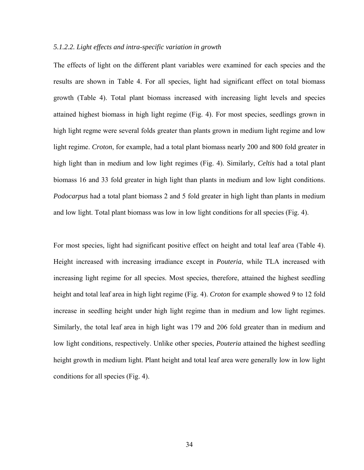#### *5.1.2.2. Light effects and intra-specific variation in growth*

The effects of light on the different plant variables were examined for each species and the results are shown in Table 4. For all species, light had significant effect on total biomass growth (Table 4). Total plant biomass increased with increasing light levels and species attained highest biomass in high light regime (Fig. 4). For most species, seedlings grown in high light regme were several folds greater than plants grown in medium light regime and low light regime. *Croton*, for example, had a total plant biomass nearly 200 and 800 fold greater in high light than in medium and low light regimes (Fig. 4). Similarly, *Celtis* had a total plant biomass 16 and 33 fold greater in high light than plants in medium and low light conditions. *Podocarpus* had a total plant biomass 2 and 5 fold greater in high light than plants in medium and low light. Total plant biomass was low in low light conditions for all species (Fig. 4).

For most species, light had significant positive effect on height and total leaf area (Table 4). Height increased with increasing irradiance except in *Pouteria*, while TLA increased with increasing light regime for all species. Most species, therefore, attained the highest seedling height and total leaf area in high light regime (Fig. 4). *Croton* for example showed 9 to 12 fold increase in seedling height under high light regime than in medium and low light regimes. Similarly, the total leaf area in high light was 179 and 206 fold greater than in medium and low light conditions, respectively. Unlike other species, *Pouteria* attained the highest seedling height growth in medium light. Plant height and total leaf area were generally low in low light conditions for all species (Fig. 4).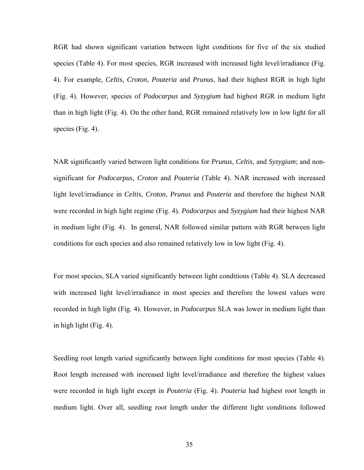RGR had shown significant variation between light conditions for five of the six studied species (Table 4). For most species, RGR increased with increased light level/irradiance (Fig. 4). For example, *Celtis*, *Croton*, *Pouteria* and *Prunus*, had their highest RGR in high light (Fig. 4). However, species of *Podocarpus* and *Syzygium* had highest RGR in medium light than in high light (Fig. 4). On the other hand, RGR remained relatively low in low light for all species (Fig. 4).

NAR significantly varied between light conditions for *Prunus*, *Celtis*, and *Syzygium*; and nonsignificant for *Podocarpus*, *Croton* and *Pouteria* (Table 4). NAR increased with increased light level/irradiance in *Celtis*, *Croton*, *Prunus* and *Pouteria* and therefore the highest NAR were recorded in high light regime (Fig. 4). *Podocarpus* and *Syzygium* had their highest NAR in medium light (Fig. 4). In general, NAR followed similar pattern with RGR between light conditions for each species and also remained relatively low in low light (Fig. 4).

For most species, SLA varied significantly between light conditions (Table 4). SLA decreased with increased light level/irradiance in most species and therefore the lowest values were recorded in high light (Fig. 4). However, in *Podocarpus* SLA was lower in medium light than in high light (Fig. 4).

Seedling root length varied significantly between light conditions for most species (Table 4). Root length increased with increased light level/irradiance and therefore the highest values were recorded in high light except in *Pouteria* (Fig. 4). *Pouteria* had highest root length in medium light. Over all, seedling root length under the different light conditions followed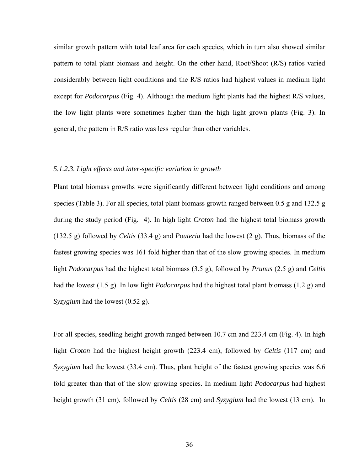similar growth pattern with total leaf area for each species, which in turn also showed similar pattern to total plant biomass and height. On the other hand, Root/Shoot (R/S) ratios varied considerably between light conditions and the R/S ratios had highest values in medium light except for *Podocarpus* (Fig. 4). Although the medium light plants had the highest R/S values, the low light plants were sometimes higher than the high light grown plants (Fig. 3). In general, the pattern in R/S ratio was less regular than other variables.

#### *5.1.2.3. Light effects and inter-specific variation in growth*

Plant total biomass growths were significantly different between light conditions and among species (Table 3). For all species, total plant biomass growth ranged between 0.5 g and 132.5 g during the study period (Fig. 4). In high light *Croton* had the highest total biomass growth (132.5 g) followed by *Celtis* (33.4 g) and *Pouteria* had the lowest (2 g). Thus, biomass of the fastest growing species was 161 fold higher than that of the slow growing species. In medium light *Podocarpus* had the highest total biomass (3.5 g), followed by *Prunus* (2.5 g) and *Celtis* had the lowest (1.5 g). In low light *Podocarpus* had the highest total plant biomass (1.2 g) and *Syzygium* had the lowest (0.52 g).

For all species, seedling height growth ranged between 10.7 cm and 223.4 cm (Fig. 4). In high light *Croton* had the highest height growth (223.4 cm), followed by *Celtis* (117 cm) and *Syzygium* had the lowest (33.4 cm). Thus, plant height of the fastest growing species was 6.6 fold greater than that of the slow growing species. In medium light *Podocarpus* had highest height growth (31 cm), followed by *Celtis* (28 cm) and *Syzygium* had the lowest (13 cm). In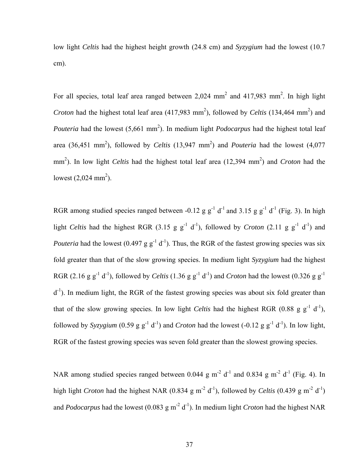low light *Celtis* had the highest height growth (24.8 cm) and *Syzygium* had the lowest (10.7 cm).

For all species, total leaf area ranged between 2,024 mm<sup>2</sup> and 417,983 mm<sup>2</sup>. In high light *Croton* had the highest total leaf area  $(417,983 \text{ mm}^2)$ , followed by *Celtis*  $(134,464 \text{ mm}^2)$  and Pouteria had the lowest (5,661 mm<sup>2</sup>). In medium light *Podocarpus* had the highest total leaf area  $(36,451 \text{ mm}^2)$ , followed by *Celtis*  $(13,947 \text{ mm}^2)$  and *Pouteria* had the lowest  $(4,077$ mm<sup>2</sup>). In low light *Celtis* had the highest total leaf area (12,394 mm<sup>2</sup>) and *Croton* had the lowest  $(2,024 \text{ mm}^2)$ .

RGR among studied species ranged between -0.12 g  $g^{-1}$  d<sup>-1</sup> and 3.15 g  $g^{-1}$  d<sup>-1</sup> (Fig. 3). In high light *Celtis* had the highest RGR (3.15 g  $g^{-1}$  d<sup>-1</sup>), followed by *Croton* (2.11 g  $g^{-1}$  d<sup>-1</sup>) and *Pouteria* had the lowest (0.497 g  $g^{-1} d^{-1}$ ). Thus, the RGR of the fastest growing species was six fold greater than that of the slow growing species. In medium light *Syzygium* had the highest RGR (2.16 g g<sup>-1</sup> d<sup>-1</sup>), followed by *Celtis* (1.36 g g<sup>-1</sup> d<sup>-1</sup>) and *Croton* had the lowest (0.326 g g<sup>-1</sup>  $d^{-1}$ ). In medium light, the RGR of the fastest growing species was about six fold greater than that of the slow growing species. In low light *Celtis* had the highest RGR (0.88 g  $g^{-1}$  d<sup>-1</sup>), followed by *Syzygium* (0.59 g  $g^{-1}$  d<sup>-1</sup>) and *Croton* had the lowest (-0.12 g  $g^{-1}$  d<sup>-1</sup>). In low light, RGR of the fastest growing species was seven fold greater than the slowest growing species.

NAR among studied species ranged between 0.044 g  $m<sup>-2</sup> d<sup>-1</sup>$  and 0.834 g  $m<sup>-2</sup> d<sup>-1</sup>$  (Fig. 4). In high light *Croton* had the highest NAR (0.834 g m<sup>-2</sup> d<sup>-1</sup>), followed by *Celtis* (0.439 g m<sup>-2</sup> d<sup>-1</sup>) and *Podocarpus* had the lowest (0.083 g m<sup>-2</sup> d<sup>-1</sup>). In medium light *Croton* had the highest NAR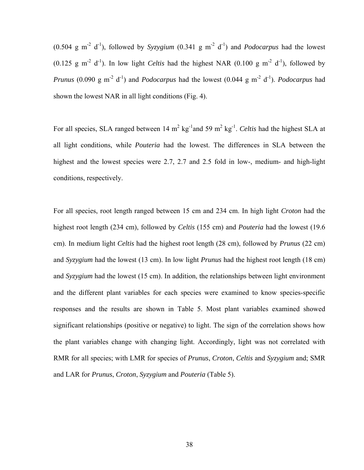$(0.504 \text{ g m}^{-2} \text{ d}^{-1})$ , followed by *Syzygium*  $(0.341 \text{ g m}^{-2} \text{ d}^{-1})$  and *Podocarpus* had the lowest  $(0.125 \text{ g m}^{-2} \text{ d}^{-1})$ . In low light *Celtis* had the highest NAR  $(0.100 \text{ g m}^{-2} \text{ d}^{-1})$ , followed by *Prunus* (0.090 g m<sup>-2</sup> d<sup>-1</sup>) and *Podocarpus* had the lowest (0.044 g m<sup>-2</sup> d<sup>-1</sup>). *Podocarpus* had shown the lowest NAR in all light conditions (Fig. 4).

For all species, SLA ranged between  $14 \text{ m}^2 \text{ kg}^{-1}$  and  $59 \text{ m}^2 \text{ kg}^{-1}$ . *Celtis* had the highest SLA at all light conditions, while *Pouteria* had the lowest. The differences in SLA between the highest and the lowest species were 2.7, 2.7 and 2.5 fold in low-, medium- and high-light conditions, respectively.

For all species, root length ranged between 15 cm and 234 cm. In high light *Croton* had the highest root length (234 cm), followed by *Celtis* (155 cm) and *Pouteria* had the lowest (19.6 cm). In medium light *Celtis* had the highest root length (28 cm), followed by *Prunus* (22 cm) and *Syzygium* had the lowest (13 cm). In low light *Prunus* had the highest root length (18 cm) and *Syzygium* had the lowest (15 cm). In addition, the relationships between light environment and the different plant variables for each species were examined to know species-specific responses and the results are shown in Table 5. Most plant variables examined showed significant relationships (positive or negative) to light. The sign of the correlation shows how the plant variables change with changing light. Accordingly, light was not correlated with RMR for all species; with LMR for species of *Prunus*, *Croton*, *Celtis* and *Syzygium* and; SMR and LAR for *Prunus*, *Croton*, *Syzygium* and *Pouteria* (Table 5).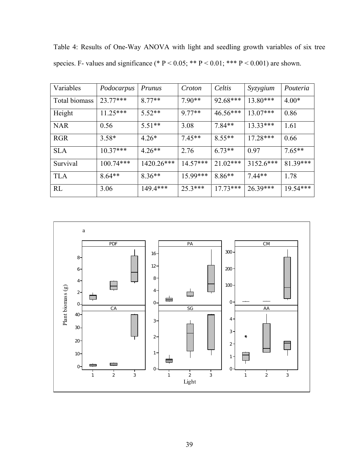| Variables     | Podocarpus  | Prunus     | Croton     | Celtis     | Syzygium    | Pouteria |
|---------------|-------------|------------|------------|------------|-------------|----------|
| Total biomass | 23.77***    | $8.77**$   | $7.90**$   | 92.68***   | $13.80***$  | $4.00*$  |
| Height        | $11.25***$  | $5.52**$   | $9.77**$   | $46.56***$ | $13.07***$  | 0.86     |
| <b>NAR</b>    | 0.56        | $5.51**$   | 3.08       | $7.84**$   | $13.33***$  | 1.61     |
| <b>RGR</b>    | $3.58*$     | $4.26*$    | $7.45**$   | $8.55**$   | $17.28***$  | 0.66     |
| <b>SLA</b>    | $10.37***$  | $4.26**$   | 2.76       | $6.73**$   | 0.97        | $7.65**$ |
| Survival      | $100.74***$ | 1420.26*** | $14.57***$ | $21.02***$ | $3152.6***$ | 81.39*** |
| <b>TLA</b>    | $8.64**$    | $8.36**$   | 15.99***   | $8.86**$   | $7.44**$    | 1.78     |
| RL            | 3.06        | $149.4***$ | $25.3***$  | $17.73***$ | 26.39***    | 19.54*** |

Table 4: Results of One-Way ANOVA with light and seedling growth variables of six tree species. F- values and significance (\*  $P < 0.05$ ; \*\*  $P < 0.01$ ; \*\*\*  $P < 0.001$ ) are shown.

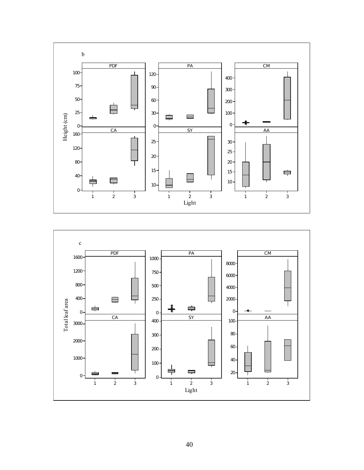

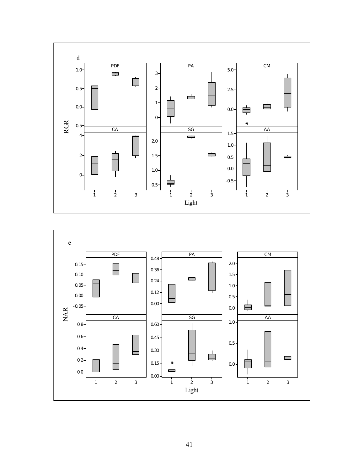

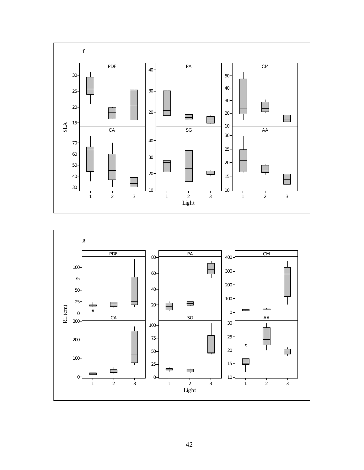

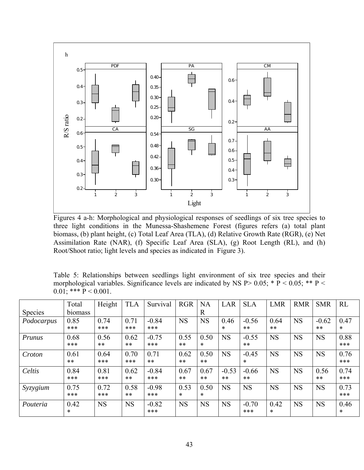

Figures 4 a-h: Morphological and physiological responses of seedlings of six tree species to three light conditions in the Munessa-Shashemene Forest (figures refers (a) total plant biomass, (b) plant height, (c) Total Leaf Area (TLA), (d) Relative Growth Rate (RGR), (e) Net Assimilation Rate (NAR), (f) Specific Leaf Area (SLA), (g) Root Length (RL), and (h) Root/Shoot ratio; light levels and species as indicated in Figure 3).

Table 5: Relationships between seedlings light environment of six tree species and their morphological variables. Significance levels are indicated by NS P > 0.05; \* P < 0.05; \*\* P < 0.01; \*\*\*  $\bar{P}$  < 0.001.

|                | Total          | Height        | <b>TLA</b>    | Survival       | <b>RGR</b>     | <b>NA</b>      | LAR              | <b>SLA</b>        | <b>LMR</b>     | <b>RMR</b> | <b>SMR</b>       | RL             |
|----------------|----------------|---------------|---------------|----------------|----------------|----------------|------------------|-------------------|----------------|------------|------------------|----------------|
| <b>Species</b> | biomass        |               |               |                |                | $\mathbf R$    |                  |                   |                |            |                  |                |
| Podocarpus     | 0.85<br>***    | 0.74<br>***   | 0.71<br>***   | $-0.84$<br>*** | <b>NS</b>      | <b>NS</b>      | 0.46<br>*        | $-0.56$<br>$***$  | 0.64<br>$***$  | <b>NS</b>  | $-0.62$<br>$***$ | 0.47<br>$\ast$ |
| Prunus         | 0.68<br>***    | 0.56<br>$***$ | 0.62<br>$***$ | $-0.75$<br>*** | 0.55<br>$***$  | 0.50<br>$\ast$ | <b>NS</b>        | $-0.55$<br>$***$  | <b>NS</b>      | <b>NS</b>  | <b>NS</b>        | 0.88<br>***    |
| Croton         | 0.61<br>$***$  | 0.64<br>***   | 0.70<br>***   | 0.71<br>$***$  | 0.62<br>$***$  | 0.50<br>$***$  | <b>NS</b>        | $-0.45$<br>$\ast$ | <b>NS</b>      | <b>NS</b>  | <b>NS</b>        | 0.76<br>***    |
| Celtis         | 0.84<br>***    | 0.81<br>***   | 0.62<br>$***$ | $-0.84$<br>*** | 0.67<br>$***$  | 0.67<br>$***$  | $-0.53$<br>$***$ | $-0.66$<br>$***$  | <b>NS</b>      | <b>NS</b>  | 0.56<br>$***$    | 0.74<br>***    |
| Syzygium       | 0.75<br>***    | 0.72<br>***   | 0.58<br>$***$ | $-0.98$<br>*** | 0.53<br>$\ast$ | 0.50<br>$\ast$ | <b>NS</b>        | <b>NS</b>         | <b>NS</b>      | <b>NS</b>  | <b>NS</b>        | 0.73<br>***    |
| Pouteria       | 0.42<br>$\ast$ | <b>NS</b>     | <b>NS</b>     | $-0.82$<br>*** | <b>NS</b>      | <b>NS</b>      | <b>NS</b>        | $-0.70$<br>***    | 0.42<br>$\ast$ | <b>NS</b>  | <b>NS</b>        | 0.46<br>$\ast$ |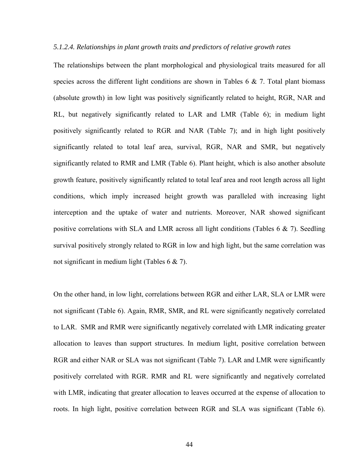#### *5.1.2.4. Relationships in plant growth traits and predictors of relative growth rates*

The relationships between the plant morphological and physiological traits measured for all species across the different light conditions are shown in Tables  $6 \& 7$ . Total plant biomass (absolute growth) in low light was positively significantly related to height, RGR, NAR and RL, but negatively significantly related to LAR and LMR (Table 6); in medium light positively significantly related to RGR and NAR (Table 7); and in high light positively significantly related to total leaf area, survival, RGR, NAR and SMR, but negatively significantly related to RMR and LMR (Table 6). Plant height, which is also another absolute growth feature, positively significantly related to total leaf area and root length across all light conditions, which imply increased height growth was paralleled with increasing light interception and the uptake of water and nutrients. Moreover, NAR showed significant positive correlations with SLA and LMR across all light conditions (Tables 6 & 7). Seedling survival positively strongly related to RGR in low and high light, but the same correlation was not significant in medium light (Tables 6 & 7).

On the other hand, in low light, correlations between RGR and either LAR, SLA or LMR were not significant (Table 6). Again, RMR, SMR, and RL were significantly negatively correlated to LAR. SMR and RMR were significantly negatively correlated with LMR indicating greater allocation to leaves than support structures. In medium light, positive correlation between RGR and either NAR or SLA was not significant (Table 7). LAR and LMR were significantly positively correlated with RGR. RMR and RL were significantly and negatively correlated with LMR, indicating that greater allocation to leaves occurred at the expense of allocation to roots. In high light, positive correlation between RGR and SLA was significant (Table 6).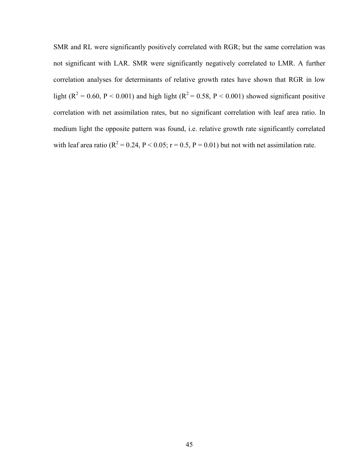SMR and RL were significantly positively correlated with RGR; but the same correlation was not significant with LAR. SMR were significantly negatively correlated to LMR. A further correlation analyses for determinants of relative growth rates have shown that RGR in low light ( $R^2$  = 0.60, P < 0.001) and high light ( $R^2$  = 0.58, P < 0.001) showed significant positive correlation with net assimilation rates, but no significant correlation with leaf area ratio. In medium light the opposite pattern was found, i.e. relative growth rate significantly correlated with leaf area ratio ( $R^2 = 0.24$ ,  $P < 0.05$ ;  $r = 0.5$ ,  $P = 0.01$ ) but not with net assimilation rate.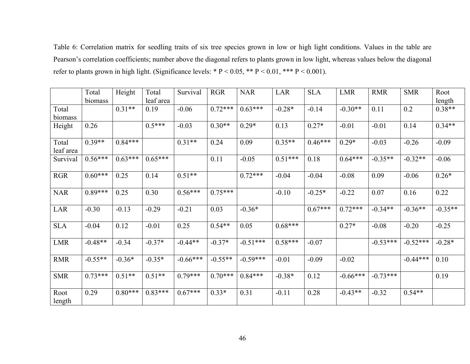Table 6: Correlation matrix for seedling traits of six tree species grown in low or high light conditions. Values in the table are Pearson's correlation coefficients; number above the diagonal refers to plants grown in low light, whereas values below the diagonal refer to plants grown in high light. (Significance levels: \*  $P < 0.05$ , \*\*  $P < 0.01$ , \*\*\*  $P < 0.001$ ).

|                    | Total<br>biomass | Height    | Total<br>leaf area | Survival   | <b>RGR</b> | <b>NAR</b> | LAR       | <b>SLA</b> | <b>LMR</b> | <b>RMR</b> | <b>SMR</b> | Root<br>length |
|--------------------|------------------|-----------|--------------------|------------|------------|------------|-----------|------------|------------|------------|------------|----------------|
| Total<br>biomass   |                  | $0.31**$  | 0.19               | $-0.06$    | $0.72***$  | $0.63***$  | $-0.28*$  | $-0.14$    | $-0.30**$  | 0.11       | 0.2        | $0.38**$       |
| Height             | 0.26             |           | $0.5***$           | $-0.03$    | $0.30**$   | $0.29*$    | 0.13      | $0.27*$    | $-0.01$    | $-0.01$    | 0.14       | $0.34**$       |
| Total<br>leaf area | $0.39**$         | $0.84***$ |                    | $0.31**$   | 0.24       | 0.09       | $0.35**$  | $0.46***$  | $0.29*$    | $-0.03$    | $-0.26$    | $-0.09$        |
| Survival           | $0.56***$        | $0.63***$ | $0.65***$          |            | 0.11       | $-0.05$    | $0.51***$ | 0.18       | $0.64***$  | $-0.35**$  | $-0.32**$  | $-0.06$        |
| <b>RGR</b>         | $0.60***$        | 0.25      | 0.14               | $0.51**$   |            | $0.72***$  | $-0.04$   | $-0.04$    | $-0.08$    | 0.09       | $-0.06$    | $0.26*$        |
| <b>NAR</b>         | $0.89***$        | 0.25      | 0.30               | $0.56***$  | $0.75***$  |            | $-0.10$   | $-0.25*$   | $-0.22$    | 0.07       | 0.16       | 0.22           |
| LAR                | $-0.30$          | $-0.13$   | $-0.29$            | $-0.21$    | 0.03       | $-0.36*$   |           | $0.67***$  | $0.72***$  | $-0.34**$  | $-0.36**$  | $-0.35**$      |
| <b>SLA</b>         | $-0.04$          | 0.12      | $-0.01$            | 0.25       | $0.54**$   | 0.05       | $0.68***$ |            | $0.27*$    | $-0.08$    | $-0.20$    | $-0.25$        |
| <b>LMR</b>         | $-0.48**$        | $-0.34$   | $-0.37*$           | $-0.44**$  | $-0.37*$   | $-0.51***$ | $0.58***$ | $-0.07$    |            | $-0.53***$ | $-0.52***$ | $-0.28*$       |
| <b>RMR</b>         | $-0.55**$        | $-0.36*$  | $-0.35*$           | $-0.66***$ | $-0.55**$  | $-0.59***$ | $-0.01$   | $-0.09$    | $-0.02$    |            | $-0.44***$ | 0.10           |
| <b>SMR</b>         | $0.73***$        | $0.51**$  | $0.51**$           | $0.79***$  | $0.70***$  | $0.84***$  | $-0.38*$  | 0.12       | $-0.66***$ | $-0.73***$ |            | 0.19           |
| Root<br>length     | 0.29             | $0.80***$ | $0.83***$          | $0.67***$  | $0.33*$    | 0.31       | $-0.11$   | 0.28       | $-0.43**$  | $-0.32$    | $0.54**$   |                |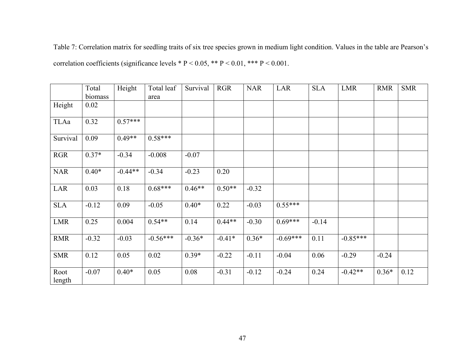Table 7: Correlation matrix for seedling traits of six tree species grown in medium light condition. Values in the table are Pearson's correlation coefficients (significance levels \*  $P < 0.05$ , \*\*  $P < 0.01$ , \*\*\*  $P < 0.001$ .

|                | Total<br>biomass | Height    | Total leaf<br>area | Survival | <b>RGR</b> | <b>NAR</b> | LAR        | <b>SLA</b> | <b>LMR</b> | <b>RMR</b> | <b>SMR</b> |
|----------------|------------------|-----------|--------------------|----------|------------|------------|------------|------------|------------|------------|------------|
| Height         | 0.02             |           |                    |          |            |            |            |            |            |            |            |
| TLAa           | 0.32             | $0.57***$ |                    |          |            |            |            |            |            |            |            |
| Survival       | 0.09             | $0.49**$  | $0.58***$          |          |            |            |            |            |            |            |            |
| <b>RGR</b>     | $0.37*$          | $-0.34$   | $-0.008$           | $-0.07$  |            |            |            |            |            |            |            |
| <b>NAR</b>     | $0.40*$          | $-0.44**$ | $-0.34$            | $-0.23$  | 0.20       |            |            |            |            |            |            |
| LAR            | 0.03             | 0.18      | $0.68***$          | $0.46**$ | $0.50**$   | $-0.32$    |            |            |            |            |            |
| <b>SLA</b>     | $-0.12$          | 0.09      | $-0.05$            | $0.40*$  | 0.22       | $-0.03$    | $0.55***$  |            |            |            |            |
| <b>LMR</b>     | 0.25             | 0.004     | $0.54**$           | 0.14     | $0.44**$   | $-0.30$    | $0.69***$  | $-0.14$    |            |            |            |
| <b>RMR</b>     | $-0.32$          | $-0.03$   | $-0.56***$         | $-0.36*$ | $-0.41*$   | $0.36*$    | $-0.69***$ | 0.11       | $-0.85***$ |            |            |
| <b>SMR</b>     | 0.12             | 0.05      | 0.02               | $0.39*$  | $-0.22$    | $-0.11$    | $-0.04$    | 0.06       | $-0.29$    | $-0.24$    |            |
| Root<br>length | $-0.07$          | $0.40*$   | 0.05               | 0.08     | $-0.31$    | $-0.12$    | $-0.24$    | 0.24       | $-0.42**$  | $0.36*$    | 0.12       |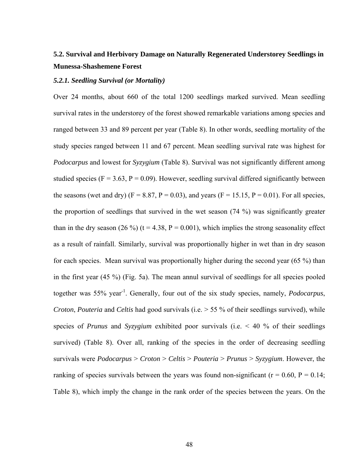## **5.2. Survival and Herbivory Damage on Naturally Regenerated Understorey Seedlings in Munessa-Shashemene Forest**

#### *5.2.1. Seedling Survival (or Mortality)*

Over 24 months, about 660 of the total 1200 seedlings marked survived. Mean seedling survival rates in the understorey of the forest showed remarkable variations among species and ranged between 33 and 89 percent per year (Table 8). In other words, seedling mortality of the study species ranged between 11 and 67 percent. Mean seedling survival rate was highest for *Podocarpus* and lowest for *Syzygium* (Table 8). Survival was not significantly different among studied species ( $F = 3.63$ ,  $P = 0.09$ ). However, seedling survival differed significantly between the seasons (wet and dry) ( $F = 8.87$ ,  $P = 0.03$ ), and years ( $F = 15.15$ ,  $P = 0.01$ ). For all species, the proportion of seedlings that survived in the wet season (74 %) was significantly greater than in the dry season (26 %) (t = 4.38, P = 0.001), which implies the strong seasonality effect as a result of rainfall. Similarly, survival was proportionally higher in wet than in dry season for each species. Mean survival was proportionally higher during the second year (65 %) than in the first year (45 %) (Fig. 5a). The mean annul survival of seedlings for all species pooled together was 55% year-1. Generally, four out of the six study species, namely, *Podocarpus*, *Croton*, *Pouteria* and *Celtis* had good survivals (i.e. > 55 % of their seedlings survived), while species of *Prunus* and *Syzygium* exhibited poor survivals (i.e. < 40 % of their seedlings survived) (Table 8). Over all, ranking of the species in the order of decreasing seedling survivals were *Podocarpus* > *Croton* > *Celtis* > *Pouteria* > *Prunus* > *Syzygium*. However, the ranking of species survivals between the years was found non-significant ( $r = 0.60$ ,  $P = 0.14$ ; Table 8), which imply the change in the rank order of the species between the years. On the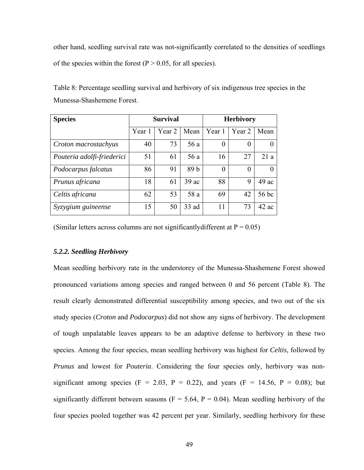other hand, seedling survival rate was not-significantly correlated to the densities of seedlings of the species within the forest ( $P > 0.05$ , for all species).

| <b>Species</b>             |        | <b>Survival</b> |       | <b>Herbivory</b> |          |          |  |
|----------------------------|--------|-----------------|-------|------------------|----------|----------|--|
|                            | Year 1 | Year 2          | Mean  | Year 1           | Year 2   | Mean     |  |
| Croton macrostachyus       | 40     | 73              | 56 a  | 0                | $\theta$ | $\theta$ |  |
| Pouteria adolfi-friederici | 51     | 61              | 56 a  | 16               | 27       | 21a      |  |
| Podocarpus falcatus        | 86     | 91              | 89 b  | $\theta$         | $\theta$ | 0        |  |
| Prunus africana            | 18     | 61              | 39ac  | 88               | 9        | 49ac     |  |
| Celtis africana            | 62     | 53              | 58 a  | 69               | 42       | 56 bc    |  |
| Syzygium guineense         | 15     | 50              | 33 ad | 11               | 73       | $42$ ac  |  |

Table 8: Percentage seedling survival and herbivory of six indigenous tree species in the Munessa-Shashemene Forest.

(Similar letters across columns are not significantly different at  $P = 0.05$ )

#### *5.2.2. Seedling Herbivory*

Mean seedling herbivory rate in the understorey of the Munessa-Shashemene Forest showed pronounced variations among species and ranged between 0 and 56 percent (Table 8). The result clearly demonstrated differential susceptibility among species, and two out of the six study species (*Croton* and *Podocarpus*) did not show any signs of herbivory. The development of tough unpalatable leaves appears to be an adaptive defense to herbivory in these two species. Among the four species, mean seedling herbivory was highest for *Celtis*, followed by *Prunus* and lowest for *Pouteria*. Considering the four species only, herbivory was nonsignificant among species (F = 2.03, P = 0.22), and years (F = 14.56, P = 0.08); but significantly different between seasons ( $F = 5.64$ ,  $P = 0.04$ ). Mean seedling herbivory of the four species pooled together was 42 percent per year. Similarly, seedling herbivory for these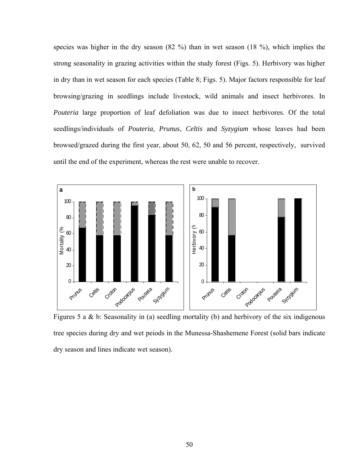species was higher in the dry season (82 %) than in wet season (18 %), which implies the strong seasonality in grazing activities within the study forest (Figs. 5). Herbivory was higher in dry than in wet season for each species (Table 8; Figs. 5). Major factors responsible for leaf browsing/grazing in seedlings include livestock, wild animals and insect herbivores. In *Pouteria* large proportion of leaf defoliation was due to insect herbivores. Of the total seedlings/individuals of *Pouteria*, *Prunus*, *Celtis* and *Syzygium* whose leaves had been browsed/grazed during the first year, about 50, 62, 50 and 56 percent, respectively, survived until the end of the experiment, whereas the rest were unable to recover.



Figures 5 a & b: Seasonality in (a) seedling mortality (b) and herbivory of the six indigenous tree species during dry and wet peiods in the Munessa-Shashemene Forest (solid bars indicate dry season and lines indicate wet season).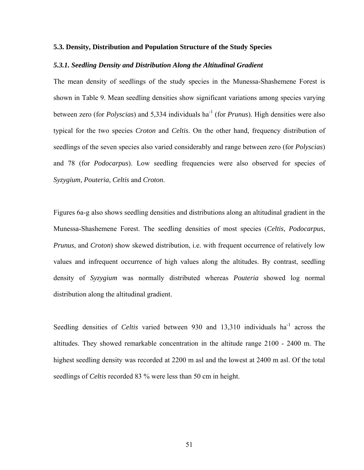#### **5.3. Density, Distribution and Population Structure of the Study Species**

#### *5.3.1. Seedling Density and Distribution Along the Altitudinal Gradient*

The mean density of seedlings of the study species in the Munessa-Shashemene Forest is shown in Table 9. Mean seedling densities show significant variations among species varying between zero (for *Polyscias*) and 5,334 individuals ha<sup>-1</sup> (for *Prunus*). High densities were also typical for the two species *Croton* and *Celtis*. On the other hand, frequency distribution of seedlings of the seven species also varied considerably and range between zero (for *Polyscias*) and 78 (for *Podocarpus*). Low seedling frequencies were also observed for species of *Syzygium*, *Pouteria*, *Celtis* and *Croton*.

Figures 6a-g also shows seedling densities and distributions along an altitudinal gradient in the Munessa-Shashemene Forest. The seedling densities of most species (*Celtis*, *Podocarpus*, *Prunus*, and *Croton*) show skewed distribution, i.e. with frequent occurrence of relatively low values and infrequent occurrence of high values along the altitudes. By contrast, seedling density of *Syzygium* was normally distributed whereas *Pouteria* showed log normal distribution along the altitudinal gradient.

Seedling densities of *Celtis* varied between 930 and 13,310 individuals ha<sup>-1</sup> across the altitudes. They showed remarkable concentration in the altitude range 2100 - 2400 m. The highest seedling density was recorded at 2200 m asl and the lowest at 2400 m asl. Of the total seedlings of *Celtis* recorded 83 % were less than 50 cm in height.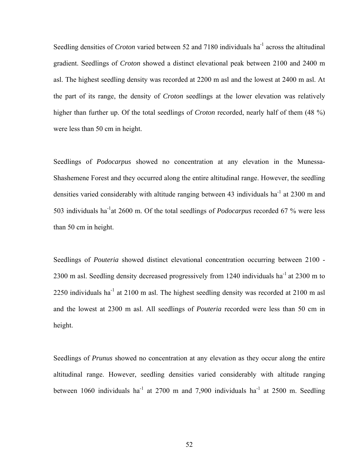Seedling densities of *Croton* varied between 52 and 7180 individuals ha<sup>-1</sup> across the altitudinal gradient. Seedlings of *Croton* showed a distinct elevational peak between 2100 and 2400 m asl. The highest seedling density was recorded at 2200 m asl and the lowest at 2400 m asl. At the part of its range, the density of *Croton* seedlings at the lower elevation was relatively higher than further up. Of the total seedlings of *Croton* recorded, nearly half of them (48 %) were less than 50 cm in height.

Seedlings of *Podocarpus* showed no concentration at any elevation in the Munessa-Shashemene Forest and they occurred along the entire altitudinal range. However, the seedling densities varied considerably with altitude ranging between 43 individuals ha<sup>-1</sup> at 2300 m and 503 individuals ha-1at 2600 m. Of the total seedlings of *Podocarpus* recorded 67 % were less than 50 cm in height.

Seedlings of *Pouteria* showed distinct elevational concentration occurring between 2100 - 2300 m asl. Seedling density decreased progressively from 1240 individuals ha<sup>-1</sup> at 2300 m to 2250 individuals ha<sup>-1</sup> at 2100 m asl. The highest seedling density was recorded at 2100 m asl and the lowest at 2300 m asl. All seedlings of *Pouteria* recorded were less than 50 cm in height.

Seedlings of *Prunus* showed no concentration at any elevation as they occur along the entire altitudinal range. However, seedling densities varied considerably with altitude ranging between 1060 individuals ha<sup>-1</sup> at 2700 m and 7,900 individuals ha<sup>-1</sup> at 2500 m. Seedling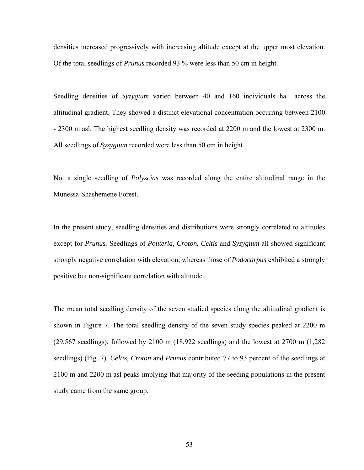densities increased progressively with increasing altitude except at the upper most elevation. Of the total seedlings of *Prunus* recorded 93 % were less than 50 cm in height.

Seedling densities of *Syzygium* varied between 40 and 160 individuals ha<sup>-1</sup> across the altitudinal gradient. They showed a distinct elevational concentration occurring between 2100 - 2300 m asl. The highest seedling density was recorded at 2200 m and the lowest at 2300 m. All seedlings of *Syzygium* recorded were less than 50 cm in height.

Not a single seedling of *Polyscias* was recorded along the entire altitudinal range in the Munessa-Shashemene Forest.

In the present study, seedling densities and distributions were strongly correlated to altitudes except for *Prunus.* Seedlings of *Pouteria*, *Croton*, *Celtis* and *Syzygium* all showed significant strongly negative correlation with elevation, whereas those of *Podocarpus* exhibited a strongly positive but non-significant correlation with altitude.

The mean total seedling density of the seven studied species along the altitudinal gradient is shown in Figure 7. The total seedling density of the seven study species peaked at 2200 m (29,567 seedlings), followed by 2100 m (18,922 seedlings) and the lowest at 2700 m (1,282 seedlings) (Fig. 7). *Celtis*, *Croton* and *Prunus* contributed 77 to 93 percent of the seedlings at 2100 m and 2200 m asl peaks implying that majority of the seeding populations in the present study came from the same group.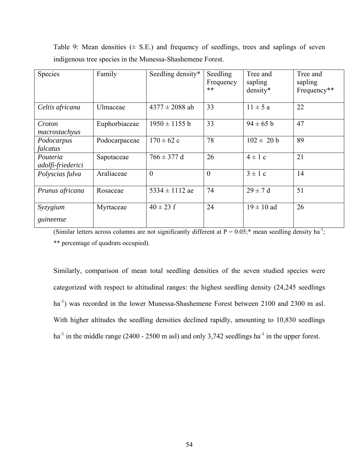| Species                       | Family        | Seedling density*  | Seedling<br>Frequency<br>$***$ | Tree and<br>sapling<br>density* | Tree and<br>sapling<br>Frequency** |
|-------------------------------|---------------|--------------------|--------------------------------|---------------------------------|------------------------------------|
| Celtis africana               | Ulmaceae      | $4377 \pm 2088$ ab | 33                             | $11 \pm 5$ a                    | 22                                 |
| Croton<br>macrostachyus       | Euphorbiaceae | $1950 \pm 1155$ b  | 33                             | $94 \pm 65$ b                   | 47                                 |
| Podocarpus<br>falcatus        | Podocarpaceae | $170 \pm 62$ c     | 78                             | $102 \pm 20$ b                  | 89                                 |
| Pouteria<br>adolfi-friederici | Sapotaceae    | $766 \pm 377$ d    | 26                             | $4 \pm 1$ c                     | 21                                 |
| Polyscias fulva               | Araliaceae    | $\overline{0}$     | $\overline{0}$                 | $3 \pm 1$ c                     | 14                                 |
| Prunus africana               | Rosaceae      | $5334 \pm 1112$ ae | 74                             | $29 \pm 7$ d                    | 51                                 |
| Syzygium<br>guineense         | Myrtaceae     | $40 \pm 23$ f      | 24                             | $19 \pm 10$ ad                  | 26                                 |

Table 9: Mean densities  $(\pm S.E.)$  and frequency of seedlings, trees and saplings of seven indigenous tree species in the Munessa-Shashemene Forest.

(Similar letters across columns are not significantly different at  $P = 0.05$ ;<sup>\*</sup> mean seedling density ha<sup>-1</sup>; \*\* percentage of quadrats occupied).

Similarly, comparison of mean total seedling densities of the seven studied species were categorized with respect to altitudinal ranges: the highest seedling density (24,245 seedlings ha<sup>-1</sup>) was recorded in the lower Munessa-Shashemene Forest between 2100 and 2300 m asl. With higher altitudes the seedling densities declined rapidly, amounting to 10,830 seedlings ha<sup>-1</sup> in the middle range (2400 - 2500 m asl) and only 3,742 seedlings ha<sup>-1</sup> in the upper forest.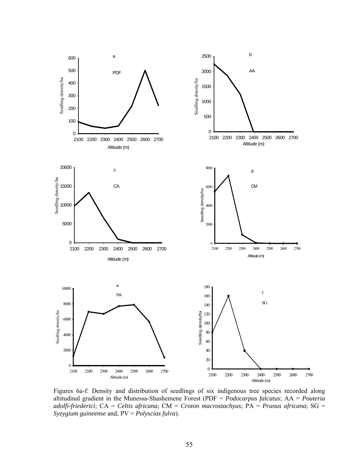

Figures 6a-f: Density and distribution of seedlings of six indigenous tree species recorded along altitudinal gradient in the Munessa-Shashemene Forest (PDF = *Podocarpus falcatus*; AA = *Pouteria adolfi-friederici*; CA = *Celtis africana*; CM = *Croton macrostachyus*; PA = *Prunus africana*; SG = *Syzygium guineense* and; PV = *Polyscias fulva*).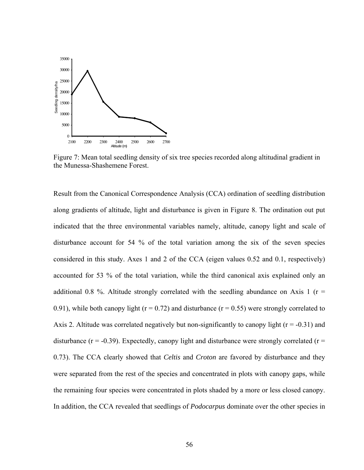

Figure 7: Mean total seedling density of six tree species recorded along altitudinal gradient in the Munessa-Shashemene Forest.

Result from the Canonical Correspondence Analysis (CCA) ordination of seedling distribution along gradients of altitude, light and disturbance is given in Figure 8. The ordination out put indicated that the three environmental variables namely, altitude, canopy light and scale of disturbance account for 54 % of the total variation among the six of the seven species considered in this study. Axes 1 and 2 of the CCA (eigen values 0.52 and 0.1, respectively) accounted for 53 % of the total variation, while the third canonical axis explained only an additional 0.8 %. Altitude strongly correlated with the seedling abundance on Axis 1 ( $r =$ 0.91), while both canopy light ( $r = 0.72$ ) and disturbance ( $r = 0.55$ ) were strongly correlated to Axis 2. Altitude was correlated negatively but non-significantly to canopy light ( $r = -0.31$ ) and disturbance ( $r = -0.39$ ). Expectedly, canopy light and disturbance were strongly correlated ( $r =$ 0.73). The CCA clearly showed that *Celtis* and *Croton* are favored by disturbance and they were separated from the rest of the species and concentrated in plots with canopy gaps, while the remaining four species were concentrated in plots shaded by a more or less closed canopy. In addition, the CCA revealed that seedlings of *Podocarpus* dominate over the other species in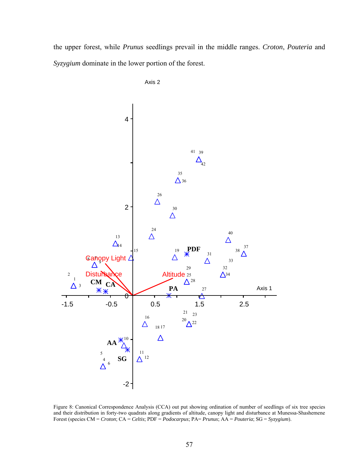the upper forest, while *Prunus* seedlings prevail in the middle ranges. *Croton*, *Pouteria* and *Syzygium* dominate in the lower portion of the forest.



Figure 8: Canonical Correspondence Analysis (CCA) out put showing ordination of number of seedlings of six tree species and their distribution in forty-two quadrats along gradients of altitude, canopy light and disturbance at Munessa-Shashemene Forest (species CM = *Croton*; CA = *Celtis*; PDF = *Podocarpus*; PA= *Prunus*; AA = *Pouteria*; SG = *Syzygium*).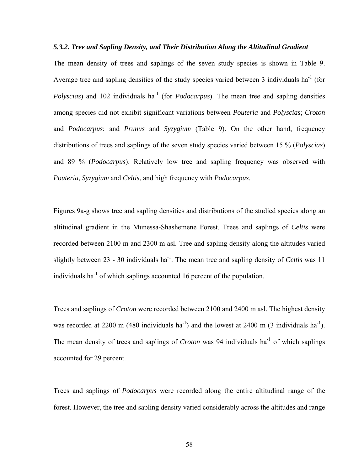#### *5.3.2. Tree and Sapling Density, and Their Distribution Along the Altitudinal Gradient*

The mean density of trees and saplings of the seven study species is shown in Table 9. Average tree and sapling densities of the study species varied between 3 individuals ha<sup>-1</sup> (for *Polyscias*) and 102 individuals ha<sup>-1</sup> (for *Podocarpus*). The mean tree and sapling densities among species did not exhibit significant variations between *Pouteria* and *Polyscias*; *Croton* and *Podocarpus*; and *Prunus* and *Syzygium* (Table 9). On the other hand, frequency distributions of trees and saplings of the seven study species varied between 15 % (*Polyscias*) and 89 % (*Podocarpus*). Relatively low tree and sapling frequency was observed with *Pouteria*, *Syzygium* and *Celtis*, and high frequency with *Podocarpus*.

Figures 9a-g shows tree and sapling densities and distributions of the studied species along an altitudinal gradient in the Munessa-Shashemene Forest. Trees and saplings of *Celtis* were recorded between 2100 m and 2300 m asl. Tree and sapling density along the altitudes varied slightly between 23 - 30 individuals ha<sup>-1</sup>. The mean tree and sapling density of *Celtis* was 11 individuals ha<sup>-1</sup> of which saplings accounted 16 percent of the population.

Trees and saplings of *Croton* were recorded between 2100 and 2400 m asl. The highest density was recorded at 2200 m (480 individuals ha<sup>-1</sup>) and the lowest at 2400 m (3 individuals ha<sup>-1</sup>). The mean density of trees and saplings of *Croton* was 94 individuals ha<sup>-1</sup> of which saplings accounted for 29 percent.

Trees and saplings of *Podocarpus* were recorded along the entire altitudinal range of the forest. However, the tree and sapling density varied considerably across the altitudes and range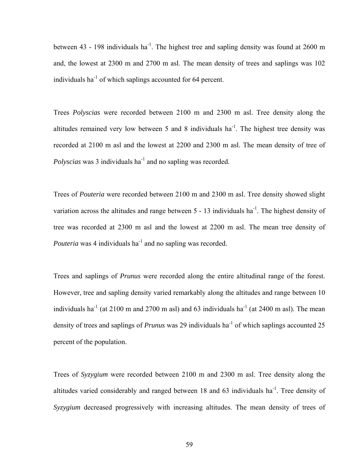between 43 - 198 individuals ha<sup>-1</sup>. The highest tree and sapling density was found at 2600 m and, the lowest at 2300 m and 2700 m asl. The mean density of trees and saplings was 102 individuals  $ha^{-1}$  of which saplings accounted for 64 percent.

Trees *Polyscias* were recorded between 2100 m and 2300 m asl. Tree density along the altitudes remained very low between 5 and 8 individuals ha<sup>-1</sup>. The highest tree density was recorded at 2100 m asl and the lowest at 2200 and 2300 m asl. The mean density of tree of *Polyscias* was 3 individuals ha<sup>-1</sup> and no sapling was recorded.

Trees of *Pouteria* were recorded between 2100 m and 2300 m asl. Tree density showed slight variation across the altitudes and range between  $5 - 13$  individuals ha<sup>-1</sup>. The highest density of tree was recorded at 2300 m asl and the lowest at 2200 m asl. The mean tree density of *Pouteria* was 4 individuals ha<sup>-1</sup> and no sapling was recorded.

Trees and saplings of *Prunus* were recorded along the entire altitudinal range of the forest. However, tree and sapling density varied remarkably along the altitudes and range between 10 individuals ha<sup>-1</sup> (at 2100 m and 2700 m asl) and 63 individuals ha<sup>-1</sup> (at 2400 m asl). The mean density of trees and saplings of *Prunus* was 29 individuals ha<sup>-1</sup> of which saplings accounted 25 percent of the population.

Trees of *Syzygium* were recorded between 2100 m and 2300 m asl. Tree density along the altitudes varied considerably and ranged between  $18$  and  $63$  individuals ha<sup>-1</sup>. Tree density of *Syzygium* decreased progressively with increasing altitudes. The mean density of trees of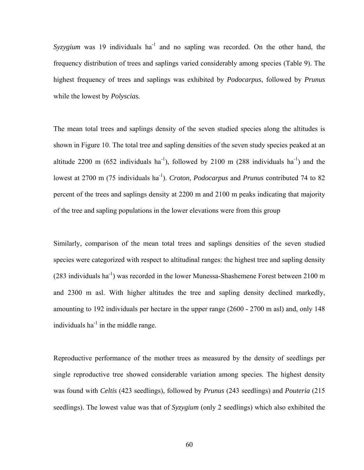*Syzygium* was 19 individuals ha<sup>-1</sup> and no sapling was recorded. On the other hand, the frequency distribution of trees and saplings varied considerably among species (Table 9). The highest frequency of trees and saplings was exhibited by *Podocarpus*, followed by *Prunus* while the lowest by *Polyscias.*

The mean total trees and saplings density of the seven studied species along the altitudes is shown in Figure 10. The total tree and sapling densities of the seven study species peaked at an altitude 2200 m (652 individuals ha<sup>-1</sup>), followed by 2100 m (288 individuals ha<sup>-1</sup>) and the lowest at 2700 m (75 individuals ha<sup>-1</sup>). *Croton*, *Podocarpus* and *Prunus* contributed 74 to 82 percent of the trees and saplings density at 2200 m and 2100 m peaks indicating that majority of the tree and sapling populations in the lower elevations were from this group

Similarly, comparison of the mean total trees and saplings densities of the seven studied species were categorized with respect to altitudinal ranges: the highest tree and sapling density  $(283 \text{ individuals ha}^{-1})$  was recorded in the lower Munessa-Shashemene Forest between 2100 m and 2300 m asl. With higher altitudes the tree and sapling density declined markedly, amounting to 192 individuals per hectare in the upper range (2600 - 2700 m asl) and, only 148 individuals  $ha^{-1}$  in the middle range.

Reproductive performance of the mother trees as measured by the density of seedlings per single reproductive tree showed considerable variation among species. The highest density was found with *Celtis* (423 seedlings), followed by *Prunus* (243 seedlings) and *Pouteria* (215 seedlings). The lowest value was that of *Syzygium* (only 2 seedlings) which also exhibited the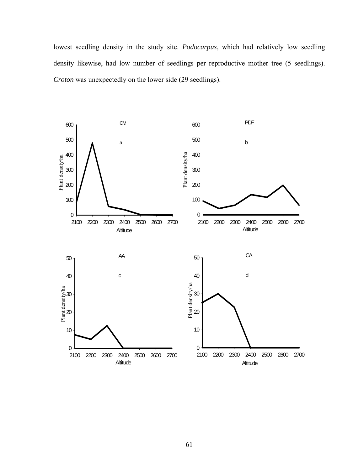lowest seedling density in the study site. *Podocarpus*, which had relatively low seedling density likewise, had low number of seedlings per reproductive mother tree (5 seedlings). *Croton* was unexpectedly on the lower side (29 seedlings).



61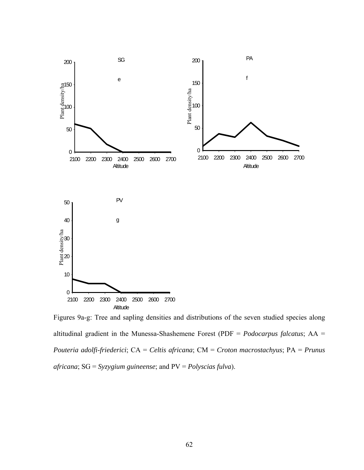

Figures 9a-g: Tree and sapling densities and distributions of the seven studied species along altitudinal gradient in the Munessa-Shashemene Forest (PDF = *Podocarpus falcatus*; AA = *Pouteria adolfi-friederici*; CA = *Celtis africana*; CM = *Croton macrostachyus*; PA = *Prunus africana*; SG = *Syzygium guineense*; and PV = *Polyscias fulva*).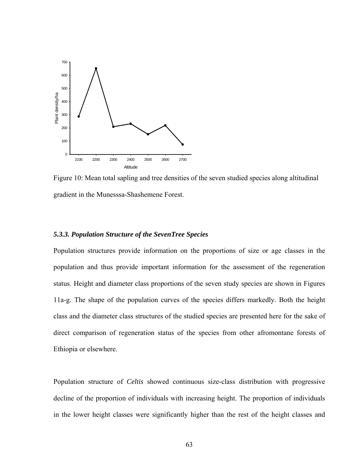

Figure 10: Mean total sapling and tree densities of the seven studied species along altitudinal gradient in the Munesssa-Shashemene Forest.

## *5.3.3. Population Structure of the SevenTree Species*

Population structures provide information on the proportions of size or age classes in the population and thus provide important information for the assessment of the regeneration status. Height and diameter class proportions of the seven study species are shown in Figures 11a-g. The shape of the population curves of the species differs markedly. Both the height class and the diameter class structures of the studied species are presented here for the sake of direct comparison of regeneration status of the species from other afromontane forests of Ethiopia or elsewhere.

Population structure of *Celtis* showed continuous size-class distribution with progressive decline of the proportion of individuals with increasing height. The proportion of individuals in the lower height classes were significantly higher than the rest of the height classes and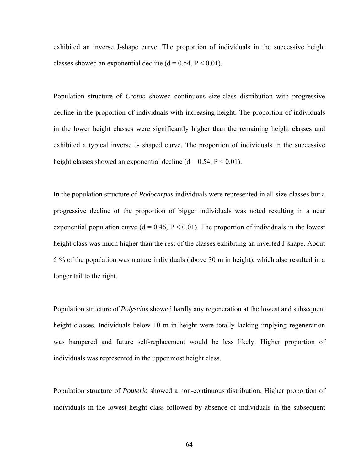exhibited an inverse J-shape curve. The proportion of individuals in the successive height classes showed an exponential decline  $(d = 0.54, P < 0.01)$ .

Population structure of *Croton* showed continuous size-class distribution with progressive decline in the proportion of individuals with increasing height. The proportion of individuals in the lower height classes were significantly higher than the remaining height classes and exhibited a typical inverse J- shaped curve. The proportion of individuals in the successive height classes showed an exponential decline  $(d = 0.54, P \le 0.01)$ .

In the population structure of *Podocarpus* individuals were represented in all size-classes but a progressive decline of the proportion of bigger individuals was noted resulting in a near exponential population curve  $(d = 0.46, P < 0.01)$ . The proportion of individuals in the lowest height class was much higher than the rest of the classes exhibiting an inverted J-shape. About 5 % of the population was mature individuals (above 30 m in height), which also resulted in a longer tail to the right.

Population structure of *Polyscias* showed hardly any regeneration at the lowest and subsequent height classes. Individuals below 10 m in height were totally lacking implying regeneration was hampered and future self-replacement would be less likely. Higher proportion of individuals was represented in the upper most height class.

Population structure of *Pouteria* showed a non-continuous distribution. Higher proportion of individuals in the lowest height class followed by absence of individuals in the subsequent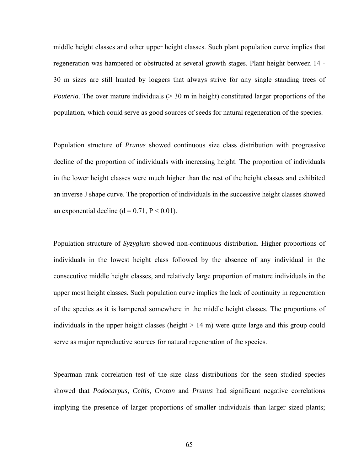middle height classes and other upper height classes. Such plant population curve implies that regeneration was hampered or obstructed at several growth stages. Plant height between 14 - 30 m sizes are still hunted by loggers that always strive for any single standing trees of *Pouteria*. The over mature individuals ( $>$  30 m in height) constituted larger proportions of the population, which could serve as good sources of seeds for natural regeneration of the species.

Population structure of *Prunus* showed continuous size class distribution with progressive decline of the proportion of individuals with increasing height. The proportion of individuals in the lower height classes were much higher than the rest of the height classes and exhibited an inverse J shape curve. The proportion of individuals in the successive height classes showed an exponential decline  $(d = 0.71, P < 0.01)$ .

Population structure of *Syzygium* showed non-continuous distribution. Higher proportions of individuals in the lowest height class followed by the absence of any individual in the consecutive middle height classes, and relatively large proportion of mature individuals in the upper most height classes. Such population curve implies the lack of continuity in regeneration of the species as it is hampered somewhere in the middle height classes. The proportions of individuals in the upper height classes (height  $> 14$  m) were quite large and this group could serve as major reproductive sources for natural regeneration of the species.

Spearman rank correlation test of the size class distributions for the seen studied species showed that *Podocarpus*, *Celtis*, *Croton* and *Prunus* had significant negative correlations implying the presence of larger proportions of smaller individuals than larger sized plants;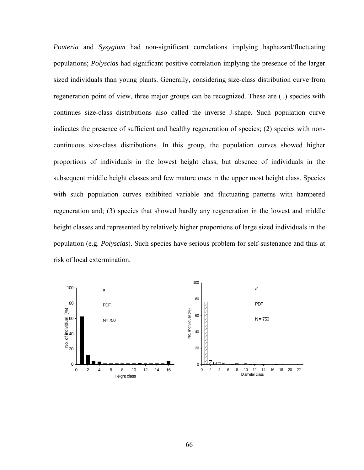*Pouteria* and *Syzygium* had non-significant correlations implying haphazard/fluctuating populations; *Polyscias* had significant positive correlation implying the presence of the larger sized individuals than young plants. Generally, considering size-class distribution curve from regeneration point of view, three major groups can be recognized. These are (1) species with continues size-class distributions also called the inverse J-shape. Such population curve indicates the presence of sufficient and healthy regeneration of species; (2) species with noncontinuous size-class distributions. In this group, the population curves showed higher proportions of individuals in the lowest height class, but absence of individuals in the subsequent middle height classes and few mature ones in the upper most height class. Species with such population curves exhibited variable and fluctuating patterns with hampered regeneration and; (3) species that showed hardly any regeneration in the lowest and middle height classes and represented by relatively higher proportions of large sized individuals in the population (e.g. *Polyscias*). Such species have serious problem for self-sustenance and thus at risk of local extermination.

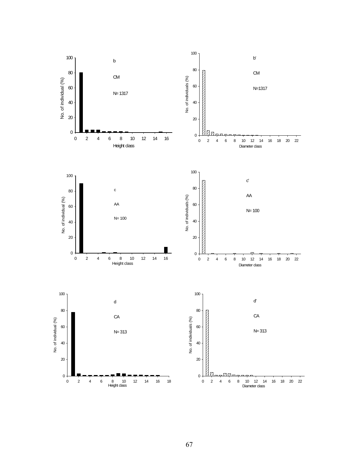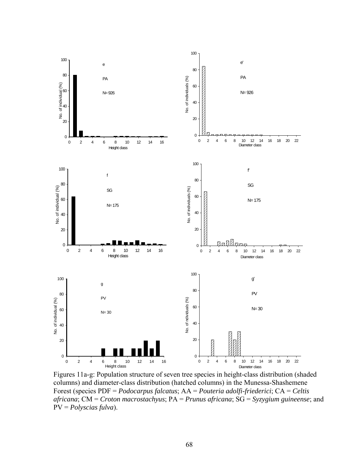

Figures 11a-g: Population structure of seven tree species in height-class distribution (shaded columns) and diameter-class distribution (hatched columns) in the Munessa-Shashemene Forest (species PDF = *Podocarpus falcatus*; AA = *Pouteria adolfi-friederici*; CA = *Celtis africana*; CM = *Croton macrostachyus*; PA = *Prunus africana*; SG = *Syzygium guineense*; and PV = *Polyscias fulva*).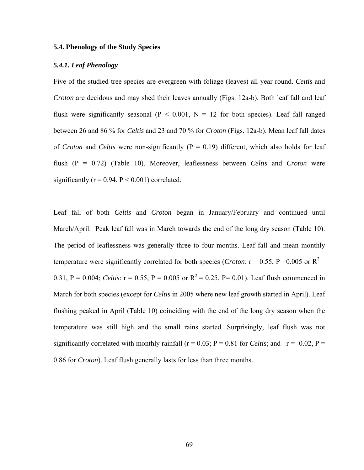## **5.4. Phenology of the Study Species**

# *5.4.1. Leaf Phenology*

Five of the studied tree species are evergreen with foliage (leaves) all year round. *Celtis* and *Croton* are decidous and may shed their leaves annually (Figs. 12a-b). Both leaf fall and leaf flush were significantly seasonal ( $P < 0.001$ ,  $N = 12$  for both species). Leaf fall ranged between 26 and 86 % for *Celtis* and 23 and 70 % for *Croton* (Figs. 12a-b). Mean leaf fall dates of *Croton* and *Celtis* were non-significantly ( $P = 0.19$ ) different, which also holds for leaf flush (P = 0.72) (Table 10). Moreover, leaflessness between *Celtis* and *Croton* were significantly ( $r = 0.94$ ,  $P < 0.001$ ) correlated.

Leaf fall of both *Celtis* and *Croton* began in January/February and continued until March/April. Peak leaf fall was in March towards the end of the long dry season (Table 10). The period of leaflessness was generally three to four months. Leaf fall and mean monthly temperature were significantly correlated for both species (*Croton*:  $r = 0.55$ ,  $P = 0.005$  or  $R^2 =$ 0.31, P = 0.004; *Celtis*:  $r = 0.55$ , P = 0.005 or  $R^2 = 0.25$ , P = 0.01). Leaf flush commenced in March for both species (except for *Celtis* in 2005 where new leaf growth started in April). Leaf flushing peaked in April (Table 10) coinciding with the end of the long dry season when the temperature was still high and the small rains started. Surprisingly, leaf flush was not significantly correlated with monthly rainfall ( $r = 0.03$ ;  $P = 0.81$  for *Celtis*; and  $r = -0.02$ ,  $P =$ 0.86 for *Croton*). Leaf flush generally lasts for less than three months.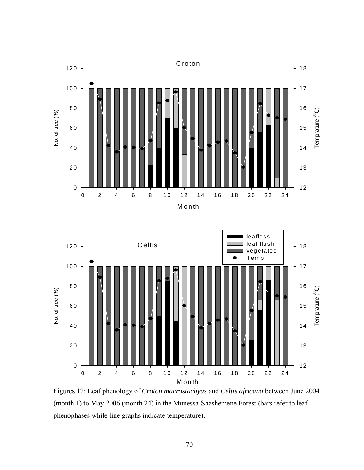



Figures 12: Leaf phenology of *Croton macrostachyus* and *Celtis africana* between June 2004 (month 1) to May 2006 (month 24) in the Munessa-Shashemene Forest (bars refer to leaf phenophases while line graphs indicate temperature).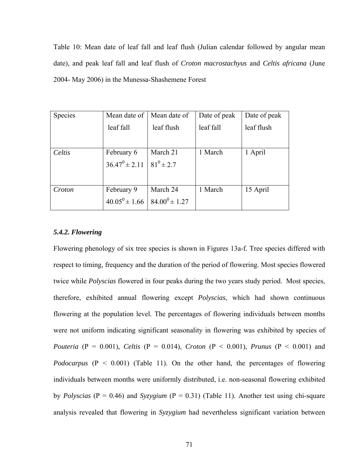Table 10: Mean date of leaf fall and leaf flush (Julian calendar followed by angular mean date), and peak leaf fall and leaf flush of *Croton macrostachyus* and *Celtis africana* (June 2004- May 2006) in the Munessa-Shashemene Forest

| Species | Mean date of       | Mean date of                                         | Date of peak | Date of peak |
|---------|--------------------|------------------------------------------------------|--------------|--------------|
|         | leaf fall          | leaf flush                                           | leaf fall    | leaf flush   |
|         |                    |                                                      |              |              |
| Celtis  | February 6         | March 21                                             | 1 March      | 1 April      |
|         | $36.47^0 \pm 2.11$ | $81^0 \pm 2.7$                                       |              |              |
|         |                    |                                                      |              |              |
| Croton  | February 9         | March 24                                             | 1 March      | 15 April     |
|         |                    | $40.05^{0} \pm 1.66$   84.00 <sup>0</sup> $\pm$ 1.27 |              |              |

# *5.4.2. Flowering*

Flowering phenology of six tree species is shown in Figures 13a-f. Tree species differed with respect to timing, frequency and the duration of the period of flowering. Most species flowered twice while *Polyscias* flowered in four peaks during the two years study period. Most species, therefore, exhibited annual flowering except *Polyscias*, which had shown continuous flowering at the population level. The percentages of flowering individuals between months were not uniform indicating significant seasonality in flowering was exhibited by species of *Pouteria* (P = 0.001), *Celtis* (P = 0.014), *Croton* (P < 0.001), *Prunus* (P < 0.001) and *Podocarpus*  $(P < 0.001)$  (Table 11). On the other hand, the percentages of flowering individuals between months were uniformly distributed, i.e. non-seasonal flowering exhibited by *Polyscias* ( $P = 0.46$ ) and *Syzygium* ( $P = 0.31$ ) (Table 11). Another test using chi-square analysis revealed that flowering in *Syzygium* had nevertheless significant variation between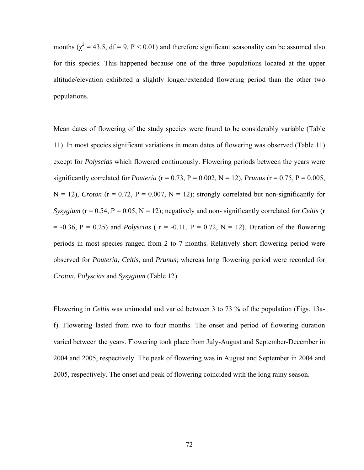months ( $\chi^2$  = 43.5, df = 9, P < 0.01) and therefore significant seasonality can be assumed also for this species. This happened because one of the three populations located at the upper altitude/elevation exhibited a slightly longer/extended flowering period than the other two populations.

Mean dates of flowering of the study species were found to be considerably variable (Table 11). In most species significant variations in mean dates of flowering was observed (Table 11) except for *Polyscias* which flowered continuously. Flowering periods between the years were significantly correlated for *Pouteria* ( $r = 0.73$ ,  $P = 0.002$ ,  $N = 12$ ), *Prunus* ( $r = 0.75$ ,  $P = 0.005$ ,  $N = 12$ ), *Croton* ( $r = 0.72$ ,  $P = 0.007$ ,  $N = 12$ ); strongly correlated but non-significantly for *Syzygium* ( $r = 0.54$ ,  $P = 0.05$ ,  $N = 12$ ); negatively and non-significantly correlated for *Celtis* ( $r = 0.54$ )  $= -0.36$ , P = 0.25) and *Polyscias* ( $r = -0.11$ , P = 0.72, N = 12). Duration of the flowering periods in most species ranged from 2 to 7 months. Relatively short flowering period were observed for *Pouteria*, *Celtis*, and *Prunus*; whereas long flowering period were recorded for *Croton*, *Polyscias* and *Syzygium* (Table 12).

Flowering in *Celtis* was unimodal and varied between 3 to 73 % of the population (Figs. 13af). Flowering lasted from two to four months. The onset and period of flowering duration varied between the years. Flowering took place from July-August and September-December in 2004 and 2005, respectively. The peak of flowering was in August and September in 2004 and 2005, respectively. The onset and peak of flowering coincided with the long rainy season.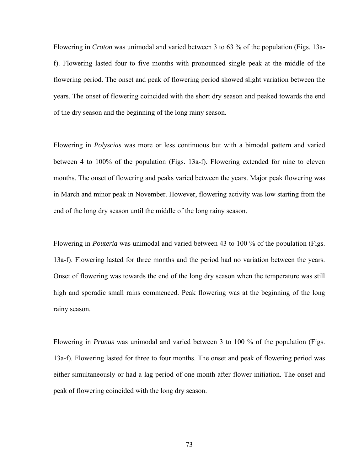Flowering in *Croton* was unimodal and varied between 3 to 63 % of the population (Figs. 13af). Flowering lasted four to five months with pronounced single peak at the middle of the flowering period. The onset and peak of flowering period showed slight variation between the years. The onset of flowering coincided with the short dry season and peaked towards the end of the dry season and the beginning of the long rainy season.

Flowering in *Polyscias* was more or less continuous but with a bimodal pattern and varied between 4 to 100% of the population (Figs. 13a-f). Flowering extended for nine to eleven months. The onset of flowering and peaks varied between the years. Major peak flowering was in March and minor peak in November. However, flowering activity was low starting from the end of the long dry season until the middle of the long rainy season.

Flowering in *Pouteria* was unimodal and varied between 43 to 100 % of the population (Figs. 13a-f). Flowering lasted for three months and the period had no variation between the years. Onset of flowering was towards the end of the long dry season when the temperature was still high and sporadic small rains commenced. Peak flowering was at the beginning of the long rainy season.

Flowering in *Prunus* was unimodal and varied between 3 to 100 % of the population (Figs. 13a-f). Flowering lasted for three to four months. The onset and peak of flowering period was either simultaneously or had a lag period of one month after flower initiation. The onset and peak of flowering coincided with the long dry season.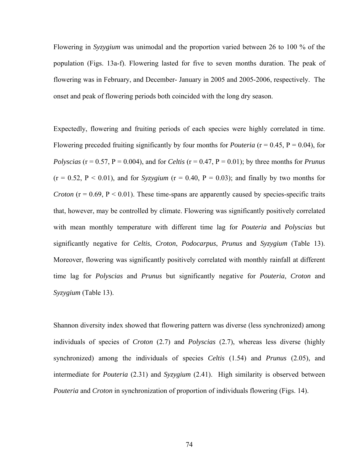Flowering in *Syzygium* was unimodal and the proportion varied between 26 to 100 % of the population (Figs. 13a-f). Flowering lasted for five to seven months duration. The peak of flowering was in February, and December- January in 2005 and 2005-2006, respectively. The onset and peak of flowering periods both coincided with the long dry season.

Expectedly, flowering and fruiting periods of each species were highly correlated in time. Flowering preceded fruiting significantly by four months for *Pouteria* ( $r = 0.45$ ,  $P = 0.04$ ), for *Polyscias* ( $r = 0.57$ ,  $P = 0.004$ ), and for *Celtis* ( $r = 0.47$ ,  $P = 0.01$ ); by three months for *Prunus*  $(r = 0.52, P < 0.01)$ , and for *Syzygium*  $(r = 0.40, P = 0.03)$ ; and finally by two months for *Croton* ( $r = 0.69$ ,  $P < 0.01$ ). These time-spans are apparently caused by species-specific traits that, however, may be controlled by climate. Flowering was significantly positively correlated with mean monthly temperature with different time lag for *Pouteria* and *Polyscias* but significantly negative for *Celtis*, *Croton*, *Podocarpus*, *Prunus* and *Syzygium* (Table 13). Moreover, flowering was significantly positively correlated with monthly rainfall at different time lag for *Polyscias* and *Prunus* but significantly negative for *Pouteria*, *Croton* and *Syzygium* (Table 13).

Shannon diversity index showed that flowering pattern was diverse (less synchronized) among individuals of species of *Croton* (2.7) and *Polyscias* (2.7), whereas less diverse (highly synchronized) among the individuals of species *Celtis* (1.54) and *Prunus* (2.05), and intermediate for *Pouteria* (2.31) and *Syzygium* (2.41). High similarity is observed between *Pouteria* and *Croton* in synchronization of proportion of individuals flowering (Figs. 14).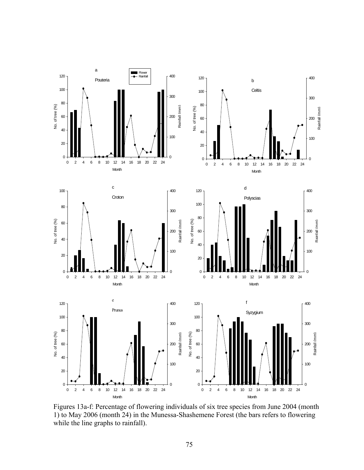

Figures 13a-f: Percentage of flowering individuals of six tree species from June 2004 (month 1) to May 2006 (month 24) in the Munessa-Shashemene Forest (the bars refers to flowering while the line graphs to rainfall).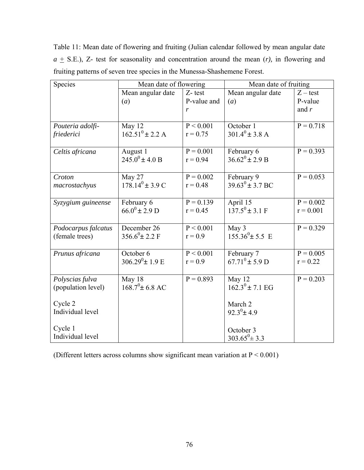Table 11: Mean date of flowering and fruiting (Julian calendar followed by mean angular date  $a \pm$  S.E.), Z- test for seasonality and concentration around the mean  $(r)$ , in flowering and fruiting patterns of seven tree species in the Munessa-Shashemene Forest.

| Species             | Mean date of flowering         |                | Mean date of fruiting       |             |  |  |
|---------------------|--------------------------------|----------------|-----------------------------|-------------|--|--|
|                     | Mean angular date              | $Z$ - test     | Mean angular date           | $Z - test$  |  |  |
|                     | (a)                            | P-value and    | (a)                         | P-value     |  |  |
|                     |                                | $\mathfrak{r}$ |                             | and $r$     |  |  |
|                     |                                |                |                             |             |  |  |
| Pouteria adolfi-    | May 12                         | P < 0.001      | October 1                   | $P = 0.718$ |  |  |
| friederici          | $162.51^0 \pm 2.2$ A           | $r = 0.75$     | $301.4^0 \pm 3.8$ A         |             |  |  |
|                     |                                |                |                             |             |  |  |
| Celtis africana     | August 1                       | $P = 0.001$    | February 6                  | $P = 0.393$ |  |  |
|                     | $245.0^0 \pm 4.0 B$            | $r = 0.94$     | $36.62^{\circ} \pm 2.9$ B   |             |  |  |
|                     |                                |                |                             |             |  |  |
| Croton              | May 27                         | $P = 0.002$    | February 9                  | $P = 0.053$ |  |  |
| macrostachyus       | $178.14^0 \pm 3.9$ C           | $r = 0.48$     | $39.63^0 \pm 3.7$ BC        |             |  |  |
|                     |                                |                |                             |             |  |  |
| Syzygium guineense  | February 6                     | $P = 0.139$    | April 15                    | $P = 0.002$ |  |  |
|                     | $66.0^0 \pm 2.9$ D             | $r = 0.45$     | $137.5^0 \pm 3.1 \text{ F}$ | $r = 0.001$ |  |  |
|                     |                                |                |                             |             |  |  |
| Podocarpus falcatus | December 26                    | P < 0.001      | May 3                       | $P = 0.329$ |  |  |
| (female trees)      | 356.6 <sup>0</sup> $\pm$ 2.2 F | $r = 0.9$      | $155.36^0 \pm 5.5$ E        |             |  |  |
|                     |                                |                |                             |             |  |  |
| Prunus africana     | October 6                      | P < 0.001      | February 7                  | $P = 0.005$ |  |  |
|                     | 306.29 $^0$ ± 1.9 E            | $r = 0.9$      | $67.71^{\circ}$ ± 5.9 D     | $r = 0.22$  |  |  |
|                     |                                |                |                             |             |  |  |
| Polyscias fulva     | May 18                         | $P = 0.893$    | May 12                      | $P = 0.203$ |  |  |
| (population level)  | $168.7^0 \pm 6.8$ AC           |                | $162.3^0 \pm 7.1$ EG        |             |  |  |
|                     |                                |                |                             |             |  |  |
| Cycle 2             |                                |                | March 2                     |             |  |  |
| Individual level    |                                |                | $92.3^0 \pm 4.9$            |             |  |  |
|                     |                                |                |                             |             |  |  |
| Cycle 1             |                                |                | October 3                   |             |  |  |
| Individual level    |                                |                | $303.65^{\circ}$ ± 3.3      |             |  |  |

(Different letters across columns show significant mean variation at  $P < 0.001$ )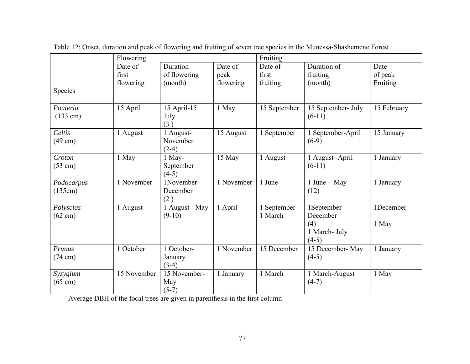|                                | Flowering   |                                  |            | Fruiting               |                                                            |                    |  |  |
|--------------------------------|-------------|----------------------------------|------------|------------------------|------------------------------------------------------------|--------------------|--|--|
|                                | Date of     | Duration                         | Date of    | Date of                | Duration of                                                | Date               |  |  |
|                                | first       | of flowering                     | peak       | first                  | fruiting                                                   | of peak            |  |  |
|                                | flowering   | (month)                          | flowering  | fruiting               | (month)                                                    | Fruiting           |  |  |
| Species                        |             |                                  |            |                        |                                                            |                    |  |  |
| Pouteria<br>$(133 \text{ cm})$ | 15 April    | 15 April-15<br>July<br>(3)       | 1 May      | 15 September           | 15 September- July<br>$(6-11)$                             | 15 February        |  |  |
| Celtis<br>$(49 \text{ cm})$    | 1 August    | 1 August-<br>November<br>$(2-4)$ | 15 August  | 1 September            | 1 September-April<br>$(6-9)$                               | 15 January         |  |  |
| Croton<br>$(53 \text{ cm})$    | 1 May       | 1 May-<br>September<br>$(4-5)$   | 15 May     | 1 August               | 1 August - April<br>$(6-11)$                               | 1 January          |  |  |
| Podocarpus<br>(135cm)          | 1 November  | 1November-<br>December<br>(2)    | 1 November | 1 June                 | 1 June - May<br>(12)                                       | 1 January          |  |  |
| Polyscias<br>$(62 \text{ cm})$ | 1 August    | 1 August - May<br>$(9-10)$       | 1 April    | 1 September<br>1 March | 1September-<br>December<br>(4)<br>1 March- July<br>$(4-5)$ | 1December<br>1 May |  |  |
| Prunus<br>$(74 \text{ cm})$    | 1 October   | 1 October-<br>January<br>$(3-4)$ | 1 November | 15 December            | 15 December- May<br>$(4-5)$                                | 1 January          |  |  |
| Syzygium<br>$(65 \text{ cm})$  | 15 November | 15 November-<br>May<br>$(5-7)$   | 1 January  | 1 March                | 1 March-August<br>$(4-7)$                                  | 1 May              |  |  |

Table 12: Onset, duration and peak of flowering and fruiting of seven tree species in the Munessa-Shashemene Forest

- Average DBH of the focal trees are given in parenthesis in the first column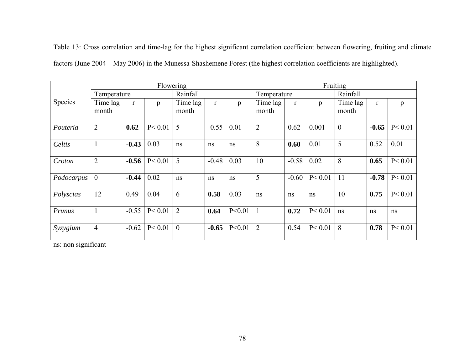Table 13: Cross correlation and time-lag for the highest significant correlation coefficient between flowering, fruiting and climate factors (June 2004 – May 2006) in the Munessa-Shashemene Forest (the highest correlation coefficients are highlighted).

|                | Flowering         |              |          |                   |             | Fruiting    |                   |              |          |                   |              |              |
|----------------|-------------------|--------------|----------|-------------------|-------------|-------------|-------------------|--------------|----------|-------------------|--------------|--------------|
|                |                   | Temperature  |          | Rainfall          |             | Temperature |                   |              | Rainfall |                   |              |              |
| <b>Species</b> | Time lag<br>month | $\mathbf{r}$ | p        | Time lag<br>month | $\mathbf r$ | p           | Time lag<br>month | $\mathbf{r}$ | p        | Time lag<br>month | $\mathbf{r}$ | $\mathbf{p}$ |
| Pouteria       | $\overline{2}$    | 0.62         | P < 0.01 | 5                 | $-0.55$     | 0.01        | $\overline{2}$    | 0.62         | 0.001    | $\overline{0}$    | $-0.65$      | P < 0.01     |
| Celtis         | $\mathbf{1}$      | $-0.43$      | 0.03     | ns                | ns          | ns          | 8                 | 0.60         | 0.01     | 5                 | 0.52         | 0.01         |
| Croton         | $\overline{2}$    | $-0.56$      | P < 0.01 | 5                 | $-0.48$     | 0.03        | 10                | $-0.58$      | 0.02     | 8                 | 0.65         | P < 0.01     |
| Podocarpus     | $\boldsymbol{0}$  | $-0.44$      | 0.02     | ns                | ns          | ns          | 5                 | $-0.60$      | P < 0.01 | 11                | $-0.78$      | P < 0.01     |
| Polyscias      | 12                | 0.49         | 0.04     | 6                 | 0.58        | 0.03        | ns                | ns           | ns       | 10                | 0.75         | P < 0.01     |
| Prunus         | $\mathbf{1}$      | $-0.55$      | P < 0.01 | $\overline{2}$    | 0.64        | P < 0.01    | 1                 | 0.72         | P < 0.01 | ns                | ns           | ns           |
| Syzygium       | $\overline{4}$    | $-0.62$      | P < 0.01 | $\overline{0}$    | $-0.65$     | P < 0.01    | $\overline{2}$    | 0.54         | P < 0.01 | 8                 | 0.78         | P < 0.01     |

ns: non significant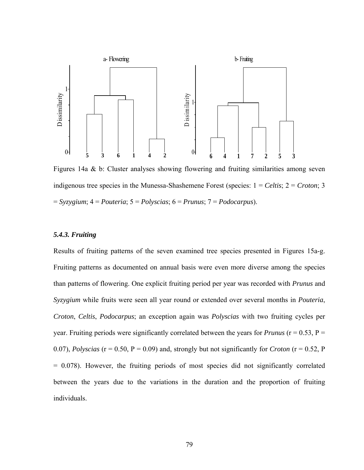

Figures 14a & b: Cluster analyses showing flowering and fruiting similarities among seven indigenous tree species in the Munessa-Shashemene Forest (species: 1 = *Celtis*; 2 = *Croton*; 3  $= Syzygium; 4 = Pouteria; 5 = Polyscias; 6 = Prunus; 7 = Podocarpus.$ 

# *5.4.3. Fruiting*

Results of fruiting patterns of the seven examined tree species presented in Figures 15a-g. Fruiting patterns as documented on annual basis were even more diverse among the species than patterns of flowering. One explicit fruiting period per year was recorded with *Prunus* and Syzygium while fruits were seen all year round or extended over several months in *Pouteria*, *Croton, Celtis, Podocarpus;* an exception again was *Polyscias* with two fruiting cycles per year. Fruiting periods were significantly correlated between the years for *Prunus* ( $r = 0.53$ ,  $P =$ 0.07), *Polyscias* ( $r = 0.50$ ,  $P = 0.09$ ) and, strongly but not significantly for *Croton* ( $r = 0.52$ , P = 0.078). However, the fruiting periods of most species did not significantly correlated between the years due to the variations in the duration and the proportion of fruiting individuals.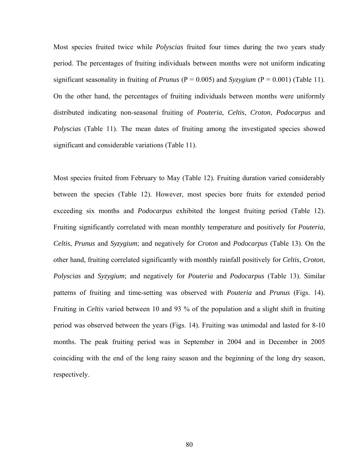Most species fruited twice while *Polyscias* fruited four times during the two years study period. The percentages of fruiting individuals between months were not uniform indicating significant seasonality in fruiting of *Prunus* ( $P = 0.005$ ) and *Syzygium* ( $P = 0.001$ ) (Table 11). On the other hand, the percentages of fruiting individuals between months were uniformly distributed indicating non-seasonal fruiting of *Pouteria*, *Celtis*, *Croton*, *Podocarpus* and *Polyscias* (Table 11). The mean dates of fruiting among the investigated species showed significant and considerable variations (Table 11).

Most species fruited from February to May (Table 12). Fruiting duration varied considerably between the species (Table 12). However, most species bore fruits for extended period exceeding six months and *Podocarpus* exhibited the longest fruiting period (Table 12). Fruiting significantly correlated with mean monthly temperature and positively for *Pouteria*, *Celtis*, *Prunus* and *Syzygium*; and negatively for *Croton* and *Podocarpus* (Table 13). On the other hand, fruiting correlated significantly with monthly rainfall positively for *Celtis*, *Croton*, *Polyscias* and *Syzygium*; and negatively for *Pouteria* and *Podocarpus* (Table 13). Similar patterns of fruiting and time-setting was observed with *Pouteria* and *Prunus* (Figs. 14). Fruiting in *Celtis* varied between 10 and 93 % of the population and a slight shift in fruiting period was observed between the years (Figs. 14). Fruiting was unimodal and lasted for 8-10 months. The peak fruiting period was in September in 2004 and in December in 2005 coinciding with the end of the long rainy season and the beginning of the long dry season, respectively.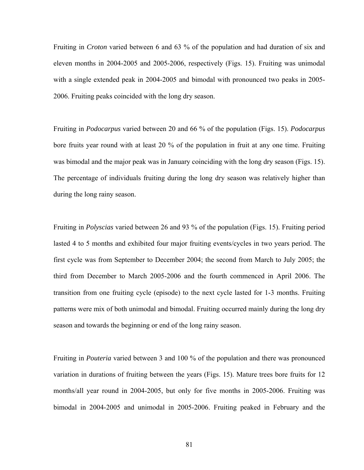Fruiting in *Croton* varied between 6 and 63 % of the population and had duration of six and eleven months in 2004-2005 and 2005-2006, respectively (Figs. 15). Fruiting was unimodal with a single extended peak in 2004-2005 and bimodal with pronounced two peaks in 2005- 2006. Fruiting peaks coincided with the long dry season.

Fruiting in *Podocarpus* varied between 20 and 66 % of the population (Figs. 15). *Podocarpus* bore fruits year round with at least 20 % of the population in fruit at any one time. Fruiting was bimodal and the major peak was in January coinciding with the long dry season (Figs. 15). The percentage of individuals fruiting during the long dry season was relatively higher than during the long rainy season.

Fruiting in *Polyscias* varied between 26 and 93 % of the population (Figs. 15). Fruiting period lasted 4 to 5 months and exhibited four major fruiting events/cycles in two years period. The first cycle was from September to December 2004; the second from March to July 2005; the third from December to March 2005-2006 and the fourth commenced in April 2006. The transition from one fruiting cycle (episode) to the next cycle lasted for 1-3 months. Fruiting patterns were mix of both unimodal and bimodal. Fruiting occurred mainly during the long dry season and towards the beginning or end of the long rainy season.

variation in durations of fruiting between the years (Figs. 15). Mature trees bore fruits for 12 months/all year round in 2004-2005, but only for five months in 2005-2006. Fruiting was bimodal in 2004-2005 and unimodal in 2005-2006. Fruiting peaked in February and the Fruiting in *Pouteria* varied between 3 and 100 % of the population and there was pronounced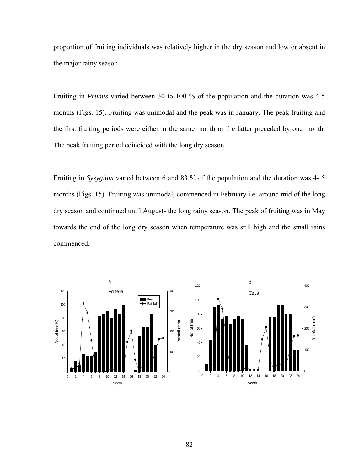proportion of fruiting individuals was relatively higher in the dry season and low or absent in the major rainy season.

Fruiting in *Prunus* varied between 30 to 100 % of the population and the duration was 4-5 months (Figs. 15). Fruiting was unimodal and the peak was in January. The peak fruiting and the first fruiting periods were either in the same month or the latter preceded by one month. The peak fruiting period coincided with the long dry season.

months (Figs. 15). Fruiting was unimodal, commenced in February i.e. around mid of the long dry season and continued until August- the long rainy season. The peak of fruiting was in May Fruiting in *Syzygium* varied between 6 and 83 % of the population and the duration was 4- 5 towards the end of the long dry season when temperature was still high and the small rains commenced.

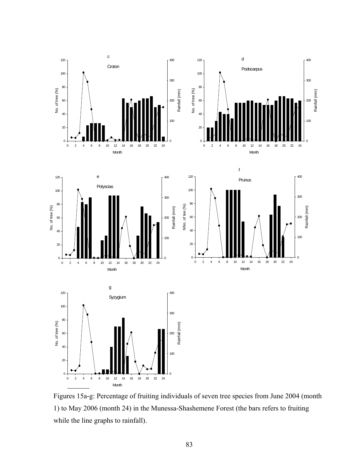

Figures 15a-g: Percentage of fruiting individuals of seven tree species from June 2004 (month 1) to May 2006 (month 24) in the Munessa-Shashemene Forest (the bars refers to fruiting while the line graphs to rainfall).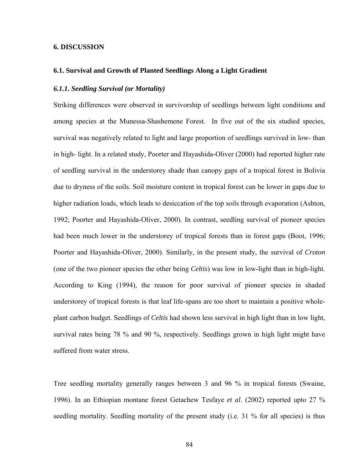## **6. DISCUSSION**

#### **6.1. Survival and Growth of Planted Seedlings Along a Light Gradient**

## *6.1.1. Seedling Survival (or Mortality)*

Striking differences were observed in survivorship of seedlings between light conditions and among species at the Munessa-Shashemene Forest. In five out of the six studied species, survival was negatively related to light and large proportion of seedlings survived in low- than in high- light. In a related study, Poorter and Hayashida-Oliver (2000) had reported higher rate of seedling survival in the understorey shade than canopy gaps of a tropical forest in Bolivia due to dryness of the soils. Soil moisture content in tropical forest can be lower in gaps due to higher radiation loads, which leads to desiccation of the top soils through evaporation (Ashton, 1992; Poorter and Hayashida-Oliver, 2000). In contrast, seedling survival of pioneer species had been much lower in the understorey of tropical forests than in forest gaps (Boot, 1996; Poorter and Hayashida-Oliver, 2000). Similarly, in the present study, the survival of *Croton* (one of the two pioneer species the other being *Celtis*) was low in low-light than in high-light. According to King (1994), the reason for poor survival of pioneer species in shaded understorey of tropical forests is that leaf life-spans are too short to maintain a positive wholeplant carbon budget. Seedlings of *Celtis* had shown less survival in high light than in low light, survival rates being 78 % and 90 %, respectively. Seedlings grown in high light might have suffered from water stress.

Tree seedling mortality generally ranges between 3 and 96 % in tropical forests (Swaine, seedling mortality. Seedling mortality of the present study (i.e.  $31\%$  for all species) is thus 1996). In an Ethiopian montane forest Getachew Tesfaye *et al*. (2002) reported upto 27 %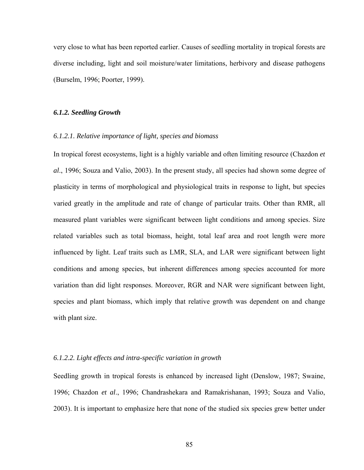very close to what has been reported earlier. Causes of seedling mortality in tropical forests are diverse including, light and soil moisture/water limitations, herbivory and disease pathogens (Burselm, 1996; Poorter, 1999).

#### *6.1.2. Seedling Growth*

#### *6.1.2.1. Relative importance of light, species and biomass*

In tropical forest ecosystems, light is a highly variable and often limiting resource (Chazdon *et al*., 1996; Souza and Valio, 2003). In the present study, all species had shown some degree of plasticity in terms of morphological and physiological traits in response to light, but species varied greatly in the amplitude and rate of change of particular traits. Other than RMR, all measured plant variables were significant between light conditions and among species. Size related variables such as total biomass, height, total leaf area and root length were more influenced by light. Leaf traits such as LMR, SLA, and LAR were significant between light conditions and among species, but inherent differences among species accounted for more variation than did light responses. Moreover, RGR and NAR were significant between light, species and plant biomass, which imply that relative growth was dependent on and change with plant size.

## *6.1.2.2. Light effects and intra-specific variation in growth*

Seedling growth in tropical forests is enhanced by increased light (Denslow, 1987; Swaine, 1996; Chazdon *et al*., 1996; Chandrashekara and Ramakrishanan, 1993; Souza and Valio, 2003). It is important to emphasize here that none of the studied six species grew better under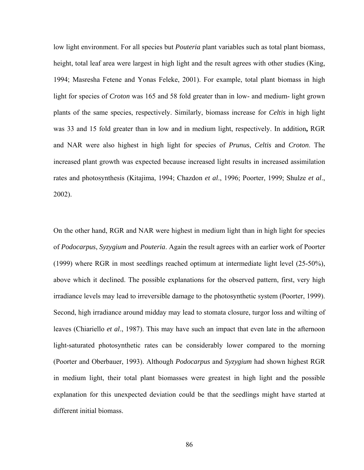low light environment. For all species but *Pouteria* plant variables such as total plant biomass, height, total leaf area were largest in high light and the result agrees with other studies (King, 1994; Masresha Fetene and Yonas Feleke, 2001). For example, total plant biomass in high light for species of *Croton* was 165 and 58 fold greater than in low- and medium- light grown plants of the same species, respectively. Similarly, biomass increase for *Celtis* in high light was 33 and 15 fold greater than in low and in medium light, respectively. In addition**,** RGR and NAR were also highest in high light for species of *Prunus*, *Celtis* and *Croton*. The increased plant growth was expected because increased light results in increased assimilation rates and photosynthesis (Kitajima, 1994; Chazdon *et al*., 1996; Poorter, 1999; Shulze *et al*., 2002).

Second, high irradiance around midday may lead to stomata closure, turgor loss and wilting of leaves (Chiariello *et al.*, 1987). This may have such an impact that even late in the afternoon light-saturated photosynthetic rates can be considerably lower compared to the morning (Poorter and Oberbauer, 1993). Although *Podocarpus* and *Syzygium* had shown highest RGR On the other hand, RGR and NAR were highest in medium light than in high light for species of *Podocarpus*, *Syzygium* and *Pouteria*. Again the result agrees with an earlier work of Poorter (1999) where RGR in most seedlings reached optimum at intermediate light level (25-50%), above which it declined. The possible explanations for the observed pattern, first, very high irradiance levels may lead to irreversible damage to the photosynthetic system (Poorter, 1999). in medium light, their total plant biomasses were greatest in high light and the possible explanation for this unexpected deviation could be that the seedlings might have started at different initial biomass.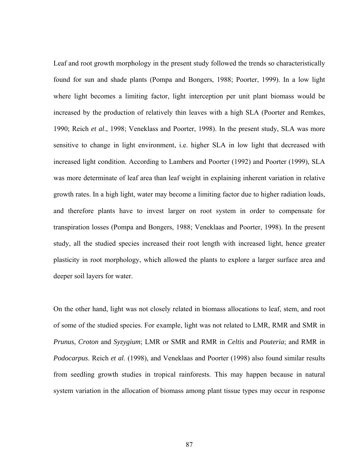Leaf and root growth morphology in the present study followed the trends so characteristically found for sun and shade plants (Pompa and Bongers, 1988; Poorter, 1999). In a low light where light becomes a limiting factor, light interception per unit plant biomass would be increased by the production of relatively thin leaves with a high SLA (Poorter and Remkes, 1990; Reich *et al*., 1998; Veneklass and Poorter, 1998). In the present study, SLA was more sensitive to change in light environment, i.e. higher SLA in low light that decreased with increased light condition. According to Lambers and Poorter (1992) and Poorter (1999), SLA was more determinate of leaf area than leaf weight in explaining inherent variation in relative growth rates. In a high light, water may become a limiting factor due to higher radiation loads, and therefore plants have to invest larger on root system in order to compensate for transpiration losses (Pompa and Bongers, 1988; Veneklaas and Poorter, 1998). In the present study, all the studied species increased their root length with increased light, hence greater plasticity in root morphology, which allowed the plants to explore a larger surface area and deeper soil layers for water.

On the other hand, light was not closely related in biomass allocations to leaf, stem, and root of some of the studied species. For example, light was not related to LMR, RMR and SMR in *Prunus*, *Croton* and *Syzygium*; LMR or SMR and RMR in *Celtis* and *Pouteria*; and RMR in *Podocarpus*. Reich *et al*. (1998), and Veneklaas and Poorter (1998) also found similar results from seedling growth studies in tropical rainforests. This may happen because in natural system variation in the allocation of biomass among plant tissue types may occur in response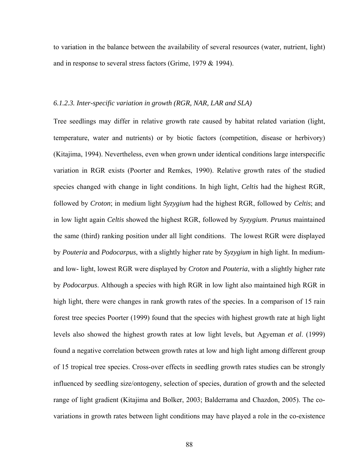to variation in the balance between the availability of several resources (water, nutrient, light) and in response to several stress factors (Grime, 1979 & 1994).

# *6.1.2.3. Inter-specific variation in growth (RGR, NAR, LAR and SLA)*

Tree seedlings may differ in relative growth rate caused by habitat related variation (light, temperature, water and nutrients) or by biotic factors (competition, disease or herbivory) (Kitajima, 1994). Nevertheless, even when grown under identical conditions large interspecific variation in RGR exists (Poorter and Remkes, 1990). Relative growth rates of the studied species changed with change in light conditions. In high light, *Celtis* had the highest RGR, followed by *Croton*; in medium light *Syzygium* had the highest RGR, followed by *Celtis*; and in low light again *Celtis* showed the highest RGR, followed by *Syzygium*. *Prunus* maintained the same (third) ranking position under all light conditions. The lowest RGR were displayed by *Pouteria* and *Podocarpus*, with a slightly higher rate by *Syzygium* in high light. In mediumand low- light, lowest RGR were displayed by *Croton* and *Pouteria*, with a slightly higher rate by *Podocarpus*. Although a species with high RGR in low light also maintained high RGR in high light, there were changes in rank growth rates of the species. In a comparison of 15 rain forest tree species Poorter (1999) found that the species with highest growth rate at high light levels also showed the highest growth rates at low light levels, but Agyeman *et al*. (1999) found a negative correlation between growth rates at low and high light among different group of 15 tropical tree species. Cross-over effects in seedling growth rates studies can be strongly influenced by seedling size/ontogeny, selection of species, duration of growth and the selected range of light gradient (Kitajima and Bolker, 2003; Balderrama and Chazdon, 2005). The covariations in growth rates between light conditions may have played a role in the co-existence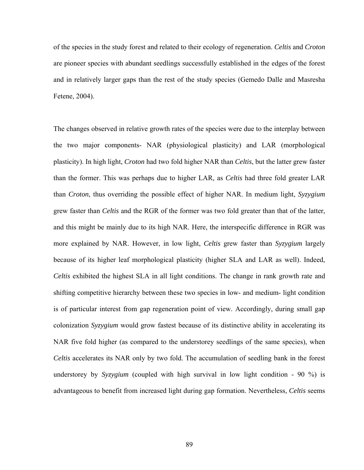of the species in the study forest and related to their ecology of regeneration. *Celtis* and *Croton* are pioneer species with abundant seedlings successfully established in the edges of the forest and in relatively larger gaps than the rest of the study species (Gemedo Dalle and Masresha Fetene, 2004).

The changes observed in relative growth rates of the species were due to the interplay between the two major components- NAR (physiological plasticity) and LAR (morphological plasticity). In high light, *Croton* had two fold higher NAR than *Celtis*, but the latter grew faster than the former. This was perhaps due to higher LAR, as *Celtis* had three fold greater LAR than *Croton*, thus overriding the possible effect of higher NAR. In medium light, *Syzygium* grew faster than *Celtis* and the RGR of the former was two fold greater than that of the latter, and this might be mainly due to its high NAR. Here, the interspecific difference in RGR was more explained by NAR. However, in low light, *Celtis* grew faster than *Syzygium* largely because of its higher leaf morphological plasticity (higher SLA and LAR as well). Indeed, *Celtis* exhibited the highest SLA in all light conditions. The change in rank growth rate and shifting competitive hierarchy between these two species in low- and medium- light condition is of particular interest from gap regeneration point of view. Accordingly, during small gap colonization *Syzygium* would grow fastest because of its distinctive ability in accelerating its NAR five fold higher (as compared to the understorey seedlings of the same species), when *Celtis* accelerates its NAR only by two fold. The accumulation of seedling bank in the forest understorey by *Syzygium* (coupled with high survival in low light condition - 90 %) is advantageous to benefit from increased light during gap formation. Nevertheless, *Celtis* seems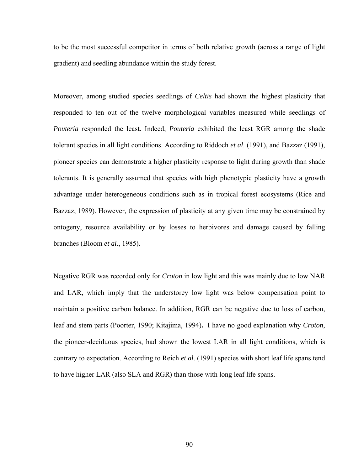to be the most successful competitor in terms of both relative growth (across a range of light gradient) and seedling abundance within the study forest.

Moreover, among studied species seedlings of *Celtis* had shown the highest plasticity that responded to ten out of the twelve morphological variables measured while seedlings of *Pouteria* responded the least. Indeed, *Pouteria* exhibited the least RGR among the shade tolerant species in all light conditions. According to Riddoch *et al*. (1991), and Bazzaz (1991), pioneer species can demonstrate a higher plasticity response to light during growth than shade tolerants. It is generally assumed that species with high phenotypic plasticity have a growth advantage under heterogeneous conditions such as in tropical forest ecosystems (Rice and Bazzaz, 1989). However, the expression of plasticity at any given time may be constrained by ontogeny, resource availability or by losses to herbivores and damage caused by falling branches (Bloom *et al*., 1985).

Negative RGR was recorded only for *Croton* in low light and this was mainly due to low NAR and LAR, which imply that the understorey low light was below compensation point to maintain a positive carbon balance. In addition, RGR can be negative due to loss of carbon, leaf and stem parts (Poorter, 1990; Kitajima, 1994)**.** I have no good explanation why *Croton*, the pioneer-deciduous species, had shown the lowest LAR in all light conditions, which is contrary to expectation. According to Reich *et al*. (1991) species with short leaf life spans tend to have higher LAR (also SLA and RGR) than those with long leaf life spans.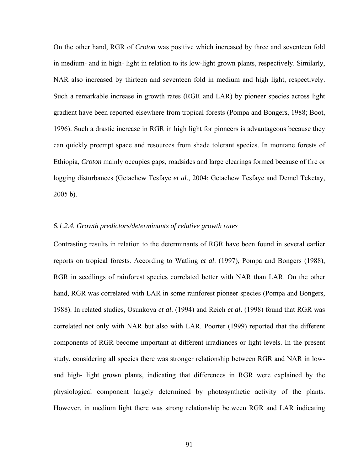On the other hand, RGR of *Croton* was positive which increased by three and seventeen fold in medium- and in high- light in relation to its low-light grown plants, respectively. Similarly, NAR also increased by thirteen and seventeen fold in medium and high light, respectively. Such a remarkable increase in growth rates (RGR and LAR) by pioneer species across light gradient have been reported elsewhere from tropical forests (Pompa and Bongers, 1988; Boot, 1996). Such a drastic increase in RGR in high light for pioneers is advantageous because they can quickly preempt space and resources from shade tolerant species. In montane forests of Ethiopia, *Croton* mainly occupies gaps, roadsides and large clearings formed because of fire or logging disturbances (Getachew Tesfaye *et al*., 2004; Getachew Tesfaye and Demel Teketay, 2005 b).

# *6.1.2.4. Growth predictors/determinants of relative growth rates*

Contrasting results in relation to the determinants of RGR have been found in several earlier reports on tropical forests. According to Watling *et al.* (1997), Pompa and Bongers (1988), and high- light grown plants, indicating that differences in RGR were explained by the hysiological component largely determined by photosynthetic activity of the plants. p However, in medium light there was strong relationship between RGR and LAR indicating RGR in seedlings of rainforest species correlated better with NAR than LAR. On the other hand, RGR was correlated with LAR in some rainforest pioneer species (Pompa and Bongers, 1988). In related studies, Osunkoya *et al*. (1994) and Reich *et al*. (1998) found that RGR was correlated not only with NAR but also with LAR. Poorter (1999) reported that the different components of RGR become important at different irradiances or light levels. In the present study, considering all species there was stronger relationship between RGR and NAR in low-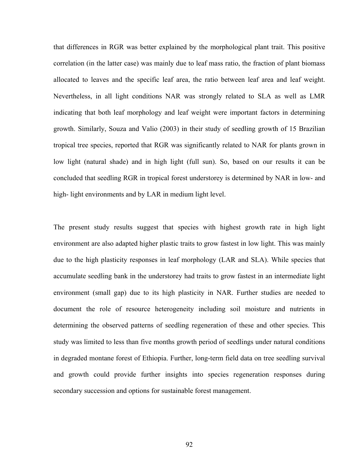that differences in RGR was better explained by the morphological plant trait. This positive correlation (in the latter case) was mainly due to leaf mass ratio, the fraction of plant biomass allocated to leaves and the specific leaf area, the ratio between leaf area and leaf weight. Nevertheless, in all light conditions NAR was strongly related to SLA as well as LMR indicating that both leaf morphology and leaf weight were important factors in determining growth. Similarly, Souza and Valio (2003) in their study of seedling growth of 15 Brazilian tropical tree species, reported that RGR was significantly related to NAR for plants grown in low light (natural shade) and in high light (full sun). So, based on our results it can be concluded that seedling RGR in tropical forest understorey is determined by NAR in low- and high- light environments and by LAR in medium light level.

The present study results suggest that species with highest growth rate in high light environment are also adapted higher plastic traits to grow fastest in low light. This was mainly due to the high plasticity responses in leaf morphology (LAR and SLA). While species that accumulate seedling bank in the understorey had traits to grow fastest in an intermediate light environment (small gap) due to its high plasticity in NAR. Further studies are needed to document the role of resource heterogeneity including soil moisture and nutrients in determining the observed patterns of seedling regeneration of these and other species. This study was limited to less than five months growth period of seedlings under natural conditions in degraded montane forest of Ethiopia. Further, long-term field data on tree seedling survival and growth could provide further insights into species regeneration responses during secondary succession and options for sustainable forest management.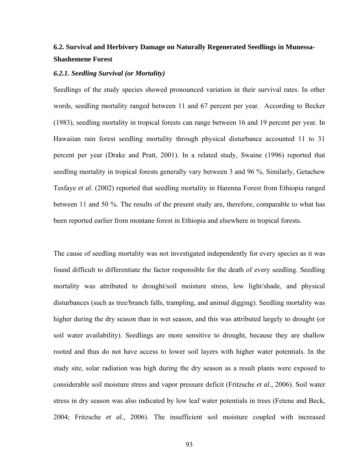# **6.2. Survival and Herbivory Damage on Naturally Regenerated Seedlings in Munessa-Shashemene Forest**

## *6.2.1. Seedling Survival (or Mortality)*

(1983), seedling mortality in tropical forests can range between 16 and 19 percent per year. In Seedlings of the study species showed pronounced variation in their survival rates. In other words, seedling mortality ranged between 11 and 67 percent per year. According to Becker Hawaiian rain forest seedling mortality through physical disturbance accounted 11 to 31 percent per year (Drake and Pratt, 2001). In a related study, Swaine (1996) reported that seedling mortality in tropical forests generally vary between 3 and 96 %. Similarly, Getachew Tesfaye *et al*. (2002) reported that seedling mortality in Harenna Forest from Ethiopia ranged between 11 and 50 %. The results of the present study are, therefore, comparable to what has been reported earlier from montane forest in Ethiopia and elsewhere in tropical forests.

The cause of seedling mortality was not investigated independently for every species as it was found difficult to differentiate the factor responsible for the death of every seedling. Seedling mortality was attributed to drought/soil moisture stress, low light/shade, and physical disturbances (such as tree/branch falls, trampling, and animal digging). Seedling mortality was higher during the dry season than in wet season, and this was attributed largely to drought (or soil water availability). Seedlings are more sensitive to drought, because they are shallow rooted and thus do not have access to lower soil layers with higher water potentials. In the study site, solar radiation was high during the dry season as a result plants were exposed to considerable soil moisture stress and vapor pressure deficit (Fritzsche *et al*.*,* 2006). Soil water stress in dry season was also indicated by low leaf water potentials in trees (Fetene and Beck, 2004; Fritzsche *et al*., 2006). The insufficient soil moisture coupled with increased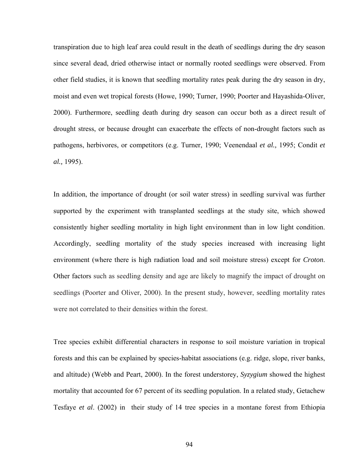transpiration due to high leaf area could result in the death of seedlings during the dry seas on since several dead, dri ed otherwise intact or normally rooted seedlings were observed. From other field studies, it is known that seedling mortality rates peak during the dry season in dry, moist and even wet tropical forests (Howe, 1990; Turner, 1990; Poorter and Hayashida-Oliver, 2000). Furthermore, seedling death during dry season can occur both as a direct result of drought stress, or because drought can exacerbate the effects of non-drought factors such as pathogens, herbivores, or competitors (e.g. Turner, 1990; Veenendaal *et al.,* 1995; Condit *et al.,* 1995).

In addition, the importance of drought (or soil water stress) in seedling survival was further supported by the experiment with transplanted seedlings at the study site, which showed consistently higher seedling mortality in high light environment than in low light condition. Accordingly, seedling mortality of the study species increased with increasing light environment (where there is high radiation load and soil moisture stress) except for *Croton*. Other factors such as seedling density and age are likely to magnify the impact of drought on seedlings (Poorter and Oliver, 2000). In the present study, however, seedling mortality rates were not correlated to their densities within the forest.

Tree species exhibit differential characters in response to soil moisture variation in tropical forests and this can be explained by species-habitat associations (e.g. ridge, slope, river banks, and altitude) (Webb and Peart, 2000). In the forest understorey, *Syzygium* showed the highest mortality that accounted for 67 percent of its seedling population. In a related study, Getachew Tesfaye *et al*. (2002) in their study of 14 tree species in a montane forest from Ethiopia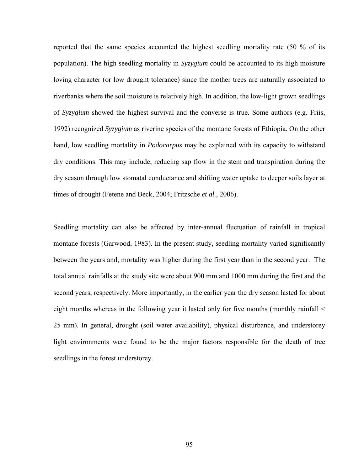reported that the same species accounted the highest seedling mortality rate (50 % of its population). The high seedling mortality in *Syzygium* could be accounted to its high moisture loving character (or low drought tolerance) since the mother trees are naturally associated to riverbanks where the soil moisture is relatively high. In addition, the low-light grown seedlings of *Syzygium* showed the highest survival and the converse is true. Some authors (e.g. Friis, 1992) recognized *Syzygium* as riverine species of the montane forests of Ethiopia. On the other hand, low seedling mortality in *Podocarpus* may be explained with its capacity to withstand dry conditions. This may include, reducing sap flow in the stem and transpiration during the dry season through low stomatal conductance and shifting water uptake to deeper soils layer at times of drought (Fetene and Beck, 2004; Fritzsche *et al.,* 2006).

eight months whereas in the following year it lasted only for five months (monthly rainfall  $\leq$ 5 mm). In general, drought (soil water availability), physical disturbance, and understorey 2 Seedling mortality can also be affected by inter-annual fluctuation of rainfall in tropical montane forests (Garwood, 1983). In the present study, seedling mortality varied significantly between the years and, mortality was higher during the first year than in the second year. The total annual rainfalls at the study site were about 900 mm and 1000 mm during the first and the second years, respectively. More importantly, in the earlier year the dry season lasted for about light environments were found to be the major factors responsible for the death of tree seedlings in the forest understorey.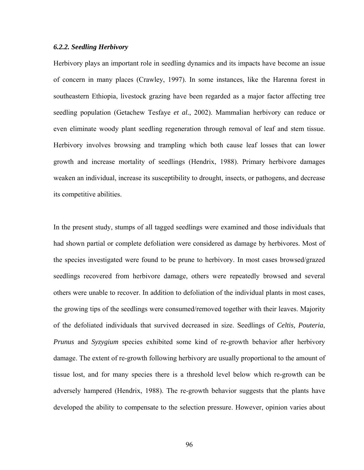# *6.2.2. Seedling Herbivory*

Herbivory plays an important role in seedling dynamics and its impacts have become an issue of concern in many places (Crawley, 1997). In some instances, like the Harenna forest in southeastern Ethiopia, livestock grazing have been regarded as a major factor affecting tree seedling population (Getachew Tesfaye *et al.*, 2002). Mammalian herbivory can reduce or even eliminate woody plant seedling regeneration through removal of leaf and stem tissue. Herbivory involves browsing and trampling which both cause leaf losses that can lower growth and increase mortality of seedlings (Hendrix, 1988). Primary herbivore damages weaken an individual, increase its susceptibility to drought, insects, or pathogens, and decrease its competitive abilities.

In the present study, stumps of all tagged seedlings were examined and those individuals that had shown partial or complete defoliation were considered as damage by herbivores. Most of the species investigated were found to be prune to herbivory. In most cases browsed/grazed seedlings recovered from herbivore damage, others were repeatedly browsed and several others were unable to recover. In addition to defoliation of the individual plants in most cases, the growing tips of the seedlings were consumed/removed together with their leaves. Majority of the defoliated individuals that survived decreased in size. Seedlings of *Celtis, Pouteria*, *Prunus* and *Syzygium* species exhibited some kind of re-growth behavior after herbivory damage. The extent of re-growth following herbivory are usually proportional to the amount of tissue lost, and for many species there is a threshold level below which re-growth can be adversely hampered (Hendrix, 1988). The re-growth behavior suggests that the plants have developed the ability to compensate to the selection pressure. However, opinion varies about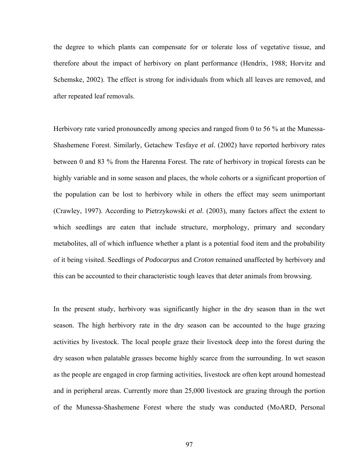the degree to which plants can compensate for or tolerate loss of vegetative tissue, and therefore about the impact of herbivory on plant performance (Hendrix, 1988; Horvitz and Schemske, 2002). The effect is strong for individuals from which all leaves are removed, and after repeated leaf removals.

the population can be lost to herbivory while in others the effect may seem unimportant (Crawley, 1997). According to Pietrzykowski et al. (2003), many factors affect the extent to Herbivory rate varied pronouncedly among species and ranged from 0 to 56 % at the Munessa-Shashemene Forest. Similarly, Getachew Tesfaye *et al.* (2002) have reported herbivory rates between 0 and 83 % from the Harenna Forest. The rate of herbivory in tropical forests can be highly variable and in some season and places, the whole cohorts or a significant proportion of which seedlings are eaten that include structure, morphology, primary and secondary metabolites, all of which influence whether a plant is a potential food item and the probability of it being visited. Seedlings of *Podocarpus* and *Croton* remained unaffected by herbivory and this can be accounted to their characteristic tough leaves that deter animals from browsing.

In the present study, herbivory was significantly higher in the dry season than in the wet season. The high herbivory rate in the dry season can be accounted to the huge grazing activities by livestock. The local people graze their livestock deep into the forest during the dry season when palatable grasses become highly scarce from the surrounding. In wet season as the people are engaged in crop farming activities, livestock are often kept around homestead and in peripheral areas. Currently more than 25,000 livestock are grazing through the portion of the Munessa-Shashemene Forest where the study was conducted (MoARD, Personal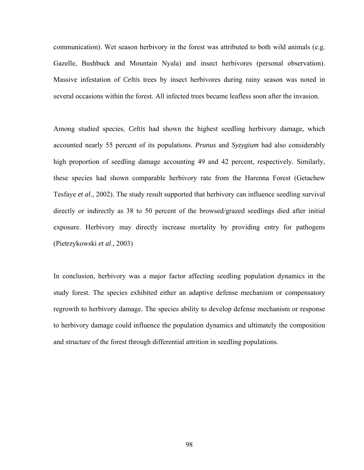communication). Wet season herbivory in the forest was attributed to both wild animals (e.g. Gazelle, Bushbuck and Mountain Nyala) and insect herbivores (personal observation). Massive infestation of *Celtis* trees by insect herbivores during rainy season was noted in several occasions within the forest. All infected trees became leafless soon after the invasion.

Among studied species, *Celtis* had shown the highest seedling herbivory damage, which accounted nearly 55 percent of its populations. *Prunus* and *Syzygium* had also considerably high proportion of seedling damage accounting 49 and 42 percent, respectively. Similarly, these species had shown comparable herbivory rate from the Harenna Forest (Getachew Tesfaye *et al*., 2002). The study result supported that herbivory can influence seedling survival directly or indirectly as 38 to 50 percent of the browsed/grazed seedlings died after initial exposure. Herbivory may directly increase mortality by providing entry for pathogens (Pietrzykowski *et al*., 2003)

In conclusion, herbivory was a major factor affecting seedling population dynamics in the study forest. The species exhibited either an adaptive defense mechanism or compensatory regrowth to herbivory damage. The species ability to develop defense mechanism or response to herbivory damage could influence the population dynamics and ultimately the composition and structure of the forest through differential attrition in seedling populations.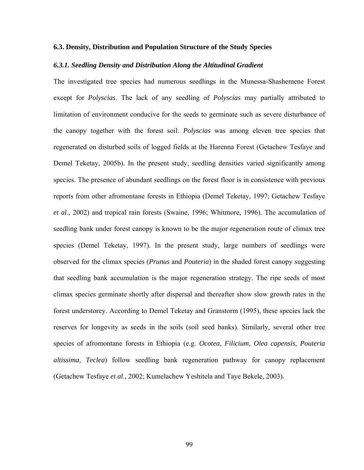#### **6.3. Density, Distribution and Population Structure of the Study Species**

# *6.3.1. Seedling Density and Distribution Along the Altitudinal Gradient*

The investigated tree species had numerous seedlings in the Munessa-Shashemene Forest except for *Polyscias*. The lack of any seedling of *Polyscias* may partially attributed to limitation of environment conducive for the seeds to germinate such as severe disturbance of species (Demel Teketay, 1997). In the present study, large numbers of seedlings were bserved for the climax species (*Prunus* and *Pouteria*) in the shaded forest canopy suggesting o species of afromontane forests in Ethiopia (e.g. *Ocotea, Filicium, Olea capensis, Pouteria ltissima, Teclea*) follow seedling bank regeneration pathway for canopy replacement *a* (Getachew Tesfaye *et al*., 2002; Kumelachew Yeshitela and Taye Bekele, 2003). the canopy together with the forest soil. *Polyscias* was among eleven tree species that regenerated on disturbed soils of logged fields at the Harenna Forest (Getachew Tesfaye and Demel Teketay, 2005b). In the present study, seedling densities varied significantly among species. The presence of abundant seedlings on the forest floor is in consistence with previous reports from other afromontane forests in Ethiopia (Demel Teketay, 1997; Getachew Tesfaye *et al*., 2002) and tropical rain forests (Swaine, 1996; Whitmore, 1996). The accumulation of seedling bank under forest canopy is known to be the major regeneration route of climax tree that seedling bank accumulation is the major regeneration strategy. The ripe seeds of most climax species germinate shortly after dispersal and thereafter show slow growth rates in the forest understorey. According to Demel Teketay and Granstorm (1995), these species lack the reserves for longevity as seeds in the soils (soil seed banks). Similarly, several other tree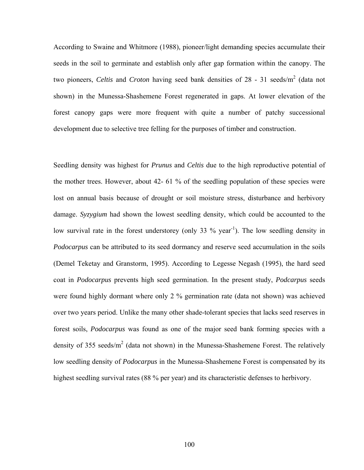According to Swaine and Whitmore (1988), pioneer/light demanding species accumulate their seeds in the soil to germinate and establish only after gap formation within the canopy. The two pioneers, *Celtis* and *Croton* having seed bank densities of 28 - 31 seeds/m<sup>2</sup> (data not shown) in the Munessa-Shashemene Forest regenerated in gaps. At lower elevation of the forest canopy gaps were more frequent with quite a number of patchy successional development due to selective tree felling for the purposes of timber and construction.

highest seedling survival rates (88 % per year) and its characteristic defenses to herbivory. Seedling density was highest for *Prunus* and *Celtis* due to the high reproductive potential of the mother trees. However, about 42- 61 % of the seedling population of these species were lost on annual basis because of drought or soil moisture stress, disturbance and herbivory damage. *Syzygium* had shown the lowest seedling density, which could be accounted to the low survival rate in the forest understorey (only 33  $%$  year<sup>-1</sup>). The low seedling density in *Podocarpus* can be attributed to its seed dormancy and reserve seed accumulation in the soils (Demel Teketay and Granstorm, 1995). According to Legesse Negash (1995), the hard seed coat in *Podocarpus* prevents high seed germination. In the present study, *Podcarpus* seeds were found highly dormant where only 2 % germination rate (data not shown) was achieved over two years period. Unlike the many other shade-tolerant species that lacks seed reserves in forest soils, *Podocarpus* was found as one of the major seed bank forming species with a density of 355 seeds/ $m^2$  (data not shown) in the Munessa-Shashemene Forest. The relatively low seedling density of *Podocarpus* in the Munessa-Shashemene Forest is compensated by its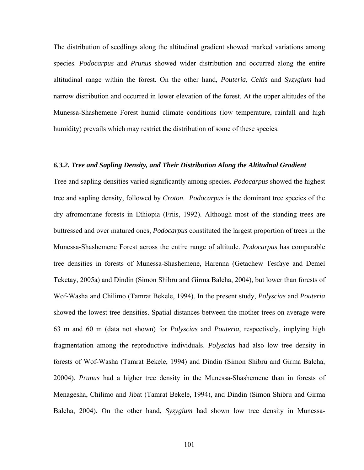The distribution of seedlings along the altitudinal gradient showed marked variations among species. *Podocarpus* and *Prunus* showed wider distribution and occurred along the entire altitudinal range within the forest. On the other hand, *Pouteria*, *Celtis* and *Syzygium* had narrow distribution and occurred in lower elevation of the forest. At the upper altitudes of the Munessa-Shashemene Forest humid climate conditions (low temperature, rainfall and high humidity) prevails which may restrict the distribution of some of these species.

#### *6.3.2. Tree and Sapling Density, and Their Distribution Along the Altitudnal Gradient*

Tree and sapling densities varied significantly among species. *Podocarpus* showed the highest tree and sapling density, followed by *Croton*. *Podocarpus* is the dominant tree species of the dry afromontane forests in Ethiopia (Friis, 1992). Although most of the standing trees are buttressed and over matured ones, *Podocarpus* constituted the largest proportion of trees in the Munessa-Shashemene Forest across the entire range of altitude. *Podocarpus* has comparable tree densities in forests of Munessa-Shashemene, Harenna (Getachew Tesfaye and Demel Teketay, 2005a) and Dindin (Simon Shibru and Girma Balcha, 2004), but lower than forests of Wof-Washa and Chilimo (Tamrat Bekele, 1994). In the present study, *Polyscias* and *Pouteria* showed the lowest tree densities. Spatial distances between the mother trees on average were 63 m and 60 m (data not shown) for *Polyscias* and *Pouteria*, respectively, implying high fragmentation among the reproductive individuals. *Polyscias* had also low tree density in forests of Wof-Washa (Tamrat Bekele, 1994) and Dindin (Simon Shibru and Girma Balcha, 20004). *Prunus* had a higher tree density in the Munessa-Shashemene than in forests of Menagesha, Chilimo and Jibat (Tamrat Bekele, 1994), and Dindin (Simon Shibru and Girma Balcha, 2004). On the other hand, *Syzygium* had shown low tree density in Munessa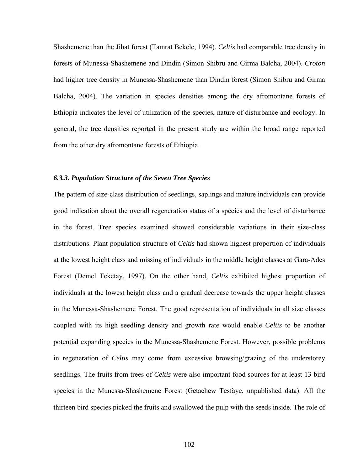Shashemene than the Jibat forest (Tamrat Bekele, 1994). *Celtis* had comparable tree density in forests of Munessa-Shashemene and Dindin (Simon Shibru and Girma Balcha, 2004). *Croton* had higher tree density in Munessa-Shashemene than Dindin forest (Simon Shibru and Girma Balcha, 2004). The variation in species densities among the dry afromontane forests of Ethiopia indicates the level of utilization of the species, nature of disturbance and ecology. In general, the tree densities reported in the present study are within the broad range reported from the other dry afromontane forests of Ethiopia.

## *6.3.3. Population Structure of the Seven Tree Species*

The pattern of size-class distribution of seedlings, saplings and mature individuals can provide good indication about the overall regeneration status of a species and the level of disturbance in the forest. Tree species examined showed considerable variations in their size-class distributions. Plant population structure of *Celtis* had shown highest proportion of individuals at the lowest height class and missing of individuals in the middle height classes at Gara-Ades Forest (Demel Teketay, 1997). On the other hand, *Celtis* exhibited highest proportion of individuals at the lowest height class and a gradual decrease towards the upper height classes in the Munessa-Shashemene Forest. The good representation of individuals in all size classes coupled with its high seedling density and growth rate would enable *Celtis* to be another potential expanding species in the Munessa-Shashemene Forest. However, possible problems in regeneration of *Celtis* may come from excessive browsing/grazing of the understorey seedlings. The fruits from trees of *Celtis* were also important food sources for at least 13 bird species in the Munessa-Shashemene Forest (Getachew Tesfaye, unpublished data). All the thirteen bird species picked the fruits and swallowed the pulp with the seeds inside. The role of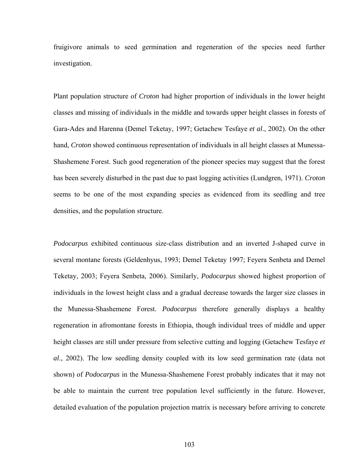fruigivore animals to seed germination and regeneration of the species need further investigation.

Plant population structure of *Croton* had higher proportion of individuals in the lower height classes and missing of individuals in the middle and towards upper height classes in forests of Gara-Ades and Harenna (Demel Teketay, 1997; Getachew Tesfaye *et al*., 2002). On the other hand, *Croton* showed continuous representation of individuals in all height classes at Munessa-Shashemene Forest. Such good regeneration of the pioneer species may suggest that the forest has been severely disturbed in the past due to past logging activities (Lundgren, 1971). *Croton* seems to be one of the most expanding species as evidenced from its seedling and tree densities, and the population structure.

*Podocarpus* exhibited continuous size-class distribution and an inverted J-shaped curve in several montane forests (Geldenhyus, 1993; Demel Teketay 1997; Feyera Senbeta and Demel Teketay, 2003; Feyera Senbeta, 2006). Similarly, *Podocarpus* showed highest proportion of individuals in the lowest height class and a gradual decrease towards the larger size classes in the Munessa-Shashemene Forest. *Podocarpus* therefore generally displays a healthy regeneration in afromontane forests in Ethiopia, though individual trees of middle and upper height classes are still under pressure from selective cutting and logging (Getachew Tesfaye *et al*., 2002). The low seedling density coupled with its low seed germination rate (data not shown) of *Podocarpus* in the Munessa-Shashemene Forest probably indicates that it may not be able to maintain the current tree population level sufficiently in the future. However, detailed evaluation of the population projection matrix is necessary before arriving to concrete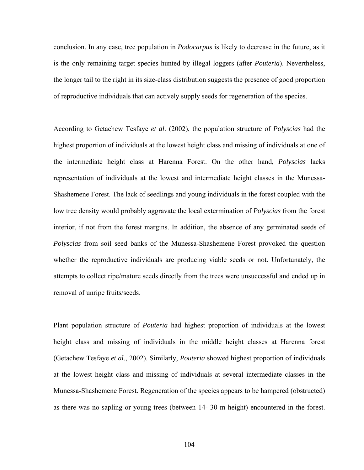conclusion. In any case, tree population in *Podocarpus* is likely to decrease in the future, as it is the only remaining target species hunted by illegal loggers (after *Pouteria*). Nevertheless, the longer tail to the right in its size-class distribution suggests the presence of good proportion of reproductive individuals that can actively supply seeds for regeneration of the species.

low tree density would probably aggravate the local extermination of *Polyscias* from the forest interior, if not from the forest margins. In addition, the absence of any germinated seeds of According to Getachew Tesfaye *et al*. (2002), the population structure of *Polyscias* had the highest proportion of individuals at the lowest height class and missing of individuals at one of the intermediate height class at Harenna Forest. On the other hand, *Polyscias* lacks representation of individuals at the lowest and intermediate height classes in the Munessa-Shashemene Forest. The lack of seedlings and young individuals in the forest coupled with the *Polyscias* from soil seed banks of the Munessa-Shashemene Forest provoked the question whether the reproductive individuals are producing viable seeds or not. Unfortunately, the attempts to collect ripe/mature seeds directly from the trees were unsuccessful and ended up in removal of unripe fruits/seeds.

Plant population structure of *Pouteria* had highest proportion of individuals at the lowest height class and missing of individuals in the middle height classes at Harenna forest (Getachew Tesfaye *et al*., 2002). Similarly, *Pouteria* showed highest proportion of individuals at the lowest height class and missing of individuals at several intermediate classes in the Munessa-Shashemene Forest. Regeneration of the species appears to be hampered (obstructed) as there was no sapling or young trees (between 14- 30 m height) encountered in the forest.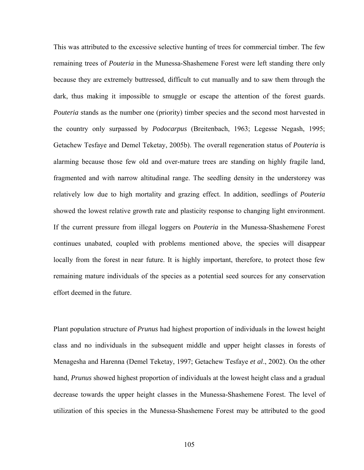This was attributed to the excessive selective hunting of trees for commercial timber. The few remaining trees of *Pouteria* in the Munessa-Shashemene Forest were left standing there only because they are extremely buttressed, difficult to cut manually and to saw them through the dark, thus making it impossible to smuggle or escape the attention of the forest guards. *Pouteria* stands as the number one (priority) timber species and the second most harvested in the country only surpassed by *Podocarpus* (Breitenbach, 1963; Legesse Negash, 1995; Getachew Tesfaye and Demel Teketay, 2005b). The overall regeneration status of *Pouteria* is alarming because those few old and over-mature trees are standing on highly fragile land, fragmented and with narrow altitudinal range. The seedling density in the understorey was relatively low due to high mortality and grazing effect. In addition, seedlings of *Pouteria* showed the lowest relative growth rate and plasticity response to changing light environment. If the current pressure from illegal loggers on *Pouteria* in the Munessa-Shashemene Forest continues unabated, coupled with problems mentioned above, the species will disappear locally from the forest in near future. It is highly important, therefore, to protect those few remaining mature individuals of the species as a potential seed sources for any conservation effort deemed in the future.

Plant population structure of *Prunus* had highest proportion of individuals in the lowest height class and no individuals in the subsequent middle and upper height classes in forests of Menagesha and Harenna (Demel Teketay, 1997; Getachew Tesfaye *et al*., 2002). On the other hand, *Prunus* showed highest proportion of individuals at the lowest height class and a gradual decrease towards the upper height classes in the Munessa-Shashemene Forest. The level of utilization of this species in the Munessa-Shashemene Forest may be attributed to the good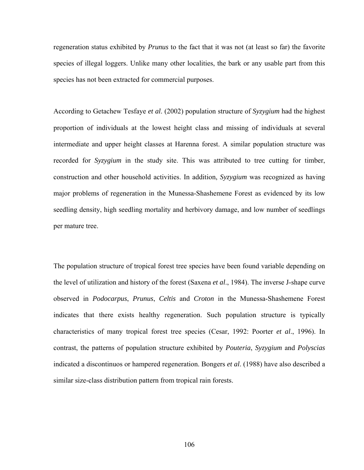regeneration status exhibited by *Prunus* to the fact that it was not (at least so far) the favorite species of illegal loggers. Unlike many other localities, the bark or any usable part from this species has not been extracted for commercial purposes.

According to Getachew Tesfaye *et al*. (2002) population structure of *Syzygium* had the highest proportion of individuals at the lowest height class and missing of individuals at several intermediate and upper height classes at Harenna forest. A similar population structure was recorded for *Syzygium* in the study site. This was attributed to tree cutting for timber, construction and other household activities. In addition, *Syzygium* was recognized as having major problems of regeneration in the Munessa-Shashemene Forest as evidenced by its low seedling density, high seedling mortality and herbivory damage, and low number of seedlings per mature tree.

The population structure of tropical forest tree species have been found variable depending on the level of utilization and history of the forest (Saxena *et al*., 1984). The inverse J-shape curve observed in *Podocarpus*, *Prunus*, *Celtis* and *Croton* in the Munessa-Shashemene Forest indicates that there exists healthy regeneration. Such population structure is typically characteristics of many tropical forest tree species (Cesar, 1992: Poorter *et al*., 1996). In contrast, the patterns of population structure exhibited by *Pouteria*, *Syzygium* and *Polyscias* indicated a discontinuos or hampered regeneration. Bongers *et al*. (1988) have also described a similar size-class distribution pattern from tropical rain forests.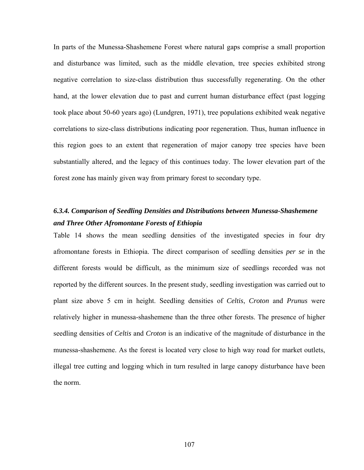In parts of the Munessa-Shashemene Forest where natural gaps comprise a small proportion and disturbance was limited, such as the middle elevation, tree species exhibited strong negative correlation to size-class distribution thus successfully regenerating. On the other hand, at the lower elevation due to past and current human disturbance effect (past logging took place about 50-60 years ago) (Lundgren, 1971), tree populations exhibited weak negative correlations to size-class distributions indicating poor regeneration. Thus, human influence in this region goes to an extent that regeneration of major canopy tree species have been substantially altered, and the legacy of this continues today. The lower elevation part of the forest zone has mainly given way from primary forest to secondary type.

# and Three Other Afromontane Forests of Ethiopia *6.3.4. Comparison of Seedling Densities and Distributions between Munessa-Shashemene*

Table 14 shows the mean seedling densities of the investigated species in four dry afromontane forests in Ethiopia. The direct comparison of seedling densities *per se* in the different forests would be difficult, as the minimum size of seedlings recorded was not reported by the different sources. In the present study, seedling investigation was carried out to plant size above 5 cm in height. Seedling densities of *Celtis*, *Croton* and *Prunus* were relatively higher in munessa-shashemene than the three other forests. The presence of higher seedling densities of *Celtis* and *Croton* is an indicative of the magnitude of disturbance in the munessa-shashemene. As the forest is located very close to high way road for market outlets, illegal tree cutting and logging which in turn resulted in large canopy disturbance have been the norm.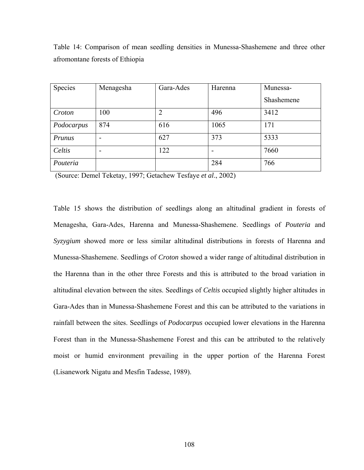Table 14: Comparison of mean seedling densities in Munessa-Shashemene and three other afromontane forests of Ethiopia

| Species    | Menagesha | Gara-Ades      | Harenna | Munessa-   |
|------------|-----------|----------------|---------|------------|
|            |           |                |         | Shashemene |
| Croton     | 100       | $\overline{2}$ | 496     | 3412       |
| Podocarpus | 874       | 616            | 1065    | 171        |
| Prunus     |           | 627            | 373     | 5333       |
| Celtis     |           | 122            |         | 7660       |
| Pouteria   |           |                | 284     | 766        |

(Source: Demel Teketay, 1997; Getachew Tesfaye *et al*., 2002)

Table 15 shows the distribution of seedlings along an altitudinal gradient in forests of Menagesha, Gara-Ades, Harenna and Munessa-Shashemene. Seedlings of *Pouteria* and *Syzygium* showed more or less similar altitudinal distributions in forests of Harenna and Munessa-Shashemene. Seedlings of *Croton* showed a wider range of altitudinal distribution in the Harenna than in the other three Forests and this is attributed to the broad variation in altitudinal elevation between the sites. Seedlings of *Celtis* occupied slightly higher altitudes in Gara-Ades than in Munessa-Shashemene Forest and this can be attributed to the variations in rainfall between the sites. Seedlings of *Podocarpus* occupied lower elevations in the Harenna Forest than in the Munessa-Shashemene Forest and this can be attributed to the relatively moist or humid environment prevailing in the upper portion of the Harenna Forest (Lisanework Nigatu and Mesfin Tadesse, 1989).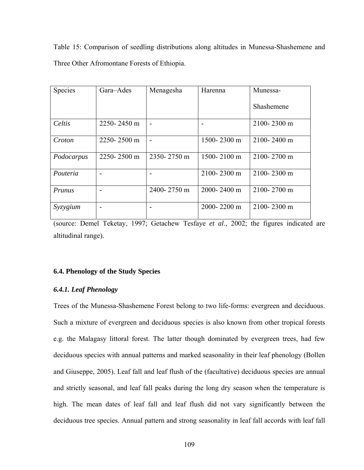|  | Table 15: Comparison of seedling distributions along altitudes in Munessa-Shashemene and |  |  |  |  |
|--|------------------------------------------------------------------------------------------|--|--|--|--|
|  | Three Other Afromontane Forests of Ethiopia.                                             |  |  |  |  |

| <b>Species</b> | Gara-Ades   | Menagesha   | Harenna     | Munessa-    |
|----------------|-------------|-------------|-------------|-------------|
|                |             |             |             | Shashemene  |
| Celtis         | 2250-2450 m |             |             | 2100-2300 m |
| Croton         | 2250-2500 m |             | 1500-2300 m | 2100-2400 m |
| Podocarpus     | 2250-2500 m | 2350-2750 m | 1500-2100 m | 2100-2700 m |
| Pouteria       |             |             | 2100-2300 m | 2100-2300 m |
| Prunus         |             | 2400-2750 m | 2000-2400 m | 2100-2700 m |
| Syzygium       |             |             | 2000-2200 m | 2100-2300 m |

(source: Demel Teketay, 1997; Getachew Tesfaye *et al*., 2002; the figures indicated are altitudinal range).

# **6.4. Phenology of the Study Species**

## *6.4.1. Leaf Phenology*

and Giuseppe, 2005). Leaf fall and leaf flush of the (facultative) deciduous species are annual and strictly seasonal, and leaf fall peaks during the long dry season when the temperature is high. The mean dates of leaf fall and leaf flush did not vary significantly between the deciduous tree species. Annual pattern and strong seasonality in leaf fall accords with leaf fall Trees of the Munessa-Shashemene Forest belong to two life-forms: evergreen and deciduous. Such a mixture of evergreen and deciduous species is also known from other tropical forests e.g. the Malagasy littoral forest. The latter though dominated by evergreen trees, had few deciduous species with annual patterns and marked seasonality in their leaf phenology (Bollen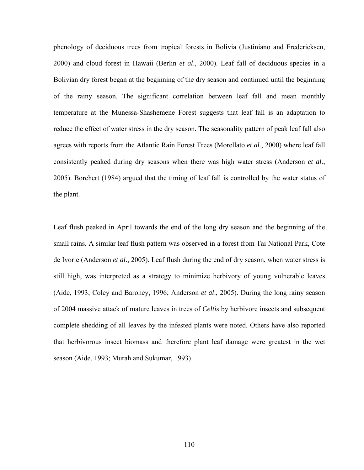phenology of deciduous trees from tropical forests in Bolivia (Justiniano and Fredericksen, 2000) and cloud forest in Hawaii (Berlin *et al*., 2000). Leaf fall of deciduous species in a Bolivian dry forest began at the beginning of the dry season and continued until the beginning of the rainy season. The significant correlation between leaf fall and mean monthly temperature at the Munessa-Shashemene Forest suggests that leaf fall is an adaptation to reduce the effect of water stress in the dry season. The seasonality pattern of peak leaf fall also agrees with reports from the Atlantic Rain Forest Trees *(Morellato et al., 2000)* where leaf fall consistently peaked during dry seasons when there was high water stress (Anderson et al., 2005). Borchert (1984) argued that the timing of leaf fall is controlled by the water status of the plant.

small rains. A similar leaf flush pattern was observed in a forest from Tai National Park, Cote de Ivorie (Anderson *et al*., 2005). Leaf flush during the end of dry season, when water stress is still high, was interpreted as a strategy to minimize herbivory of young vulnerable leaves (Aide, 1993; Coley and Baroney, 1996; Anderson *et al.*, 2005). During the long rainy season Leaf flush peaked in April towards the end of the long dry season and the beginning of the of 2004 massive attack of mature leaves in trees of *Celtis* by herbivore insects and subsequent complete shedding of all leaves by the infested plants were noted. Others have also reported that herbivorous insect biomass and therefore plant leaf damage were greatest in the wet season (Aide, 1993; Murah and Sukumar, 1993).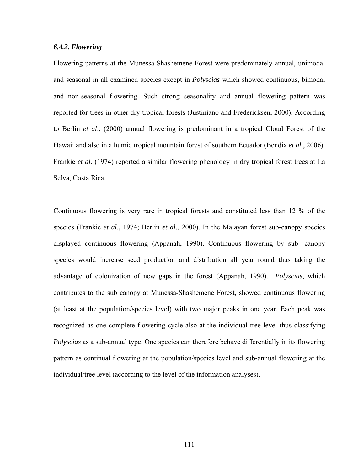## *6.4.2. Flowering*

Flowering patterns at the Munessa-Shashemene Forest were predominately annual, unimodal and seasonal in all examined species except in *Polyscias* which showed continuous, bimodal and non-seasonal flowering. Such strong seasonality and annual flowering pattern was reported for trees in other dry tropical forests (Justiniano and Fredericksen, 2000). According to Berlin *et al*., (2000) annual flowering is predominant in a tropical Cloud Forest of the Hawaii and also in a humid tropical mountain forest of southern Ecuador (Bendix *et al*., 2006). Frankie *et al*. (1974) reported a similar flowering phenology in dry tropical forest trees at La Selva, Costa Rica.

Continuous flowering is very rare in tropical forests and constituted less than 12 % of the pattern as continual flowering at the population/species level and sub-annual flowering at the individual/tree level (according to the level of the information analyses). species (Frankie *et al*., 1974; Berlin *et al*., 2000). In the Malayan forest sub-canopy species displayed continuous flowering (Appanah, 1990). Continuous flowering by sub- canopy species would increase seed production and distribution all year round thus taking the advantage of colonization of new gaps in the forest (Appanah, 1990). *Polyscias*, which contributes to the sub canopy at Munessa-Shashemene Forest, showed continuous flowering (at least at the population/species level) with two major peaks in one year. Each peak was recognized as one complete flowering cycle also at the individual tree level thus classifying *Polyscias* as a sub-annual type. One species can therefore behave differentially in its flowering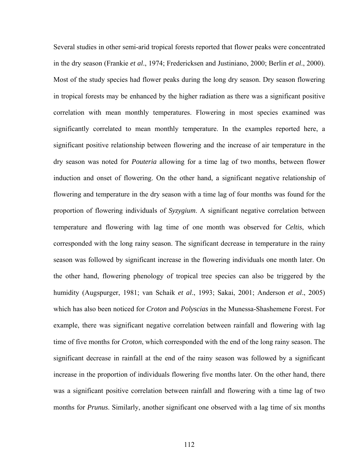Several studies in other semi-arid tropical forests reported that flower peaks were concentrated induction and onset of flowering. On the other hand, a significant negative relationship of flowering and temperature in the dry season with a time lag of four months was found for the increase in the proportion of individuals flowering five months later. On the other hand, there was a significant positive correlation between rainfall and flowering with a time lag of two months for *Prunus*. Similarly, another significant one observed with a lag time of six months in the dry season (Frankie *et al*., 1974; Fredericksen and Justiniano, 2000; Berlin *et al*., 2000). Most of the study species had flower peaks during the long dry season. Dry season flowering in tropical forests may be enhanced by the higher radiation as there was a significant positive correlation with mean monthly temperatures. Flowering in most species examined was significantly correlated to mean monthly temperature. In the examples reported here, a significant positive relationship between flowering and the increase of air temperature in the dry season was noted for *Pouteria* allowing for a time lag of two months, between flower proportion of flowering individuals of *Syzygium*. A significant negative correlation between temperature and flowering with lag time of one month was observed for *Celtis*, which corresponded with the long rainy season. The significant decrease in temperature in the rainy season was followed by significant increase in the flowering individuals one month later. On the other hand, flowering phenology of tropical tree species can also be triggered by the humidity (Augspurger, 1981; van Schaik *et al*., 1993; Sakai, 2001; Anderson *et al*., 2005) which has also been noticed for *Croton* and *Polyscias* in the Munessa-Shashemene Forest. For example, there was significant negative correlation between rainfall and flowering with lag time of five months for *Croton*, which corresponded with the end of the long rainy season. The significant decrease in rainfall at the end of the rainy season was followed by a significant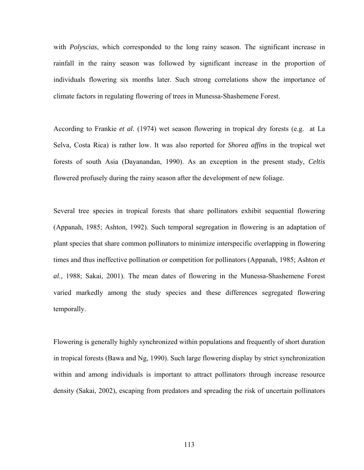with *Polyscias*, which corresponded to the long rainy season. The significant increase in rainfall in the rainy season was followed by significant increase in the proportion of individuals flowering six months later. Such strong correlations show the importance of climate factors in regulating flowering of trees in Munessa-Shashemene Forest.

According to Frankie *et al*. (1974) wet season flowering in tropical dry forests (e.g. at La Selva, Costa Rica) is rather low. It was also reported for *Shorea affins* in the tropical wet forests of south Asia (Dayanandan, 1990). As an exception in the present study, *Celtis* flowered profusely during the rainy season after the development of new foliage.

Several tree species in tropical forests that share pollinators exhibit sequential flowering (Appanah, 1985; Ashton, 1992). Such temporal segregation in flowering is an adaptation of plant species that share common pollinators to minimize interspecific overlapping in flowering times and thus ineffective pollination or competition for pollinators (Appanah, 1985; Ashton *et al*., 1988; Sakai, 2001). The mean dates of flowering in the Munessa-Shashemene Forest varied markedly among the study species and these differences segregated flowering temporally.

Flowering is generally highly synchronized within populations and frequently of short duration in tropical forests (Bawa and Ng, 1990). Such large flowering display by strict synchronization within and among individuals is important to attract pollinators through increase resource density (Sakai, 2002), escaping from predators and spreading the risk of uncertain pollinators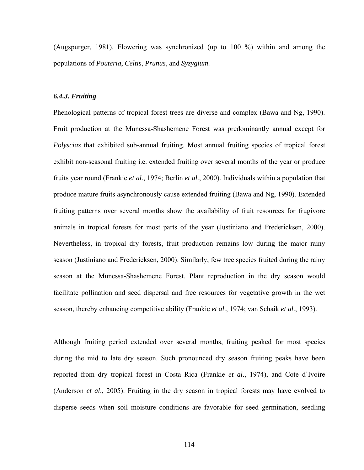(Augspurger, 1981). Flowering was synchronized (up to 100 %) within and among the populations of *Pouteria*, *Celtis*, *Prunus*, and *Syzygium*.

# *6.4.3. Fruiting*

Phenological patterns of tropical forest trees are diverse and complex (Bawa and Ng, 1990). fruits year round (Frankie et al., 1974; Berlin et al., 2000). Individuals within a population that produce mature fruits asynchronously cause extended fruiting (Bawa and Ng, 1990). Extended season, thereby enhancing competitive ability (Frankie *et al.*, 1974; van Schaik *et al.*, 1993). Fruit production at the Munessa-Shashemene Forest was predominantly annual except for *Polyscias* that exhibited sub-annual fruiting. Most annual fruiting species of tropical forest exhibit non-seasonal fruiting i.e. extended fruiting over several months of the year or produce fruiting patterns over several months show the availability of fruit resources for frugivore animals in tropical forests for most parts of the year (Justiniano and Fredericksen, 2000). Nevertheless, in tropical dry forests, fruit production remains low during the major rainy season (Justiniano and Fredericksen, 2000). Similarly, few tree species fruited during the rainy season at the Munessa-Shashemene Forest. Plant reproduction in the dry season would facilitate pollination and seed dispersal and free resources for vegetative growth in the wet

disperse seeds when soil moisture conditions are favorable for seed germination, seedling Although fruiting period extended over several months, fruiting peaked for most species during the mid to late dry season. Such pronounced dry season fruiting peaks have been reported from dry tropical forest in Costa Rica (Frankie *et al*., 1974), and Cote d`Ivoire (Anderson *et al*., 2005). Fruiting in the dry season in tropical forests may have evolved to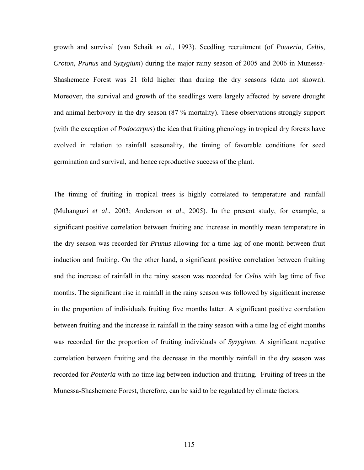growth and survival (van Schaik *et al*., 1993). Seedling recruitment (of *Pouteria*, *Celtis*, *Croton, Prunus* and *Syzygium*) during the major rainy season of 2005 and 2006 in Munessahashemene Forest was 21 fold higher than during the dry seasons (data not shown). S Moreover, the survival and growth of the seedlings were largely affected by severe drought and animal herbivory in the dry season (87 % mortality). These observations strongly support (with the exception of *Podocarpus*) the idea that fruiting phenology in tropical dry forests have evolved in relation to rainfall seasonality, the timing of favorable conditions for seed germination and survival, and hence reproductive success of the plant.

in the proportion of individuals fruiting five months latter. A significant positive correlation between fruiting and the increase in rainfall in the rainy season with a time lag of eight months The timing of fruiting in tropical trees is highly correlated to temperature and rainfall (Muhanguzi *et al*., 2003; Anderson *et al*., 2005). In the present study, for example, a significant positive correlation between fruiting and increase in monthly mean temperature in the dry season was recorded for *Prunus* allowing for a time lag of one month between fruit induction and fruiting. On the other hand, a significant positive correlation between fruiting and the increase of rainfall in the rainy season was recorded for *Celtis* with lag time of five months. The significant rise in rainfall in the rainy season was followed by significant increase was recorded for the proportion of fruiting individuals of *Syzygium*. A significant negative correlation between fruiting and the decrease in the monthly rainfall in the dry season was recorded for *Pouteria* with no time lag between induction and fruiting*.* Fruiting of trees in the Munessa-Shashemene Forest, therefore, can be said to be regulated by climate factors.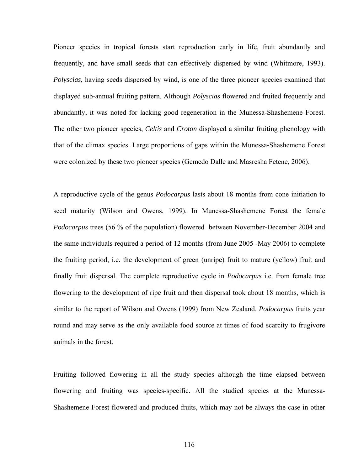Pioneer species in tropical forests start reproduction early in life, fruit abundantly and frequently, and have small seeds that can effectively dispersed by wind (Whitmore, 1993). *Polyscias*, having seeds dispersed by wind, is one of the three pioneer species examined that displayed sub-annual fruiting pattern. Although *Polyscias* flowered and fruited frequently and abundantly, it was noted for lacking good regeneration in the Munessa-Shashemene Forest. The other two pioneer species, *Celtis* and *Croton* displayed a similar fruiting phenology with that of the climax species. Large proportions of gaps within the Munessa-Shashemene Forest were colonized by these two pioneer species (Gemedo Dalle and Masresha Fetene, 2006).

A reproductive cycle of the genus *Podocarpus* lasts about 18 months from cone initiation to seed maturity (Wilson and Owens, 1999). In Munessa-Shashemene Forest the female *Podocarpus* trees (56 % of the population) flowered between November-December 2004 and the same individuals required a period of 12 months (from June 2005 -May 2006) to complete the fruiting period, i.e. the development of green (unripe) fruit to mature (yellow) fruit and finally fruit dispersal. The complete reproductive cycle in *Podocarpus* i.e. from female tree flowering to the development of ripe fruit and then dispersal took about 18 months, which is similar to the report of Wilson and Owens (1999) from New Zealand. *Podocarpus* fruits year round and may serve as the only available food source at times of food scarcity to frugivore animals in the forest.

flowering and fruiting was species-specific. All the studied species at the Munessa-Shashemene Forest flowered and produced fruits, which may not be always the case in other Fruiting followed flowering in all the study species although the time elapsed between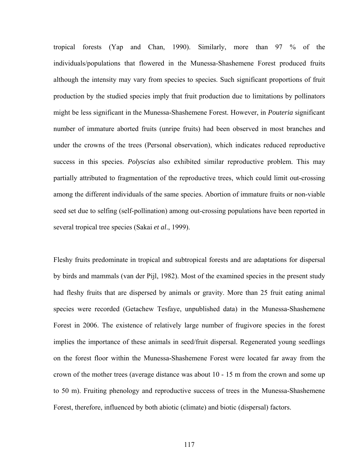tropical forests (Yap and Chan, 1990). Similarly, more than 97 % of the individuals/populations that flowered in the Munessa-Shashemene Forest produced fruits although the intensity may vary from species to species. Such significant proportions of fruit production by the studied species imply that fruit production due to limitations by pollinators might be less significant in the Munessa-Shashemene Forest. However, in *Pouteria* significant number of immature aborted fruits (unripe fruits) had been observed in most branches and under the crowns of the trees (Personal observation), which indicates reduced reproductive success in this species. *Polyscias* also exhibited similar reproductive problem. This may partially attributed to fragmentation of the reproductive trees, which could limit out-crossing among the different individuals of the same species. Abortion of immature fruits or non-viable seed set due to selfing (self-pollination) among out-crossing populations have been reported in several tropical tree species (Sakai *et al*., 1999).

implies the importance of these animals in seed/fruit dispersal. Regenerated young seedlings on the forest floor within the Munessa-Shashemene Forest were located far away from the Fleshy fruits predominate in tropical and subtropical forests and are adaptations for dispersal by birds and mammals (van der Pijl, 1982). Most of the examined species in the present study had fleshy fruits that are dispersed by animals or gravity. More than 25 fruit eating animal species were recorded (Getachew Tesfaye, unpublished data) in the Munessa-Shashemene Forest in 2006. The existence of relatively large number of frugivore species in the forest crown of the mother trees (average distance was about 10 - 15 m from the crown and some up to 50 m). Fruiting phenology and reproductive success of trees in the Munessa-Shashemene Forest, therefore, influenced by both abiotic (climate) and biotic (dispersal) factors.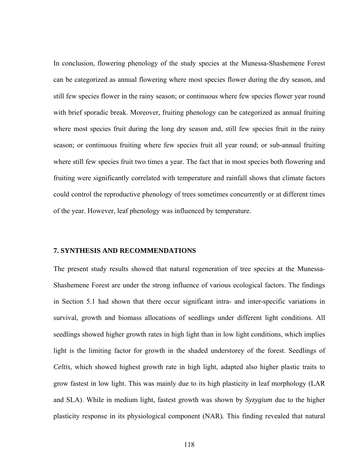In conclusion, flowering phenology of the study species at the Munessa-Shashemene Forest can be categorized as annual flowering where most species flower during the dry season, and still few species flower in the rainy season; or continuous where few species flower year round with brief sporadic break. Moreover, fruiting phenology can be categorized as annual fruiting where most species fruit during the long dry season and, still few species fruit in the rainy season; or continuous fruiting where few species fruit all year round; or sub-annual fruiting where still few species fruit two times a year. The fact that in most species both flowering and fruiting were significantly correlated with temperature and rainfall shows that climate factors could control the reproductive phenology of trees sometimes concurrently or at different times of the year. However, leaf phenology was influenced by temperature.

#### **7. SYNTHESIS AND RECOMMENDATIONS**

The present study results showed that natural regeneration of tree species at the Munessa-Shashemene Forest are under the strong influence of various ecological factors. The findings in Section 5.1 had shown that there occur significant intra- and inter-specific variations in survival, growth and biomass allocations of seedlings under different light conditions. All seedlings showed higher growth rates in high light than in low light conditions, which implies light is the limiting factor for growth in the shaded understorey of the forest. Seedlings of *Celtis*, which showed highest growth rate in high light, adapted also higher plastic traits to grow fastest in low light. This was mainly due to its high plasticity in leaf morphology (LAR and SLA). While in medium light, fastest growth was shown by *Syzygium* due to the higher plasticity response in its physiological component (NAR). This finding revealed that natural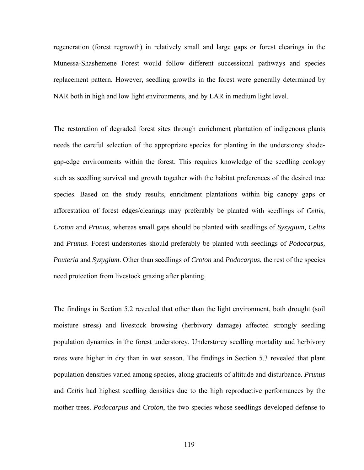regeneration (forest regrowth) in relatively small and large gaps or forest clearings in the Munessa-Shashemene Forest would follow different successional pathways and species replacement pattern. However, seedling growths in the forest were generally determined by NAR both in high and low light environments, and by LAR in medium light level.

afforestation of forest edges/clearings may preferably be planted with seedlings of Celtis, *roton* and *Prunus*, whereas small gaps should be planted with seedlings of *Syzygium, Celtis C* and *Prunus*. Forest understories should preferably be planted with seedlings of *Podocarpus, Pouteria* and *Syzygium*. Other than seedlings of *Croton* and *Podocarpus*, the rest of the species need protection from livestock grazing after planting. The restoration of degraded forest sites through enrichment plantation of indigenous plants needs the careful selection of the appropriate species for planting in the understorey shadegap-edge environments within the forest. This requires knowledge of the seedling ecology such as seedling survival and growth together with the habitat preferences of the desired tree species. Based on the study results, enrichment plantations within big canopy gaps or

The findings in Section 5.2 revealed that other than the light environment, both drought (soil moisture stress) and livestock browsing (herbivory damage) affected strongly seedling population dynamics in the forest understorey. Understorey seedling mortality and herbivory rates were higher in dry than in wet season. The findings in Section 5.3 revealed that plant population densities varied among species, along gradients of altitude and disturbance. *Prunus* and *Celtis* had highest seedling densities due to the high reproductive performances by the mother trees. *Podocarpus* and *Croton*, the two species whose seedlings developed defense to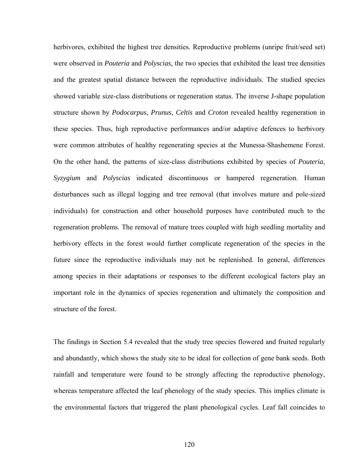herbivores, exhibited the highest tree densities. Reproductive problems (unripe fruit/seed set) were observed in *Pouteria* and *Polyscias,* the two species that exhibited the least tree densities and the greatest spatial distance between the reproductive individuals. The studied species showed variable size-class distributions or regeneration status. The inverse J-shape population structure shown by *Podocarpus*, *Prunus*, *Celtis* and *Croton* revealed healthy regeneration in among species in their adaptations or responses to the different ecological factors play an important role in the dynamics of species regeneration and ultimately the composition and these species. Thus, high reproductive performances and/or adaptive defences to herbivory were common attributes of healthy regenerating species at the Munessa-Shashemene Forest. On the other hand, the patterns of size-class distributions exhibited by species of *Pouteria*, *Syzygium* and *Polyscias* indicated discontinuous or hampered regeneration. Human disturbances such as illegal logging and tree removal (that involves mature and pole-sized individuals) for construction and other household purposes have contributed much to the regeneration problems. The removal of mature trees coupled with high seedling mortality and herbivory effects in the forest would further complicate regeneration of the species in the future since the reproductive individuals may not be replenished. In general, differences structure of the forest.

The findings in Section 5.4 revealed that the study tree species flowered and fruited regularly and abundantly, which shows the study site to be ideal for collection of gene bank seeds. Both rainfall and temperature were found to be strongly affecting the reproductive phenology, whereas temperature affected the leaf phenology of the study species. This implies climate is the environmental factors that triggered the plant phenological cycles. Leaf fall coincides to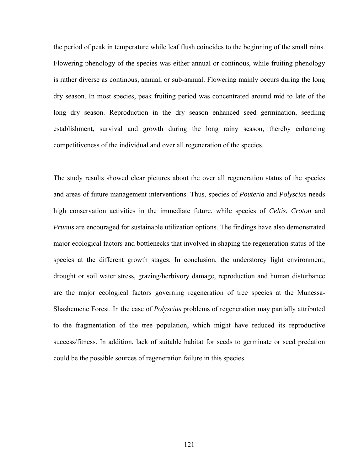the period of peak in temperature while leaf flush coincides to the beginning of the small rains. Flowering phenology of the species was either annual or continous, while fruiting phenology is rather diverse as continous, annual, or sub-annual. Flowering mainly occurs during the long dry season. In most species, peak fruiting period was concentrated around mid to late of the long dry season. Reproduction in the dry season enhanced seed germination, seedling establishment, survival and growth during the long rainy season, thereby enhancing competitiveness of the individual and over all regeneration of the species.

The study results showed clear pictures about the over all regeneration status of the species and areas of future management interventions. Thus, species of *Pouteria* and *Polyscias* needs high conservation activities in the immediate future, while species of *Celtis*, *Croton* and *Prunus* are encouraged for sustainable utilization options. The findings have also demonstrated major ecological factors and bottlenecks that involved in shaping the regeneration status of the species at the different growth stages. In conclusion, the understorey light environment, drought or soil water stress, grazing/herbivory damage, reproduction and human disturbance are the major ecological factors governing regeneration of tree species at the Munessa-Shashemene Forest. In the case of *Polyscias* problems of regeneration may partially attributed to the fragmentation of the tree population, which might have reduced its reproductive success/fitness. In addition, lack of suitable habitat for seeds to germinate or seed predation could be the possible sources of regeneration failure in this species.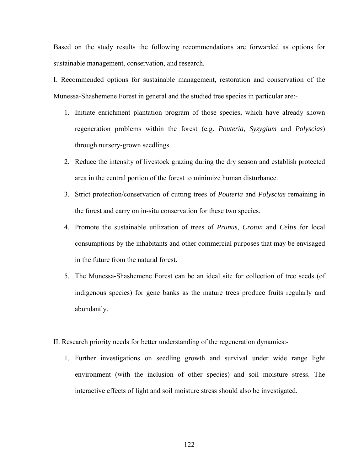Based on the study results the following recommendations are forwarded as options for sustainable management, conservation, and research.

I. Recommended options for sustainable management, restoration and conservation of the Munessa-Shashemene Forest in general and the studied tree species in particular are:-

- 1. Initiate enrichment plantation program of those species, which have already shown regeneration problems within the forest (e.g. *Pouteria*, *Syzygium* and *Polyscias*) through nursery-grown seedlings.
- 2. Reduce the intensity of livestock grazing during the dry season and establish protected area in the central portion of the forest to minimize human disturbance.
- 3. Strict protection/conservation of cutting trees of *Pouteria* and *Polyscias* remaining in the forest and carry on in-situ conservation for these two species.
- 4. Promote the sustainable utilization of trees of *Prunus*, *Croton* and *Celtis* for local consumptions by the inhabitants and other commercial purposes that may be envisaged in the future from the natural forest.
- 5. The Munessa-Shashemene Forest can be an ideal site for collection of tree seeds (of indigenous species) for gene banks as the mature trees produce fruits regularly and abundantly.

II. Research priority needs for better understanding of the regeneration dynamics:-

1. Further investigations on seedling growth and survival under wide range light environment (with the inclusion of other species) and soil moisture stress. The interactive effects of light and soil moisture stress should also be investigated.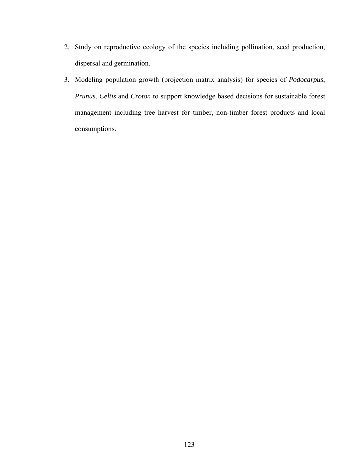- 2. Study on reproductive ecology of the species including pollination, seed production, dispersal and germination.
- 3. Modeling population growth (projection matrix analysis) for species of *Podocarpus*, *Prunus*, *Celtis* and *Croton* to support knowledge based decisions for sustainable forest management including tree harvest for timber, non-timber forest products and local consumptions.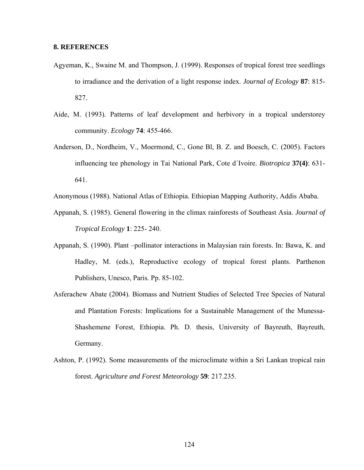#### **8. REFERENCES**

- Agyeman, K., Swaine M. and Thompson, J. (1999). Responses of tropical forest tree seedlings to irradiance and the derivation of a light response index. *Journal of Ecology* **87**: 815- 827.
- *logy* **74**: 455-466. community. *Eco* Aide, M. (1993). Patterns of leaf development and herbivory in a tropical understorey
- Anderson, D., Nordheim, V., Moermond, C., Gone Bl, B. Z. and Boesch, C. (2005). Factors influencing tee phenology in Tai National Park, Cote d´Ivoire. *Biotropica* **37(4)**: 631- 641.
- Anonymous (1988). National Atlas of Ethiopia. Ethiopian Mapping Authority, Addis Ababa.
- Appanah, S. (1985). General flowering in the climax rainforests of Southeast Asia. *Journal of Tropical Ecology* **1**: 225- 240.
- Appanah, S. (1990). Plant -pollinator interactions in Malaysian rain forests. In: Bawa, K. and Hadley, M. (eds.), Reproductive ecology of tropical forest plants. Parthenon Publishers, Unesco, Paris. Pp. 85-102.
- Asferachew Abate (2004). Biomass and Nutrient Studies of Selected Tree Species of Natural and Plantation Forests: Implications for a Sustainable Management of the Munessa-Shashemene Forest, Ethiopia. Ph. D. thesis, University of Bayreuth, Bayreuth, Germany.
- Ashton, P. (1992). Some measurements of the microclimate within a Sri Lankan tropical rain forest. *Agriculture and Forest Meteorology* **59**: 217.235.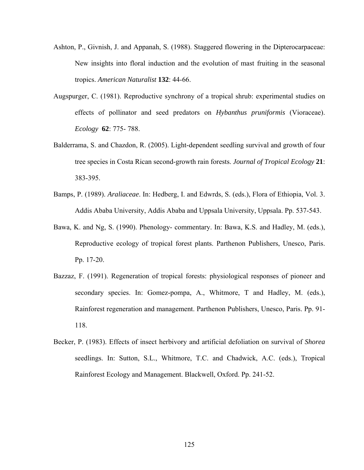- Ashton, P., Givnish, J. and Appanah, S. (1988). Staggered flowering in the Dipterocarpaceae: New insights into floral induction and the evolution of mast fruiting in the seasonal tropics. *American Naturalist* **132**: 44-66.
- Augspurger, C. (1981). Reproductive synchrony of a tropical shrub: experimental studies on effects of pollinator and seed predators on *Hybanthus pruniformis* (Vioraceae). *Ecology* **62**: 775- 788.
- 95. 383-3 Balderrama, S. and Chazdon, R. (2005). Light-dependent seedling survival and growth of four tree species in Costa Rican second-growth rain forests. *Journal of Tropical Ecology* **21**:
- . Bamps, P. (1989). *Araliaceae*. In: Hedberg, I. and Edwrds, S. (eds.), Flora of Ethiopia, Vol. 3 Addis Ababa University, Addis Ababa and Uppsala University, Uppsala. Pp. 537-543.
- Bawa, K. and Ng, S. (1990). Phenology- commentary. In: Bawa, K.S. and Hadley, M. (eds.), Reproductive ecology of tropical forest plants. Parthenon Publishers, Unesco, Paris. Pp. 17-20.
- Bazzaz, F. (1991). Regeneration of tropical forests: physiological responses of pioneer and secondary species. In: Gomez-pompa, A., Whitmore, T and Hadley, M. (eds.), Rainforest regeneration and management. Parthenon Publishers, Unesco, Paris. Pp. 91- 118.
- Becker, P. (1983). Effects of insect herbivory and artificial defoliation on survival of *Shorea* Rainforest Ecology and Management. Blackwell, Oxford. Pp. 241-52. seedlings. In: Sutton, S.L., Whitmore, T.C. and Chadwick, A.C. (eds.), Tropical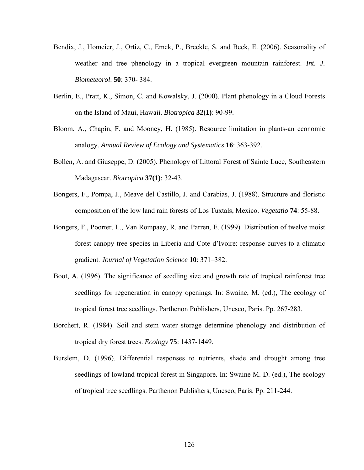- Bendix, J., Homeier, J., Ortiz, C., Emck, P., Breckle, S. and Beck, E. (2006). Seasonality of weather and tree phenology in a tropical evergreen mountain rainforest. *Int. J. Biometeorol*. **50**: 370- 384.
- Berlin, E., Pratt, K., Simon, C. and Kowalsky, J. (2000). Plant phenology in a Cloud Forests on the Island of Maui, Hawaii. *Biotropica* **32(1)**: 90-99.
- Bloom, A., Chapin, F. and Mooney, H. (1985). Resource limitation in plants-an economic analogy. *Annual Review of Ecology and Systematics* **16**: 363-392.
- Bollen, A. and Giuseppe, D. (2005). Phenology of Littoral Forest of Sainte Luce, Southeastern Madagascar. Biotropica 37(1): 32-43.
- Bongers, F., Pompa, J., Meave del Castillo, J. and Carabias, J. (1988). Structure and floristic composition of the low land rain forests of Los Tuxtals, Mexico. *Vegetatio* **74**: 55-88.
- *urnal of Vegetation Science* **10**: 371–382. gradient. *Jo* Bongers, F., Poorter, L., Van Rompaey, R. and Parren, E. (1999). Distribution of twelve moist forest canopy tree species in Liberia and Cote d'Ivoire: response curves to a climatic
- Boot, A. (1996). The significance of seedling size and growth rate of tropical rainforest tree seedlings for regeneration in canopy openings. In: Swaine, M. (ed.), The ecology of tropical forest tree seedlings. Parthenon Publishers, Unesco, Paris. Pp. 267-283.
- Borchert, R. (1984). Soil and stem water storage determine phenology and distribution of tropical dry forest trees. *Ecology* **75**: 1437-1449.
- Burslem , D. (1996). Differential responses to nutrients, shade and drought among tree seedlings of lowland tropical forest in Singapore. In: Swaine M. D. (ed.), The ecology of tropical tree seedlings. Parthenon Publishers, Unesco, Paris. Pp. 211-244.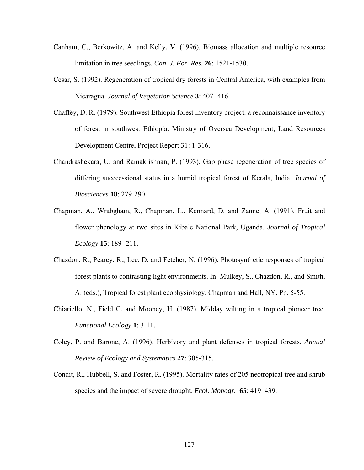- Canham, C., Berkowitz, A. and Kelly, V. (1996). Biomass allocation and multiple resource limitation in tree seedlings. *Can. J. For. Res*. **26**: 1521-1530.
- Cesar, S. (1992). Regeneration of tropical dry forests in Central America, with examples from Nicaragua. *Journal of Vegetation Science* **3**: 407- 416.
- Chaffey , D. R. (1979). Southwest Ethiopia forest inventory project: a reconnaissance inventory of forest in southwest Ethiopia. Ministry of Oversea Development, Land Resources Development Centre, Project Report 31: 1-316.
- differing successional status in a humid tropical forest of Kerala, India. *Journal of* Chandrashekara, U. and Ramakrishnan, P. (1993). Gap phase regeneration of tree species of *Biosciences* **18**: 279-290.
- Chapm an, A., Wrabgham, R., Chapman, L., Kennard, D. and Zanne, A. (1991). Fruit and flower phenology at two sites in Kibale National Park, Uganda. *Journal of Tropical Ecology* **15**: 189- 211.
- Chazdon, R., Pearcy, R., Lee, D. and Fetcher, N. (1996). Photosynthetic responses of tropical forest plants to contrasting light environments. In: Mulkey, S., Chazdon, R., and Smith, A. (eds.), Tropical forest plant ecophysiology. Chapman and Hall, NY. Pp. 5-55.
- Chiariello, N., Field C. and Mooney, H. (1987). Midday wilting in a tropical pioneer tree. *Functional Ecology* **1**: 3-11.
- Coley, P. and Barone, A. (1996). Herbivory and plant defenses in tropical forests. *Annual Review of Ecology and Systematics* **27**: 305-315.
- Condit, R., Hubbell, S. and Foster, R. (1995). Mortality rates of 205 neotropical tree and shrub species and the impact of severe drought. *Ecol. Monogr.* **65**: 419–439.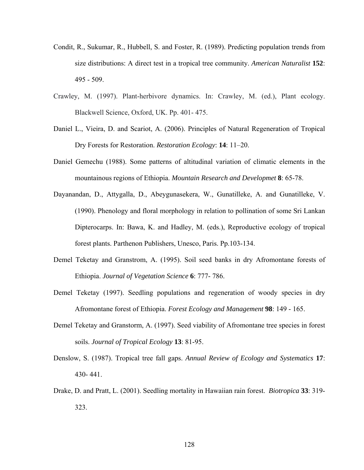- Condit, R., Sukumar, R., Hubbell, S. and Foster, R. (1989). Predicting population trends from size distributions: A direct test in a tropical tree community. *American Naturalist* **152**: 495 - 509.
- Crawley, M. (1997). Plant-herbivore dynamics. In: Crawley, M. (ed.), Plant ecology. Blackwell Science, Oxford, UK. Pp. 401- 475.
- Daniel L., Vieira, D. and Scariot, A. (2006). Principles of Natural Regeneration of Tropical : **14**: 11–20. Dry Forests for Restoration. *Restoration Ecology*
- Daniel Gemechu (1988). Some patterns of altitudinal variation of climatic elements in the mountainous regions of Ethiopia. *Mountain Research and Developmet* **8**: 65-78.
- Dayanandan, D., Attygalla, D., Abeygunasekera, W., Gunatilleke, A. and Gunatilleke, V. forest plants. Parthenon Publishers, Unesco, Paris. Pp.103-134. (1990). Phenology and floral morphology in relation to pollination of some Sri Lankan Dipterocarps. In: Bawa, K. and Hadley, M. (eds.), Reproductive ecology of tropical
- Demel Teketay and Granstrom, A. (1995). Soil seed banks in dry Afromontane forests of Ethiopia. *Journal of Vegetation Science* **6**: 777- 786.
- Demel Teketay (1997). Seedling populations and regeneration of woody species in dry Afromontane forest of Ethiopia. *Forest Ecology and Management* **98**: 149 - 165.
- Demel Teketay and Granstorm, A. (1997). Seed viability of Afromontane tree species in forest soils. *Journal of Tropical Ecology* **13**: 81-95.
- Denslow, S. (1987). Tropical tree fall gaps. *Annual Review of Ecology and Systematics* 17: 430- 441.
- Drake, D. and Pratt, L. (2001). Seedling mortality in Hawaiian rain forest. *Biotropica* 33: 319-323.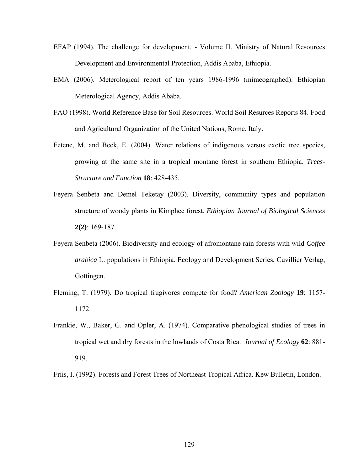- EFAP (1994). The challenge for development. Volume II. Ministry of Natural Resources Development and Environmental Protection, Addis Ababa, Ethiopia.
- EMA (2006). Meterological report of ten years 1986-1996 (mimeographed). Ethiopian Meterological Agency, Addis Ababa.
- FAO (1998). World Reference Base for Soil Resources. World Soil Resurces Reports 84. Food and Agricultural Organization of the United Nations, Rome, Italy.
- Fetene, M. and Beck, E. (2004). Water relations of indigenous versus exotic tree species, growing at the same site in a tropical montane forest in southern Ethiopia. *Trees-Structure and Function* **18**: 428-435.
- Feyera Senbeta and Demel Teketay (2003). Diversity, community types and population structure of woody plants in Kimphee forest. *Ethiopian Journal of Biological Sciences* **2(2)**: 169-187.
- Feyera Senbeta (2006). Biodiversity and ecology of afromontane rain forests with wild *Coffee arabica* L. populations in Ethiopia. Ecology and Development Series, Cuvillier Verlag, Gottingen.
- Fleming, T. (1979). Do tropical frugivores compete for food? *American Zoology* **19**: 1157- 1172.
- tropical wet and dry forests in the lowlands of Costa Rica. *Journal of Ecology* 62: 881-Frankie, W., Baker, G. and Opler, A. (1974). Comparative phenological studies of trees in 919.

Friis, I. (1992). Forests and Forest Trees of Northeast Tropical Africa. Kew Bulletin, London.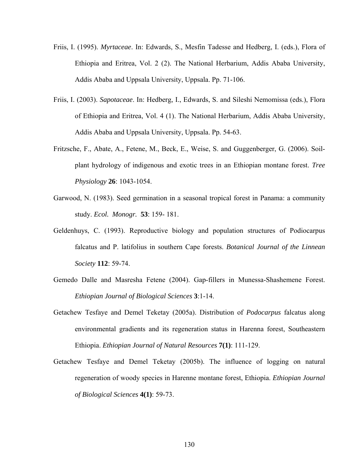- Friis, I. (1995). *Myrtaceae*. In: Edwards, S., Mesfin Tadesse and Hedberg, I. (eds.), Flora of Ethiopia and Eritrea, Vol. 2 (2). The National Herbarium, Addis Ababa University, Addis Ababa and Uppsala University, Uppsala. Pp. 71-106.
- Friis, I. (2003). *Sapotaceae*. In: Hedberg, I., Edwards, S. and Sileshi Nemomissa (eds.), Flora of Ethiopia and Eritrea, Vol. 4 (1). The National Herbarium, Addis Ababa University, Addis Ababa and Uppsala University, Uppsala. Pp. 54-63.
- Fritzsche, F., Abate, A., Fetene, M., Beck, E., Weise, S. and Guggenberger, G. (2006). Soilplant hydrology of indigenous and exotic trees in an Ethiopian montane forest. *Tree Physiology* **26**: 1043-1054.
- Garwood, N. (1983). Seed germination in a seasonal tropical forest in Panama: a community study. *Ecol. Monogr.* **53**: 159- 181.
- Geldenhuys, C. (1993). Reproductive biology and population structures of Podiocarpus falcatus and P. latifolius in southern Cape forests. *Botanical Journal of the Linnean Society* **112**: 59-74.
- Gemedo Dalle and Masresha Fetene (2004). Gap-fillers in Munessa-Shashemene Forest. *Ethiopian Journal of Biological Sciences* **3**:1-14.
- Getachew Tesfaye and Demel Teketay (2005a). Distribution of *Podocarpus* falcatus along environmental gradients and its regeneration status in Harenna forest, Southeastern Ethiopia. *Ethiopian Journal of Natural Resources* **7(1)**: 111-129.
- Getachew Tesfaye and Demel Teketay (2005b). The influence of logging on natural *of Biological Sciences* **4(1)**: 59-73. regeneration of woody species in Harenne montane forest, Ethiopia. *Ethiopian Journal*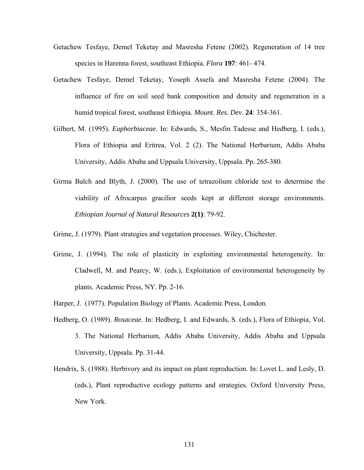- Getachew Tesfaye, Demel Teketay and Masresha Fetene (2002). Regeneration of 14 tree species in Harenna forest, southeast Ethiopia. *Flora* **197**: 461- 474.
- Getachew Tesfaye, Demel Teketay, Yoseph Assefa and Masresha Fetene (2004). The influence of fire on soil seed bank composition and density and regeneration in a humid tropical forest, southeast Ethiopia. *Mount. Res. Dev.* **24**: 354-361.
- Gilbert, M. (1995). *Euphorbiaceae*. In: Edwards, S., Mesfin Tadesse and Hedberg, I. (eds.), Flora of Ethiopia and Eritrea, Vol. 2 (2). The National Herbarium, Addis Ababa University, Addis Ababa and Uppsala University, Uppsala. Pp. 265-380.
- Girma Balch and Blyth, J. (2000). The use of tetrazolium chloride test to determine the Ethiopian Journal of Natural Resources 2(1): 79-92. viability of Afrocarpus gracilior seeds kept at different storage environments.

Grime, J. (1979). Plant strategies and vegetation processes. Wiley, Chichester.

- Grime, J. (1994). The role of plasticity in exploiting environmental heterogeneity. In: Cladwell, M. and Pearcy, W. (eds.), Exploitation of environmental heterogeneity by plants. Academic Press, NY. Pp. 2-16.
- Harper, J. (1977). Population Biology of Plants. Academic Press, London.
- Hedberg, O. (1989). *Rosaceae*. In: Hedberg, I. and Edwards, S. (eds.), Flora of Ethiopia, Vol. 3. The National Herbarium, Addis Ababa University, Addis Ababa and Uppsala University, Uppsala. Pp. 31-44.
- Hendrix, S. (1988). Herbivory and its impact on plant reproduction. In: Lovet L. and Lesly, D. (eds.), Plant reproductive ecology patterns and strategies. Oxford University Press, New York.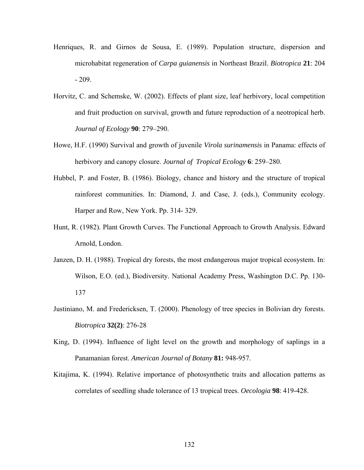- Henriques, R. and Girnos de Sousa, E. (1989). Population structure, dispersion and microhabitat regeneration of *Carpa guianensis* in Northeast Brazil. *Biotropica* **21**: 204  $-209.$
- Horvitz , C. and Schemske, W. (2002). Effects of plant size, leaf herbivory, local competition and fruit production on survival, growth and future reproduction of a neotropical herb. *Journal of Ecology* **90**: 279–290.
- Howe, H.F. (1990) Survival and growth of juvenile *Virola surinamensis* in Panama: effects of herbivory and canopy closure. *Journal of Tropical Ecology* **6**: 259–280.
- Hubbel, P. and Foster, B. (1986). Biology, chance and history and the structure of tropical rainforest communities. In: Diamond, J. and Case, J. (eds.), Community ecology. Harper and Row, New York. Pp. 314- 329.
- Hunt, R. (1982). Plant Growth Curves. The Functional Approach to Growth Analysis. Edward Arnold, London.
- Janzen, D. H. (1988). Tropical dry forests, the most endangerous major tropical ecosystem. In: Wilson, E.O. (ed.), Biodiversity. National Academy Press, Washington D.C. Pp. 130- 137
- Justiniano, M. and Fredericksen, T. (2000). Phenology of tree species in Bolivian dry forests. *Biotropica* **32(2)**: 276-28
- King, D. (1994). Influence of light level on th e growth and morphology of saplings in a **81:** 948-957. Panamanian forest. *American Journal of Botany*
- Kitajima, K. (1994). Relative importance of photosynthetic traits and allocation patterns as correlates of seedling shade tolerance of 13 tropical trees. *Oecologia* **98**: 419-428.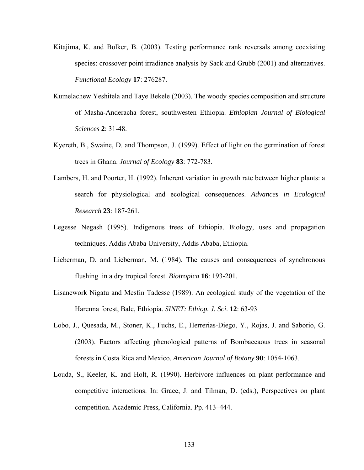- Kitajima, K. and Bolker, B. (2003). Testing performance rank reversals among coexisting species: crossover point irradiance analysis by Sack and Grubb (2001) and alternatives. *Functional Ecology* **17**: 276287.
- Kumelachew Yeshitela and Taye Bekele (2003). The woody species composition and structure of Masha-Anderacha forest, southwesten Ethiopia. *Ethiopian Journal of Biological Sciences* **2**: 31-48.
- Kyereth, B., Swaine, D. and Thompson, J. (1999). Effect of light on the germination of forest trees in Ghana. *Journal of Ecology* **83**: 772-783.
- Lambers, H. and Poorter, H. (1992). Inherent variation in growth rate between higher plants: a search for physiological and ecological consequences. *Advances in Ecological Research* **23**: 187-261.
- techniques. Addis Ababa University, Addis Ababa, Ethiopia. Legesse Negash (1995). Indigenous trees of Ethiopia. Biology, uses and propagation
- Lieberman, D. and Lieberman, M. (1984). The causes and consequences of synchronous flushing in a dry tropical forest. *Biotropica* **16**: 193-201.
- Lisanework Nigatu and Mesfin Tadesse (1989). An ecological study of the vegetation of the Harenna forest, Bale, Ethiopia. *SINET: Ethiop. J. Sci*. **12**: 63-93
- Lobo, J., Quesada, M., Stoner, K., Fuchs, E., Herrerias-Diego, Y., Rojas, J. and Saborio, G. forests in Costa Rica and Mexico. American Journal of Botany 90: 1054-1063. (2003). Factors affecting phenological patterns of Bombaceaous trees in seasonal
- competitive interactions. In: Grace, J. and Tilman, D. (eds.), Perspectives on plant competition. Academic Press, California. Pp. 413–444. Louda, S., Keeler, K. and Holt, R. (1990). Herbivore influences on plant performance and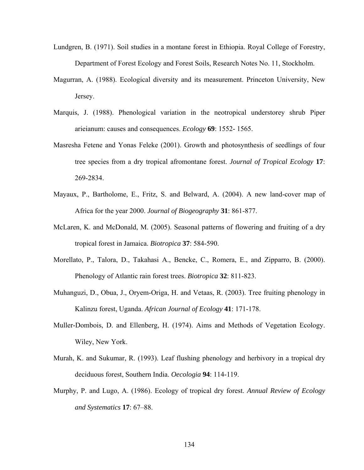- Lundgren, B. (1971). Soil studies in a montane forest in Ethiopia. Royal College of Forestry, Department of Forest Ecology and Forest Soils, Research Notes No. 11, Stockholm.
- Magurran, A. (1988). Ecological diversity and its measurement. Princeton University, New Jersey.
- Marqui s, J. (1988). Phenological variation in the neotropical understorey shrub Piper arieianum: causes and consequences. *Ecology* **69**: 1552-1565.
- tree species from a dry tropical afromontane forest. Journal of Tropical Ecology 17: Masresha Fetene and Yonas Feleke (2001). Growth and photosynthesis of seedlings of four 269-2834.
- Mayau x, P., Bartholome, E., Fritz, S. and Belward, A. (2004). A new land-cover map of Africa for the year 2000. Journal of Biogeography 31: 861-877.
- McLaren, K. and McDonald, M. (2005). Seasonal patterns of flowering and fruiting of a dry tropical forest in Jamaica. *Biotropica* **37**: 584-590.
- Phenology of Atlantic rain forest trees. *Biotropica* 32: 811-823. Morellato, P., Talora, D., Takahasi A., Bencke, C., Romera, E., and Zipparro, B. (2000).
- Muhanguzi, D., Obua, J., Oryem-Origa, H. and Vetaas, R. (2003). Tree fruiting phenology in Kalinzu forest, Uganda. *African Journal of Ecology* **41**: 171-178.
- Muller-Dombois, D. and Ellenberg, H. (1974). Aims and Methods of Vegetation Ecology. Wiley, New York.
- Murah, K. and Sukumar, R. (1993). Leaf flushing phenology and herbivory in a tropical dry deciduous forest, Southern India. *Oecologia* **94**: 114-119.
- Murphy , P. and Lugo, A. (1986). Ecology of tropical dry forest. *Annual Review of Ecology and Systematics* **17**: 67–88.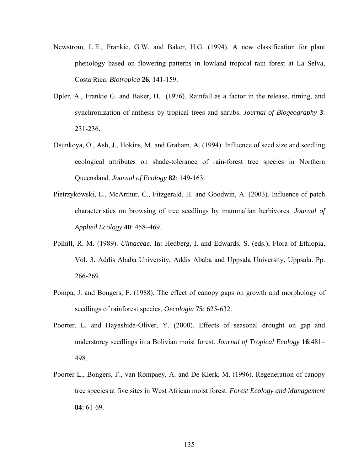- Newstrom, L.E., Frankie, G.W. and Baker, H.G. (1994). A new classification for plant phenology based on flowering patterns in lowland tropical rain forest at La Selva, Costa Rica. *Biotropica* **26**, 141-159.
- Opler, A., Frankie G. and Baker, H. (1976). Rainfall as a factor in the release, timing, and synchronization of anthesis by tropical trees and shrubs. *Journal of Biogeography* **3**: 231-236.
- . *Journal of Ecology* **82**: 149-163. Queensland Osunkoya, O., Ash, J., Hokins, M. and Graham, A. (1994). Influence of seed size and seedling ecological attributes on shade-tolerance of rain-forest tree species in Northern
- characteristics on browsing of tree seedlings by mammalian herbivores. Journal of Pietrzykowski, E., McArthur, C., Fitzgerald, H. and Goodwin, A. (2003). Influence of patch *Applied Ecology* **40**: 458–469.
- Polhill, R. M. (1989). *Ulmaceae*. In: Hedberg, I. and Edwards, S. (eds.), Flora of Ethiopia, Vol. 3. Addis Ababa University, Addis Ababa and Uppsala University, Uppsala. Pp. 266-269.
- Pompa, J. and Bongers, F. (1988). The effect of canopy gaps on growth and morphology of seedlings of rainforest species. *Oecologia* **75**: 625-632.
- understorey seedlings in a Bolivian moist forest. *Journal of Tropical Ecology* 16:481-Poorter, L. and Hayashida-Oliver, Y. (2000). Effects of seasonal drought on gap and 498.
- Poorter L., Bongers, F., van Rompaey, A. and De Klerk, M. (1996). Regeneration of canopy tree species at five sites in West African moist forest. *Forest Ecology and Management*  **84**: 61-69.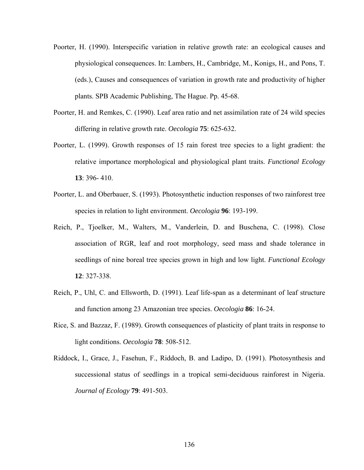- Poorter, H. (1990). Interspecific variation in relative growth rate: an ecological causes and physiological consequences. In: Lambers, H., Cambridge, M., Konigs, H., and Pons, T. (eds.), Causes and consequences of variation in growth rate and productivity of higher plants. SPB Academic Publishing, The Hague. Pp. 45-68.
- Poorter , H. and Remkes, C. (1990). Leaf area ratio and net assimilation rate of 24 wild species differing in relative growth rate. *Oecologia* **75**: 625-632.
- Poorter, L. (1999). Growth responses of 15 rain forest tree species to a light gradient: the relative importance morphological and physiological plant traits. *Functional Ecology*  **13**: 396- 410.
- Poorter, L. and Oberbauer, S. (1993). Photosynthetic induction responses of two rainforest tree species in relation to light environment. *Oecologia* **96**: 193-199.
- Reich, P., Tjoelker, M., Walters, M., Vanderlein, D. and Buschena, C. (1998). Close 8. **12**: 327-33 association of RGR, leaf and root morphology, seed mass and shade tolerance in seedlings of nine boreal tree species grown in high and low light. *Functional Ecology*
- and function among 23 Amazonian tree species. *Oecologia* 86: 16-24. Reich, P., Uhl, C. and Ellsworth, D. (1991). Leaf life-span as a determinant of leaf structure
- Rice, S. and Bazzaz, F. (1989). Growth consequences of plasticity of plant traits in response to light conditions. *Oecologia* **78**: 508-512.
- Riddock, I., Grace, J., Fasehun, F., Riddoch, B. and Ladipo, D. (1991). Photosynthesis and successional status of seedlings in a tropical semi-deciduous rainforest in Nigeria. *Journal of Ecology* **79**: 491-503.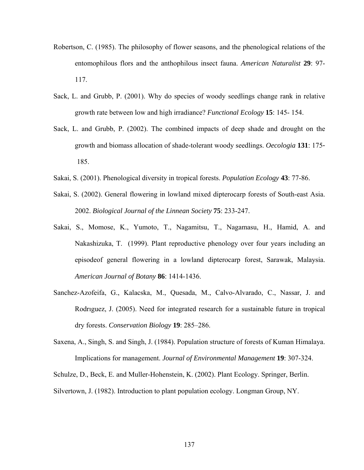- Robertson, C. (1985). The philosophy of flower seasons, and the phenological relations of the entomophilous flors and the anthophilous insect fauna. *American Naturalist* **29**: 97- 117.
- Sack, L. and Grubb, P. (2001). Why do species of woody seedlings change rank in relative growth rate between low and high irradiance? *Functional Ecology* **15**: 145- 154.
- Sack, L. and Grubb, P. (2002). The combined impacts of deep shade and drought on the growth and biomass allocation of shade-tolerant woody seedlings. *Oecologia* **131**: 175- /185.
- Sakai, S. (2001). Phenological diversity in tropical forests. *Population Ecology* **43**: 77-86.
- Sakai, S. (2002). General flowering in lowland mixed dipterocarp forests of South-east Asia. 2002. *Biological Journal of the Linnean Society* **75**: 233-247.
- *rnal of Botany* **86**: 1414-1436. *American Jou* Sakai, S., Momose, K., Yumoto, T., Nagamitsu, T., Nagamasu, H., Hamid, A. and Nakashizuka, T. (1999). Plant reproductive phenology over four years including an episodeof general flowering in a lowland dipterocarp forest, Sarawak, Malaysia.
- Rodriguez, J. (2005). Need for integrated research for a sustainable future in tropical Sanchez-Azofeifa, G., Kalacska, M., Quesada, M., Calvo-Alvarado, C., Nassar, J. and dry forests. *Conservation Biology* **19**: 285–286.
- Saxena, A., Singh, S. and Singh, J. (1984). Population structure of forests of Kuman Himalaya. Implications for management. *Journal of Environmental Management* **19**: 307-324.

Schulze , D., Beck, E. and Muller-Hohenstein, K. (2002). Plant Ecology. Springer, Berlin.

Silvertown, J. (1982). Introduction to plant population ecology. Longman Group, NY.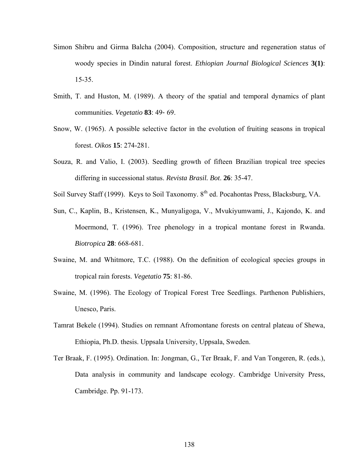- Simon Shibru and Girma Balcha (2004). Composition, structure and regeneration status of woody species in Dindin natural forest. *Ethiopian Journal Biological Sciences* **3(1)**: 15-35.
- Smith, T. and Huston, M. (1989). A theory of the spatial and temporal dynamics of plant communities. *Vegetatio* **83**: 49- 69.
- Snow, W. (1965). A possible selective factor in the evolution of fruiting seasons in tropical forest. *Oikos* **15**: 274-281.
- Souza, R. and Valio, I. (2003). Seedling growth of fifteen Brazilian tropical tree species differing in successional status. *Revista Brasil. Bot*. **26**: 35-47.

Soil Survey Staff (1999). Keys to Soil Taxonomy. 8<sup>th</sup> ed. Pocahontas Press, Blacksburg, VA.

- Sun, C., Kaplin, B., Kristensen, K., Munyaligoga, V., Mvukiyumwami, J., Kajondo, K. and Moermond, T. (1996). Tree phenology in a tropical montane forest in Rwanda. *Biotropica* **28**: 668-681.
- Swaine , M. and Whitmore, T.C. (1988). On the definition of ecological species groups in tropical rain forests. *Vegetatio* **75**: 81-86.
- Swaine, M. (1996). The Ecology of Tropical Forest Tree Seedlings. Parthenon Publishiers, Unesco, Paris.
- Tamrat Bekele (1994). Studies on remnant Afromontane forests on central plateau of Shewa, Ethiopia, Ph.D. thesis. Uppsala University, Uppsala, Sweden.
- Ter Braak, F. (1995). Ordination. In: Jongman, G., Ter Braak, F. and Van Tongeren, R. (eds.), Data analysis in community and landscape ecology. Cambridge University Press, Cambridge. Pp. 91-173.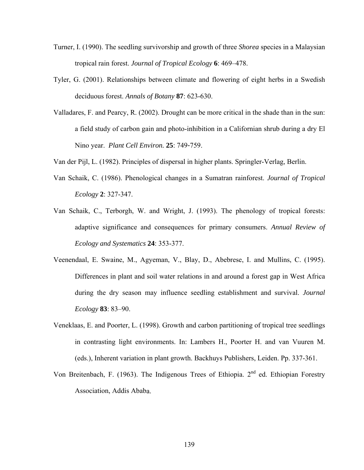- Turner, I. (1990). The seedling survivorship and growth of three *Shorea* species in a Malaysian tropical rain forest. *Journal of Tropical Ecology* **6**: 469–478.
- Tyler, G. (2001). Relationships between climate and flowering of eight herbs in a Swedish deciduous forest. *Annals of Botany* **87**: 623-630.
- Valladares, F. and Pearcy, R. (2002). Drought can be more critical in the shade than in the sun: *on.* **25**: 749-759. Nino year. *Plant Cell Envir* a field study of carbon gain and photo-inhibition in a Californian shrub during a dry El

Van der Pijl, L. (1982). Principles of dispersal in higher plants. Springler-Verlag, Berlin.

- Van Schaik, C. (1986). Phenological changes in a Sumatran rainforest. Journal of Tropical *Ecology* **2**: 327-347.
- : 353-377. *Ecology and Systematics* **24** Van Schaik, C., Terborgh, W. and Wright, J. (1993). The phenology of tropical forests: adaptive significance and consequences for primary consumers. *Annual Review of*
- Differences in plant and soil water relations in and around a forest gap in West Africa *Ecology* **83**: 83–90. Veenendaal, E. Swaine, M., Agyeman, V., Blay, D., Abebrese, I. and Mullins, C. (1995). during the dry season may influence seedling establishment and survival. *Journal*
- in contrasting light environments. In: Lambers H., Poorter H. and van Vuuren M. Veneklaas, E. and Poorter, L. (1998). Growth and carbon partitioning of tropical tree seedlings (eds.), Inherent variation in plant growth. Backhuys Publishers, Leiden. Pp. 337-361.
- Von Breitenbach, F. (1963). The Indigenous Trees of Ethiopia. 2<sup>nd</sup> ed. Ethiopian Forestry Association, Addis Ababa.